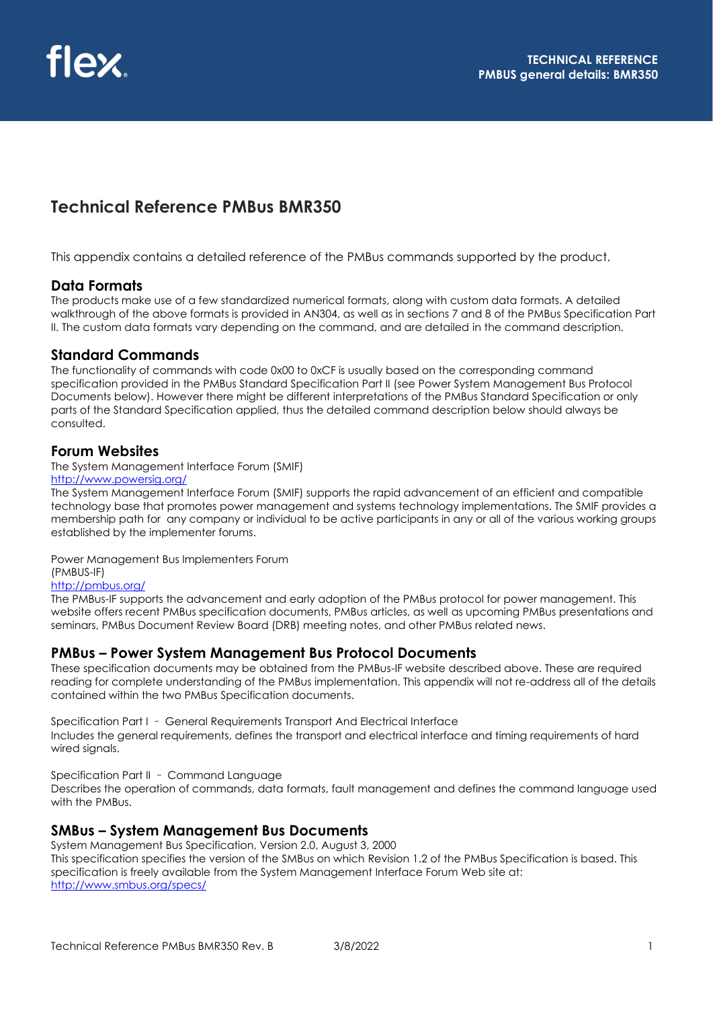# **Technical Reference PMBus BMR350**

This appendix contains a detailed reference of the PMBus commands supported by the product.

## **Data Formats**

The products make use of a few standardized numerical formats, along with custom data formats. A detailed walkthrough of the above formats is provided in AN304, as well as in sections 7 and 8 of the PMBus Specification Part II. The custom data formats vary depending on the command, and are detailed in the command description.

## **Standard Commands**

The functionality of commands with code 0x00 to 0xCF is usually based on the corresponding command specification provided in the PMBus Standard Specification Part II (see Power System Management Bus Protocol Documents below). However there might be different interpretations of the PMBus Standard Specification or only parts of the Standard Specification applied, thus the detailed command description below should always be consulted.

## **Forum Websites**

The System Management Interface Forum (SMIF)

#### <http://www.powersig.org/>

The System Management Interface Forum (SMIF) supports the rapid advancement of an efficient and compatible technology base that promotes power management and systems technology implementations. The SMIF provides a membership path for any company or individual to be active participants in any or all of the various working groups established by the implementer forums.

Power Management Bus Implementers Forum (PMBUS-IF)

#### <http://pmbus.org/>

The PMBus-IF supports the advancement and early adoption of the PMBus protocol for power management. This website offers recent PMBus specification documents, PMBus articles, as well as upcoming PMBus presentations and seminars, PMBus Document Review Board (DRB) meeting notes, and other PMBus related news.

## **PMBus – Power System Management Bus Protocol Documents**

These specification documents may be obtained from the PMBus-IF website described above. These are required reading for complete understanding of the PMBus implementation. This appendix will not re-address all of the details contained within the two PMBus Specification documents.

Specification Part I – General Requirements Transport And Electrical Interface Includes the general requirements, defines the transport and electrical interface and timing requirements of hard wired signals.

Specification Part II – Command Language

Describes the operation of commands, data formats, fault management and defines the command language used with the PMBus.

## **SMBus – System Management Bus Documents**

System Management Bus Specification, Version 2.0, August 3, 2000 This specification specifies the version of the SMBus on which Revision 1.2 of the PMBus Specification is based. This specification is freely available from the System Management Interface Forum Web site at: <http://www.smbus.org/specs/>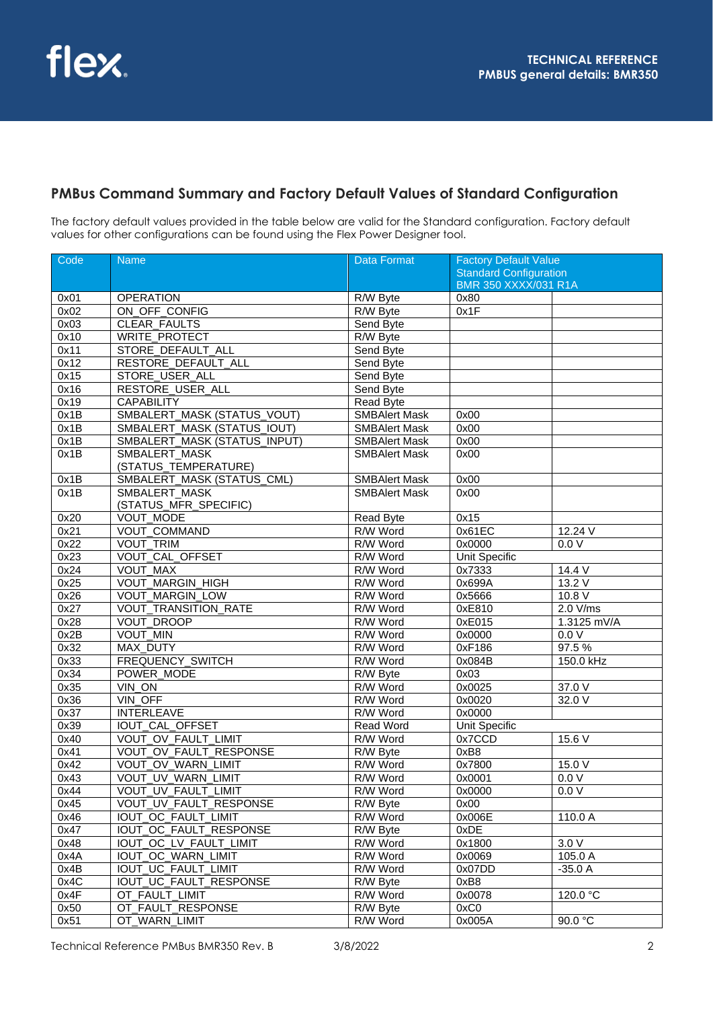## **PMBus Command Summary and Factory Default Values of Standard Configuration**

The factory default values provided in the table below are valid for the Standard configuration. Factory default values for other configurations can be found using the Flex Power Designer tool.

| Code | <b>Name</b>                  | <b>Data Format</b>   | <b>Factory Default Value</b>  |             |  |
|------|------------------------------|----------------------|-------------------------------|-------------|--|
|      |                              |                      | <b>Standard Configuration</b> |             |  |
|      |                              |                      | <b>BMR 350 XXXX/031 R1A</b>   |             |  |
| 0x01 | <b>OPERATION</b>             | R/W Byte             | 0x80                          |             |  |
| 0x02 | ON OFF CONFIG                | R/W Byte             | 0x1F                          |             |  |
| 0x03 | <b>CLEAR FAULTS</b>          | Send Byte            |                               |             |  |
| 0x10 | <b>WRITE_PROTECT</b>         | R/W Byte             |                               |             |  |
| 0x11 | STORE DEFAULT ALL            | Send Byte            |                               |             |  |
| 0x12 | RESTORE_DEFAULT_ALL          | Send Byte            |                               |             |  |
| 0x15 | STORE_USER_ALL               | Send Byte            |                               |             |  |
| 0x16 | RESTORE_USER_ALL             | Send Byte            |                               |             |  |
| 0x19 | <b>CAPABILITY</b>            | Read Byte            |                               |             |  |
| 0x1B | SMBALERT_MASK (STATUS_VOUT)  | <b>SMBAlert Mask</b> | 0x00                          |             |  |
| 0x1B | SMBALERT_MASK (STATUS_IOUT)  | <b>SMBAlert Mask</b> | 0x00                          |             |  |
| 0x1B | SMBALERT_MASK (STATUS_INPUT) | <b>SMBAlert Mask</b> | 0x00                          |             |  |
| 0x1B | SMBALERT_MASK                | <b>SMBAlert Mask</b> | 0x00                          |             |  |
|      | (STATUS_TEMPERATURE)         |                      |                               |             |  |
| 0x1B | SMBALERT_MASK (STATUS_CML)   | <b>SMBAlert Mask</b> | 0x00                          |             |  |
| 0x1B | SMBALERT_MASK                | <b>SMBAlert Mask</b> | 0x00                          |             |  |
|      | (STATUS_MFR_SPECIFIC)        |                      |                               |             |  |
| 0x20 | VOUT_MODE                    | Read Byte            | 0x15                          |             |  |
| 0x21 | VOUT_COMMAND                 | R/W Word             | 0x61EC                        | 12.24 V     |  |
| 0x22 | VOUT_TRIM                    | R/W Word             | 0x0000                        | 0.0V        |  |
| 0x23 | VOUT_CAL_OFFSET              | R/W Word             | <b>Unit Specific</b>          |             |  |
| 0x24 | <b>VOUT MAX</b>              | R/W Word             | 0x7333                        | 14.4 V      |  |
| 0x25 | VOUT_MARGIN_HIGH             | R/W Word             | 0x699A                        | 13.2V       |  |
| 0x26 | VOUT_MARGIN_LOW              | R/W Word             | 0x5666                        | 10.8V       |  |
| 0x27 | <b>VOUT_TRANSITION_RATE</b>  | R/W Word             | 0xE810                        | 2.0 V/ms    |  |
| 0x28 | VOUT_DROOP                   | R/W Word             | 0xE015                        | 1.3125 mV/A |  |
| 0x2B | VOUT_MIN                     | R/W Word             | 0x0000                        | 0.0V        |  |
| 0x32 | MAX_DUTY                     | R/W Word             | 0xF186                        | 97.5%       |  |
| 0x33 | FREQUENCY_SWITCH             | R/W Word             | 0x084B                        | 150.0 kHz   |  |
| 0x34 | POWER MODE                   | R/W Byte             | 0x03                          |             |  |
| 0x35 | $\overline{VIN}$ ON          | R/W Word             | 0x0025                        | 37.0 V      |  |
| 0x36 | VIN_OFF                      | R/W Word             | 0x0020                        | 32.0 V      |  |
| 0x37 | <b>INTERLEAVE</b>            | R/W Word             | 0x0000                        |             |  |
| 0x39 | <b>IOUT CAL OFFSET</b>       | <b>Read Word</b>     | Unit Specific                 |             |  |
| 0x40 | VOUT_OV_FAULT_LIMIT          | R/W Word             | 0x7CCD                        | 15.6V       |  |
| 0x41 | VOUT_OV_FAULT_RESPONSE       | R/W Byte             | 0xB8                          |             |  |
| 0x42 | VOUT_OV_WARN_LIMIT           | R/W Word             | 0x7800                        | 15.0 V      |  |
| 0x43 | VOUT_UV_WARN_LIMIT           | R/W Word             | 0x0001                        | 0.0V        |  |
| 0x44 | VOUT_UV_FAULT_LIMIT          | R/W Word             | 0x0000                        | 0.0V        |  |
| 0x45 | VOUT_UV_FAULT_RESPONSE       | R/W Byte             | 0x00                          |             |  |
| 0x46 | IOUT_OC_FAULT_LIMIT          | R/W Word             | 0x006E                        | 110.0 A     |  |
| 0x47 | IOUT_OC_FAULT_RESPONSE       | R/W Byte             | 0xDE                          |             |  |
| 0x48 | IOUT_OC_LV_FAULT_LIMIT       | R/W Word             | 0x1800                        | 3.0 V       |  |
| 0x4A | IOUT_OC_WARN_LIMIT           | R/W Word             | 0x0069                        | 105.0 A     |  |
| 0x4B | <b>IOUT_UC_FAULT_LIMIT</b>   | R/W Word             | 0x07DD                        | $-35.0A$    |  |
| 0x4C | IOUT_UC_FAULT_RESPONSE       | R/W Byte             | 0xB8                          |             |  |
| 0x4F | OT_FAULT_LIMIT               | R/W Word             | 0x0078                        | 120.0 °C    |  |
| 0x50 | OT_FAULT_RESPONSE            | R/W Byte             | 0xC0                          |             |  |
| 0x51 | OT_WARN_LIMIT                | R/W Word             | 0x005A                        | 90.0 °C     |  |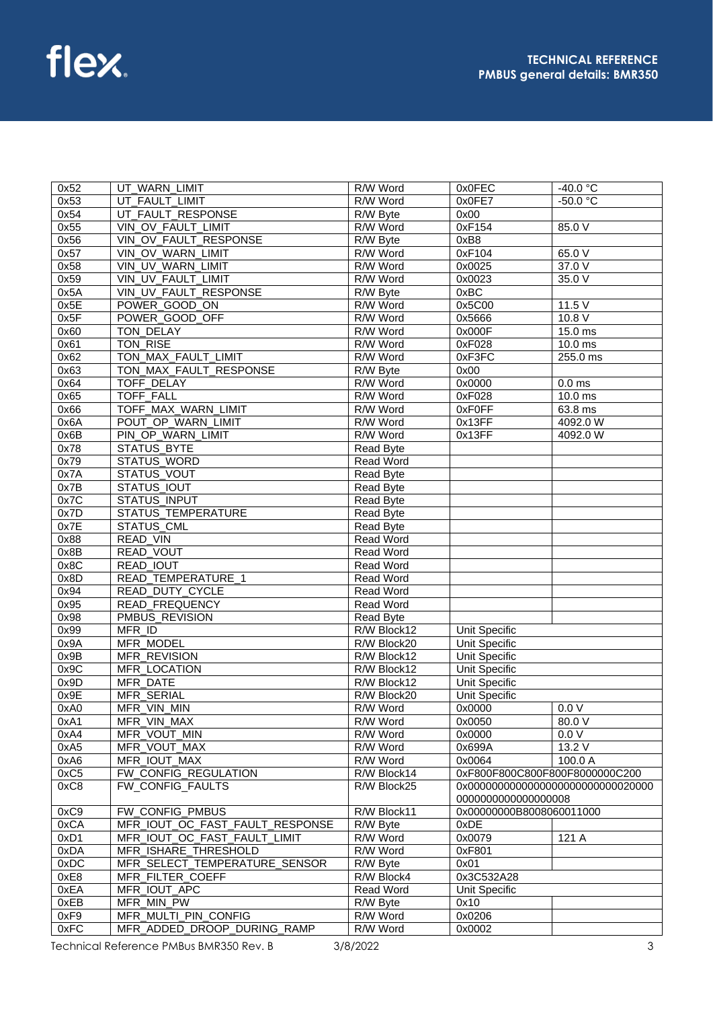| 0x52 | UT WARN LIMIT                   | R/W Word         | 0x0FEC                         | $-40.0 °C$           |
|------|---------------------------------|------------------|--------------------------------|----------------------|
| 0x53 | UT FAULT LIMIT                  | R/W Word         | 0x0FE7                         | $-50.0 °C$           |
| 0x54 | UT_FAULT_RESPONSE               | R/W Byte         | 0x00                           |                      |
| 0x55 | VIN OV FAULT LIMIT              | R/W Word         | 0xF154                         | 85.0 V               |
| 0x56 | VIN OV FAULT RESPONSE           | R/W Byte         | 0xB8                           |                      |
| 0x57 | VIN_OV_WARN_LIMIT               | R/W Word         | 0xF104                         | 65.0 V               |
| 0x58 | VIN_UV_WARN_LIMIT               | R/W Word         | 0x0025                         | 37.0 V               |
| 0x59 | VIN UV FAULT LIMIT              | R/W Word         | 0x0023                         | 35.0 V               |
| 0x5A | VIN UV FAULT RESPONSE           | R/W Byte         | 0xBC                           |                      |
| 0x5E | POWER GOOD ON                   | R/W Word         | 0x5C00                         | 11.5 V               |
| 0x5F | POWER GOOD OFF                  | R/W Word         | 0x5666                         | 10.8 V               |
| 0x60 | TON_DELAY                       | R/W Word         | 0x000F                         | 15.0 ms              |
| 0x61 | TON_RISE                        | R/W Word         | 0xF028                         | 10.0 ms              |
| 0x62 | TON_MAX_FAULT_LIMIT             | R/W Word         | 0xF3FC                         | $255.0$ ms           |
| 0x63 | TON MAX FAULT RESPONSE          | R/W Byte         | 0x00                           |                      |
|      | <b>TOFF DELAY</b>               | R/W Word         |                                |                      |
| 0x64 |                                 |                  | 0x0000                         | 0.0 <sub>ms</sub>    |
| 0x65 | TOFF_FALL                       | R/W Word         | 0xF028                         | $\overline{10.0}$ ms |
| 0x66 | TOFF_MAX_WARN_LIMIT             | R/W Word         | 0xF0FF                         | 63.8 ms              |
| 0x6A | POUT_OP_WARN_LIMIT              | R/W Word         | 0x13FF                         | 4092.0 W             |
| 0x6B | PIN_OP_WARN_LIMIT               | R/W Word         | 0x13FF                         | 4092.0 W             |
| 0x78 | <b>STATUS BYTE</b>              | Read Byte        |                                |                      |
| 0x79 | STATUS_WORD                     | <b>Read Word</b> |                                |                      |
| 0x7A | STATUS_VOUT                     | Read Byte        |                                |                      |
| 0x7B | STATUS_IOUT                     | Read Byte        |                                |                      |
| 0x7C | <b>STATUS INPUT</b>             | Read Byte        |                                |                      |
| 0x7D | <b>STATUS_TEMPERATURE</b>       | Read Byte        |                                |                      |
| 0x7E | STATUS_CML                      | Read Byte        |                                |                      |
| 0x88 | READ_VIN                        | <b>Read Word</b> |                                |                      |
| 0x8B | <b>READ_VOUT</b>                | Read Word        |                                |                      |
| 0x8C | READ_IOUT                       | Read Word        |                                |                      |
| 0x8D | READ_TEMPERATURE_1              | <b>Read Word</b> |                                |                      |
| 0x94 | READ_DUTY_CYCLE                 | Read Word        |                                |                      |
| 0x95 | READ_FREQUENCY                  | Read Word        |                                |                      |
| 0x98 | PMBUS_REVISION                  | Read Byte        |                                |                      |
| 0x99 | MFR_ID                          | R/W Block12      | Unit Specific                  |                      |
| 0x9A | MFR_MODEL                       | R/W Block20      | Unit Specific                  |                      |
| 0x9B | MFR_REVISION                    | R/W Block12      | <b>Unit Specific</b>           |                      |
| 0x9C | MFR_LOCATION                    | R/W Block12      | Unit Specific                  |                      |
| 0x9D | MFR_DATE                        | R/W Block12      | <b>Unit Specific</b>           |                      |
| 0x9E | MFR_SERIAL                      | R/W Block20      | <b>Unit Specific</b>           |                      |
| 0xA0 | MFR_VIN_MIN                     | R/W Word         | 0x0000                         | 0.0V                 |
| 0xA1 | MFR_VIN_MAX                     | R/W Word         | 0x0050                         | 80.0 V               |
| 0xA4 | MFR_VOUT_MIN                    | R/W Word         | 0x0000                         | 0.0V                 |
| 0xA5 | MFR_VOUT_MAX                    | R/W Word         | 0x699A                         | 13.2 V               |
| 0xA6 | MFR_IOUT_MAX                    | R/W Word         | 0x0064                         | 100.0 A              |
| 0xC5 | FW_CONFIG_REGULATION            | R/W Block14      | 0xF800F800C800F800F8000000C200 |                      |
| 0xC8 | FW_CONFIG_FAULTS                | R/W Block25      |                                |                      |
|      |                                 |                  | 000000000000000008             |                      |
| 0xC9 | FW_CONFIG_PMBUS                 | R/W Block11      | 0x00000000B8008060011000       |                      |
| 0xCA | MFR IOUT OC FAST FAULT RESPONSE | R/W Byte         | 0xDE                           |                      |
| 0xD1 | MFR_IOUT_OC_FAST_FAULT_LIMIT    | R/W Word         | 0x0079                         | 121 A                |
| 0xDA | MFR ISHARE THRESHOLD            | R/W Word         |                                |                      |
| 0xDC |                                 |                  | 0xF801                         |                      |
|      | MFR_SELECT_TEMPERATURE_SENSOR   | R/W Byte         | 0x01                           |                      |
| 0xE8 | MFR_FILTER_COEFF                | R/W Block4       | 0x3C532A28                     |                      |
| 0xEA | MFR_IOUT_APC                    | Read Word        | Unit Specific                  |                      |
| 0xEB | MFR_MIN_PW                      | R/W Byte         | 0x10                           |                      |
| 0xF9 | MFR_MULTI_PIN_CONFIG            | R/W Word         | 0x0206                         |                      |
| 0xFC | MFR_ADDED_DROOP_DURING_RAMP     | R/W Word         | 0x0002                         |                      |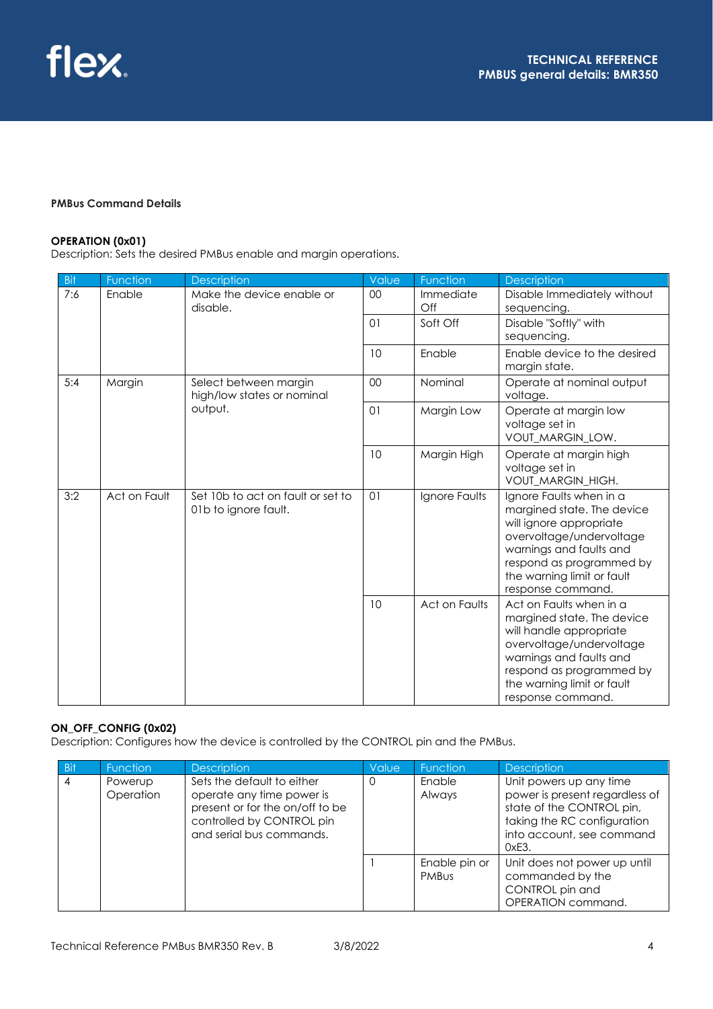## **PMBus Command Details**

## **OPERATION (0x01)**

Description: Sets the desired PMBus enable and margin operations.

| <b>Bit</b> | Function     | <b>Description</b>                                        | Value          | Function         | <b>Description</b>                                                                                                                                                                                                     |
|------------|--------------|-----------------------------------------------------------|----------------|------------------|------------------------------------------------------------------------------------------------------------------------------------------------------------------------------------------------------------------------|
| 7:6        | Enable       | Make the device enable or<br>disable.                     | 00             | Immediate<br>Off | Disable Immediately without<br>sequencing.                                                                                                                                                                             |
|            |              |                                                           | 01             | Soft Off         | Disable "Softly" with<br>sequencing.                                                                                                                                                                                   |
|            |              |                                                           | 10             | Enable           | Enable device to the desired<br>margin state.                                                                                                                                                                          |
| 5:4        | Margin       | Select between margin<br>high/low states or nominal       | 00             | Nominal          | Operate at nominal output<br>voltage.                                                                                                                                                                                  |
|            |              | output.                                                   | 01             | Margin Low       | Operate at margin low<br>voltage set in<br>VOUT_MARGIN_LOW.                                                                                                                                                            |
|            |              |                                                           | 10             | Margin High      | Operate at margin high<br>voltage set in<br>VOUT_MARGIN_HIGH.                                                                                                                                                          |
| 3:2        | Act on Fault | Set 10b to act on fault or set to<br>01b to ignore fault. | O <sub>1</sub> | Ignore Faults    | Ignore Faults when in a<br>margined state. The device<br>will ignore appropriate<br>overvoltage/undervoltage<br>warnings and faults and<br>respond as programmed by<br>the warning limit or fault<br>response command. |
|            |              |                                                           | 10             | Act on Faults    | Act on Faults when in a<br>margined state. The device<br>will handle appropriate<br>overvoltage/undervoltage<br>warnings and faults and<br>respond as programmed by<br>the warning limit or fault<br>response command. |

## **ON\_OFF\_CONFIG (0x02)**

Description: Configures how the device is controlled by the CONTROL pin and the PMBus.

| - Bit | <b>Function</b>      | <b>Description</b>                                                                                                                                  | Value | <b>Function</b>               | <b>Description</b>                                                                                                                                          |
|-------|----------------------|-----------------------------------------------------------------------------------------------------------------------------------------------------|-------|-------------------------------|-------------------------------------------------------------------------------------------------------------------------------------------------------------|
| 4     | Powerup<br>Operation | Sets the default to either<br>operate any time power is<br>present or for the on/off to be<br>controlled by CONTROL pin<br>and serial bus commands. | 0     | Enable<br>Always              | Unit powers up any time<br>power is present regardless of<br>state of the CONTROL pin,<br>taking the RC configuration<br>into account, see command<br>0xE3. |
|       |                      |                                                                                                                                                     |       | Enable pin or<br><b>PMBUS</b> | Unit does not power up until<br>commanded by the<br>CONTROL pin and<br>OPERATION command.                                                                   |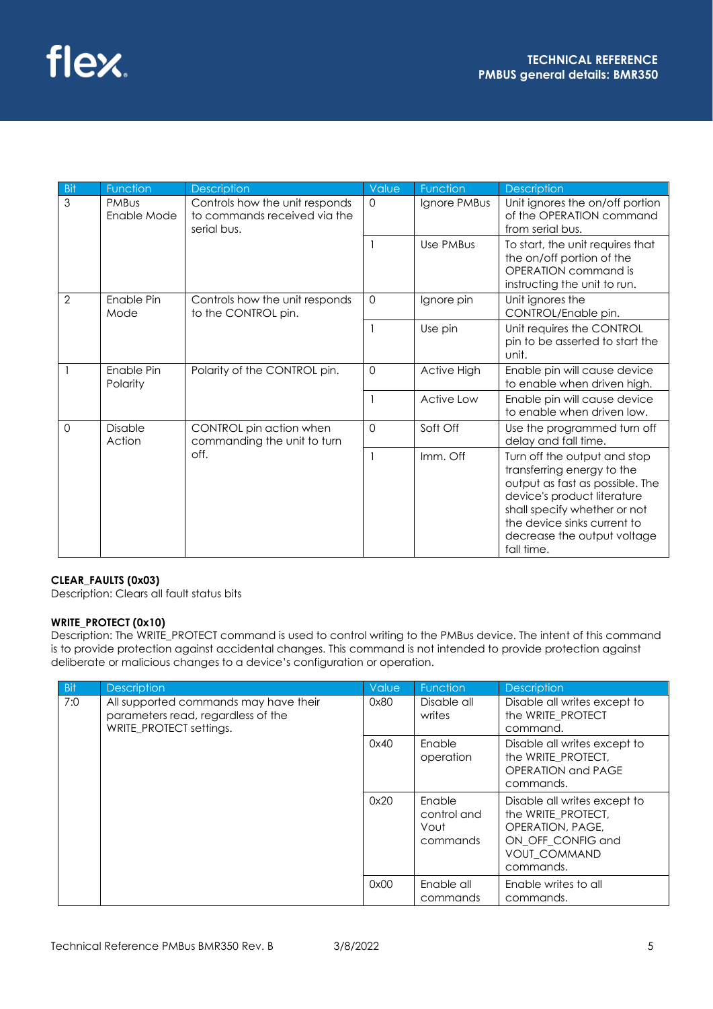| Bit      | Function                    | Description                                                                   | Value       | Function     | Description                                                                                                                                                                                                                              |
|----------|-----------------------------|-------------------------------------------------------------------------------|-------------|--------------|------------------------------------------------------------------------------------------------------------------------------------------------------------------------------------------------------------------------------------------|
| 3        | <b>PMBus</b><br>Enable Mode | Controls how the unit responds<br>to commands received via the<br>serial bus. | $\Omega$    | Ignore PMBus | Unit ignores the on/off portion<br>of the OPERATION command<br>from serial bus.                                                                                                                                                          |
|          |                             |                                                                               |             | Use PMBus    | To start, the unit requires that<br>the on/off portion of the<br>OPERATION command is<br>instructing the unit to run.                                                                                                                    |
| 2        | Enable Pin<br>Mode          | Controls how the unit responds<br>to the CONTROL pin.                         | $\mathbf 0$ | Ignore pin   | Unit ignores the<br>CONTROL/Enable pin.                                                                                                                                                                                                  |
|          |                             |                                                                               |             | Use pin      | Unit requires the CONTROL<br>pin to be asserted to start the<br>unit.                                                                                                                                                                    |
|          | Enable Pin<br>Polarity      | Polarity of the CONTROL pin.                                                  | $\mathbf 0$ | Active High  | Enable pin will cause device<br>to enable when driven high.                                                                                                                                                                              |
|          |                             |                                                                               |             | Active Low   | Enable pin will cause device<br>to enable when driven low.                                                                                                                                                                               |
| $\Omega$ | <b>Disable</b><br>Action    | CONTROL pin action when<br>commanding the unit to turn                        | $\Omega$    | Soft Off     | Use the programmed turn off<br>delay and fall time.                                                                                                                                                                                      |
|          |                             | off.                                                                          |             | Imm. Off     | Turn off the output and stop<br>transferring energy to the<br>output as fast as possible. The<br>device's product literature<br>shall specify whether or not<br>the device sinks current to<br>decrease the output voltage<br>fall time. |

#### **CLEAR\_FAULTS (0x03)**

Description: Clears all fault status bits

### **WRITE\_PROTECT (0x10)**

Description: The WRITE\_PROTECT command is used to control writing to the PMBus device. The intent of this command is to provide protection against accidental changes. This command is not intended to provide protection against deliberate or malicious changes to a device's configuration or operation.

| <b>Bit</b> | <b>Description</b>                                                                                     | Value                  | Function                                  | <b>Description</b>                                                                                                              |
|------------|--------------------------------------------------------------------------------------------------------|------------------------|-------------------------------------------|---------------------------------------------------------------------------------------------------------------------------------|
| 7:0        | All supported commands may have their<br>parameters read, regardless of the<br>WRITE_PROTECT settings. | 0x80                   | Disable all<br>writes                     | Disable all writes except to<br>the WRITE_PROTECT<br>command.                                                                   |
|            |                                                                                                        | 0x40                   | Enable<br>operation                       | Disable all writes except to<br>the WRITE_PROTECT,<br>OPERATION and PAGE<br>commands.                                           |
|            |                                                                                                        | 0x20                   | Enable<br>control and<br>Vout<br>commands | Disable all writes except to<br>the WRITE_PROTECT,<br>OPERATION, PAGE,<br>ON OFF CONFIG and<br><b>VOUT_COMMAND</b><br>commands. |
|            | 0x00                                                                                                   | Enable all<br>commands | Enable writes to all<br>commands.         |                                                                                                                                 |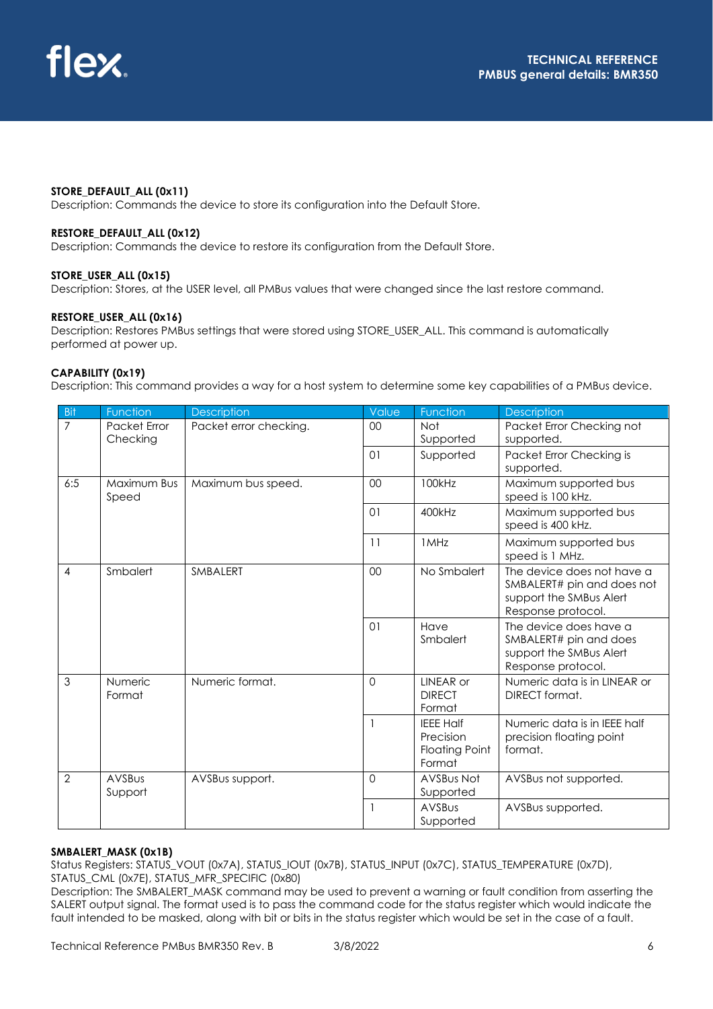#### **STORE\_DEFAULT\_ALL (0x11)**

Description: Commands the device to store its configuration into the Default Store.

#### **RESTORE\_DEFAULT\_ALL (0x12)**

Description: Commands the device to restore its configuration from the Default Store.

#### **STORE\_USER\_ALL (0x15)**

Description: Stores, at the USER level, all PMBus values that were changed since the last restore command.

#### **RESTORE\_USER\_ALL (0x16)**

Description: Restores PMBus settings that were stored using STORE\_USER\_ALL. This command is automatically performed at power up.

#### **CAPABILITY (0x19)**

Description: This command provides a way for a host system to determine some key capabilities of a PMBus device.

| Bit            | Function                 | <b>Description</b>     | Value    | Function                                                         | <b>Description</b>                                                                                        |
|----------------|--------------------------|------------------------|----------|------------------------------------------------------------------|-----------------------------------------------------------------------------------------------------------|
| $\overline{7}$ | Packet Error             | Packet error checking. | 00       | <b>Not</b>                                                       | Packet Error Checking not                                                                                 |
|                | Checking                 |                        |          | Supported                                                        | supported.                                                                                                |
|                |                          |                        | 01       | Supported                                                        | Packet Error Checking is                                                                                  |
|                |                          |                        |          |                                                                  | supported.                                                                                                |
| 6:5            | Maximum Bus<br>Speed     | Maximum bus speed.     | 00       | 100kHz                                                           | Maximum supported bus<br>speed is 100 kHz.                                                                |
|                |                          |                        | 01       | 400kHz                                                           | Maximum supported bus<br>speed is 400 kHz.                                                                |
|                |                          |                        | 11       | 1MHz                                                             | Maximum supported bus<br>speed is 1 MHz.                                                                  |
| 4              | Smbalert                 | SMBALERT               | 00       | No Smbalert                                                      | The device does not have a<br>SMBALERT# pin and does not<br>support the SMBus Alert<br>Response protocol. |
|                |                          |                        | $\Omega$ | Have<br>Smbalert                                                 | The device does have a<br>SMBALERT# pin and does<br>support the SMBus Alert<br>Response protocol.         |
| $\overline{3}$ | <b>Numeric</b><br>Format | Numeric format.        | $\Omega$ | LINEAR or<br><b>DIRECT</b><br>Format                             | Numeric data is in LINEAR or<br>DIRECT format.                                                            |
|                |                          |                        |          | <b>IEEE Half</b><br>Precision<br><b>Floating Point</b><br>Format | Numeric data is in IEEE half<br>precision floating point<br>format.                                       |
| $\overline{2}$ | <b>AVSBus</b><br>Support | AVSBus support.        | $\Omega$ | <b>AVSBus Not</b><br>Supported                                   | AVSBus not supported.                                                                                     |
|                |                          |                        |          | AVSBus                                                           | AVSBus supported.                                                                                         |
|                |                          |                        |          | Supported                                                        |                                                                                                           |

#### **SMBALERT\_MASK (0x1B)**

Status Registers: STATUS\_VOUT (0x7A), STATUS\_IOUT (0x7B), STATUS\_INPUT (0x7C), STATUS\_TEMPERATURE (0x7D), STATUS\_CML (0x7E), STATUS\_MFR\_SPECIFIC (0x80)

Description: The SMBALERT\_MASK command may be used to prevent a warning or fault condition from asserting the SALERT output signal. The format used is to pass the command code for the status register which would indicate the fault intended to be masked, along with bit or bits in the status register which would be set in the case of a fault.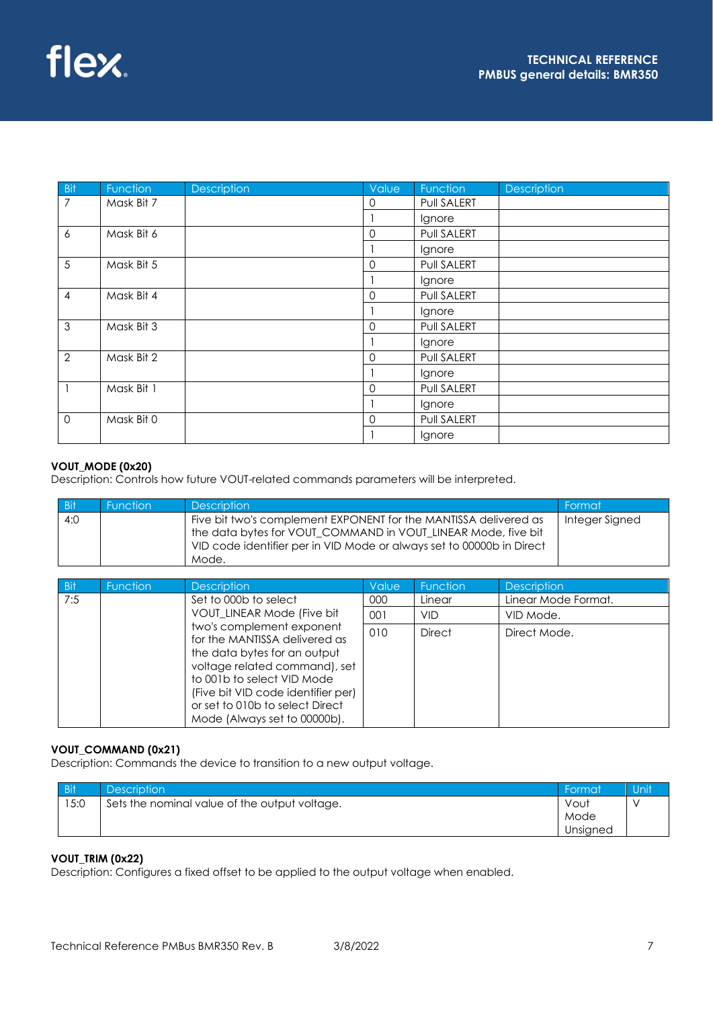| <b>Bit</b>     | Function   | Description | Value          | Function    | Description |
|----------------|------------|-------------|----------------|-------------|-------------|
| $\overline{7}$ | Mask Bit 7 |             | 0              | Pull SALERT |             |
|                |            |             |                | Ignore      |             |
| 6              | Mask Bit 6 |             | $\Omega$       | Pull SALERT |             |
|                |            |             |                | Ignore      |             |
| 5              | Mask Bit 5 |             | $\overline{0}$ | Pull SALERT |             |
|                |            |             |                | Ignore      |             |
| $\overline{4}$ | Mask Bit 4 |             | $\mathbf 0$    | Pull SALERT |             |
|                |            |             |                | Ignore      |             |
| 3              | Mask Bit 3 |             | $\mathbf 0$    | Pull SALERT |             |
|                |            |             |                | Ignore      |             |
| $\overline{2}$ | Mask Bit 2 |             | $\overline{0}$ | Pull SALERT |             |
|                |            |             |                | Ignore      |             |
|                | Mask Bit 1 |             | $\mathbf 0$    | Pull SALERT |             |
|                |            |             |                | Ignore      |             |
| $\mathbf{0}$   | Mask Bit 0 |             | 0              | Pull SALERT |             |
|                |            |             |                | Ignore      |             |

## **VOUT\_MODE (0x20)**

Description: Controls how future VOUT-related commands parameters will be interpreted.

| <b>Bit</b> | <b>Function</b> | <b>Description</b>                                                                                                                                                                                                  | Format         |
|------------|-----------------|---------------------------------------------------------------------------------------------------------------------------------------------------------------------------------------------------------------------|----------------|
| 4:0        |                 | Five bit two's complement EXPONENT for the MANTISSA delivered as<br>the data bytes for VOUT COMMAND in VOUT LINEAR Mode, five bit<br>VID code identifier per in VID Mode or always set to 00000b in Direct<br>Mode. | Integer Signed |

| <b>Bit</b> | <b>Function</b> | <b>Description</b>                                                                                                                                                                                                                                                 | Value | <b>Function</b> | <b>Description</b>  |
|------------|-----------------|--------------------------------------------------------------------------------------------------------------------------------------------------------------------------------------------------------------------------------------------------------------------|-------|-----------------|---------------------|
| 7:5        |                 | Set to 000b to select                                                                                                                                                                                                                                              | 000   | Linear          | Linear Mode Format. |
|            |                 | VOUT_LINEAR Mode (Five bit                                                                                                                                                                                                                                         | 001   | VID             | VID Mode.           |
|            |                 | two's complement exponent<br>for the MANTISSA delivered as<br>the data bytes for an output<br>voltage related command), set<br>to 001b to select VID Mode<br>(Five bit VID code identifier per)<br>or set to 010b to select Direct<br>Mode (Always set to 00000b). | 010   | <b>Direct</b>   | Direct Mode.        |

### **VOUT\_COMMAND (0x21)**

Description: Commands the device to transition to a new output voltage.

| <b>Bit</b> | Description <sup>1</sup>                      | Format   | Unit |
|------------|-----------------------------------------------|----------|------|
| 15:0       | Sets the nominal value of the output voltage. | Vout     |      |
|            |                                               | Mode     |      |
|            |                                               | Unsigned |      |

## **VOUT\_TRIM (0x22)**

Description: Configures a fixed offset to be applied to the output voltage when enabled.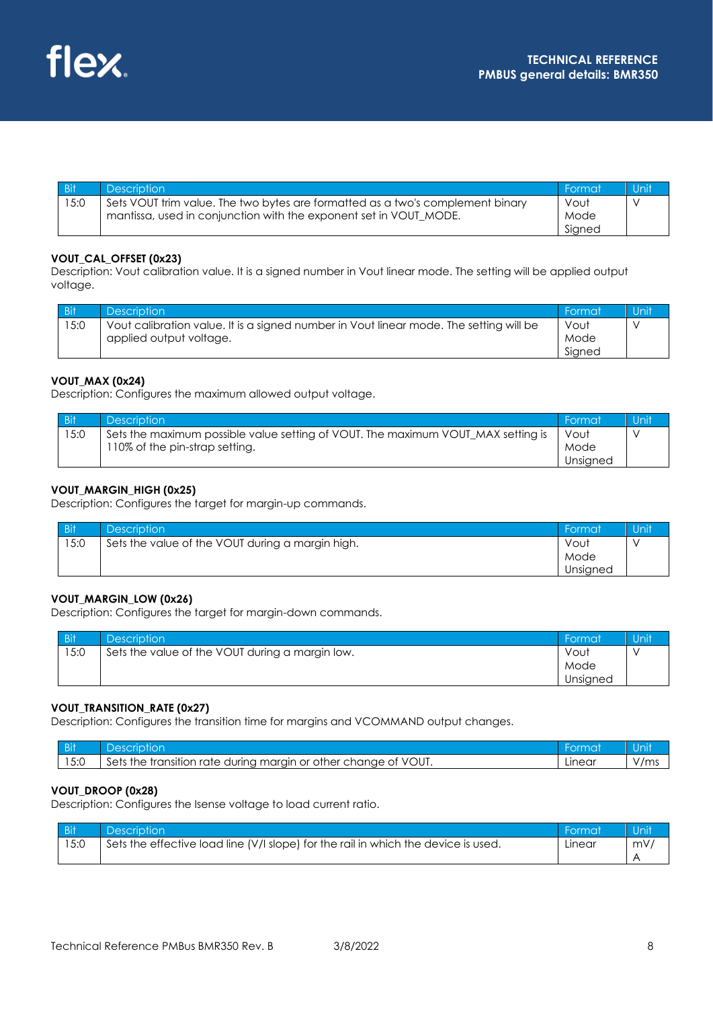

| <b>Bit</b> | <b>Description</b>                                                                                                                                  | Format                 | Unit |
|------------|-----------------------------------------------------------------------------------------------------------------------------------------------------|------------------------|------|
| 15:0       | Sets VOUT trim value. The two bytes are formatted as a two's complement binary<br>mantissa, used in conjunction with the exponent set in VOUT_MODE. | Vout<br>Mode<br>Signed |      |

#### **VOUT\_CAL\_OFFSET (0x23)**

Description: Vout calibration value. It is a signed number in Vout linear mode. The setting will be applied output voltage.

| <b>Bit</b> | <b>Description</b>                                                                     | Format | Unit |
|------------|----------------------------------------------------------------------------------------|--------|------|
| 15:0       | Vout calibration value. It is a signed number in Vout linear mode. The setting will be | Vout   |      |
|            | applied output voltage.                                                                | Mode   |      |
|            |                                                                                        | Signed |      |

### **VOUT\_MAX (0x24)**

Description: Configures the maximum allowed output voltage.

| <b>Bit</b> | <b>Description</b>                                                               | - Format | Unit |
|------------|----------------------------------------------------------------------------------|----------|------|
| 15:0       | Sets the maximum possible value setting of VOUT. The maximum VOUT_MAX setting is | Vout     |      |
|            | 110% of the pin-strap setting.                                                   | Mode     |      |
|            |                                                                                  | Unsigned |      |

#### **VOUT\_MARGIN\_HIGH (0x25)**

Description: Configures the target for margin-up commands.

| <b>Bit</b> | <b>Description</b>                               | ' Format | Unit |
|------------|--------------------------------------------------|----------|------|
| 15:0       | Sets the value of the VOUT during a margin high. | Vout     |      |
|            |                                                  | Mode     |      |
|            |                                                  | Unsigned |      |

## **VOUT\_MARGIN\_LOW (0x26)**

Description: Configures the target for margin-down commands.

| <b>Bit</b> | <b>Description</b>                              | ' Format | Unit |
|------------|-------------------------------------------------|----------|------|
| 15:0       | Sets the value of the VOUT during a margin low. | Vout     |      |
|            |                                                 | Mode     |      |
|            |                                                 | Unsigned |      |

### **VOUT\_TRANSITION\_RATE (0x27)**

Description: Configures the transition time for margins and VCOMMAND output changes.

| - D.H<br>- 21 |                                                                                                               | me.    | 'ni  |
|---------------|---------------------------------------------------------------------------------------------------------------|--------|------|
| 15:0          | /OUT.<br>or<br>Sets<br>other chanae<br>margin<br>rate .<br>durina<br>transition<br>the<br>$\mathcal{U}$<br>ΟŤ | Linear | '/ms |

#### **VOUT\_DROOP (0x28)**

Description: Configures the Isense voltage to load current ratio.

| Bit  | <b>Description</b>                                                                 | - Format | Unit |
|------|------------------------------------------------------------------------------------|----------|------|
| 15:0 | Sets the effective load line (V/I slope) for the rail in which the device is used. | Linear   | mV.  |
|      |                                                                                    |          |      |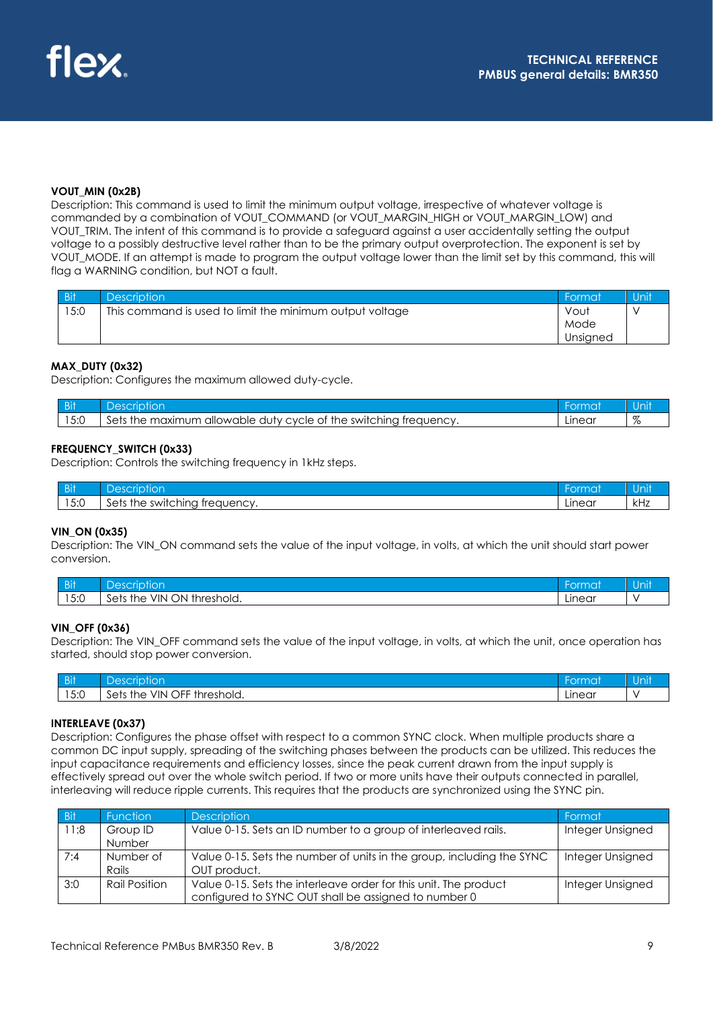#### **VOUT\_MIN (0x2B)**

Description: This command is used to limit the minimum output voltage, irrespective of whatever voltage is commanded by a combination of VOUT\_COMMAND (or VOUT\_MARGIN\_HIGH or VOUT\_MARGIN\_LOW) and VOUT\_TRIM. The intent of this command is to provide a safeguard against a user accidentally setting the output voltage to a possibly destructive level rather than to be the primary output overprotection. The exponent is set by VOUT\_MODE. If an attempt is made to program the output voltage lower than the limit set by this command, this will flag a WARNING condition, but NOT a fault.

| <b>Bit</b> | <b>Description</b>                                       | ' Format | Unit |
|------------|----------------------------------------------------------|----------|------|
| 15:0       | This command is used to limit the minimum output voltage | Vout     |      |
|            |                                                          | Mode     |      |
|            |                                                          | Unsigned |      |

#### **MAX\_DUTY (0x32)**

Description: Configures the maximum allowed duty-cycle.

| <b>DI</b> |                                                                                            | <b>kmo</b> |                  |
|-----------|--------------------------------------------------------------------------------------------|------------|------------------|
| 5:0       | Sets<br>the switching t<br>the<br>maximum<br>allowable<br>duty cycle<br>treauency.<br>, ot | Linear     | σ7<br>$\sqrt{c}$ |

#### **FREQUENCY\_SWITCH (0x33)**

Description: Controls the switching frequency in 1kHz steps.

| <b>DI</b><br>- 21     | $\sim$                                                                                          | $\overline{\phantom{a}}$ | $\cup$ 1      |
|-----------------------|-------------------------------------------------------------------------------------------------|--------------------------|---------------|
| $F \cdot \cap$<br>∪.∪ | the.<br>switching,<br>treauency<br>აe*<br>111 I.C<br>_<br>JU I I U V<br>$\sim$<br>$\sim$<br>. . | IOR<br>LII ICUI          | - 121<br>N IZ |

#### **VIN\_ON (0x35)**

Description: The VIN ON command sets the value of the input voltage, in volts, at which the unit should start power conversion.

| $-1$ | $\sim$                                           | orma:  | $\sim$ |
|------|--------------------------------------------------|--------|--------|
| ווט  | $\cup$ 1                                         |        | Unit   |
| 15:0 | ON<br>VIN<br>$\sim$<br>Sets<br>threshold.<br>the | Linear |        |

#### **VIN\_OFF (0x36)**

Description: The VIN\_OFF command sets the value of the input voltage, in volts, at which the unit, once operation has started, should stop power conversion.

| <b>DI</b> | Ē<br>1000<br>or                                     | prmat         | 7 T H<br>- 91 |
|-----------|-----------------------------------------------------|---------------|---------------|
| 15:0      | OFF th<br>VIN<br>Sets<br>threshold.<br>the<br>iviu. | <b>Linear</b> |               |

#### **INTERLEAVE (0x37)**

Description: Configures the phase offset with respect to a common SYNC clock. When multiple products share a common DC input supply, spreading of the switching phases between the products can be utilized. This reduces the input capacitance requirements and efficiency losses, since the peak current drawn from the input supply is effectively spread out over the whole switch period. If two or more units have their outputs connected in parallel, interleaving will reduce ripple currents. This requires that the products are synchronized using the SYNC pin.

| <b>Bit</b> | <b>Function</b> | <b>Description</b>                                                    | Format           |
|------------|-----------------|-----------------------------------------------------------------------|------------------|
| 11:8       | Group ID        | Value 0-15. Sets an ID number to a group of interleaved rails.        | Integer Unsigned |
|            | <b>Number</b>   |                                                                       |                  |
| 7:4        | Number of       | Value 0-15. Sets the number of units in the group, including the SYNC | Integer Unsigned |
|            | Rails           | OUT product.                                                          |                  |
| 3:0        | Rail Position   | Value 0-15. Sets the interleave order for this unit. The product      | Integer Unsigned |
|            |                 | configured to SYNC OUT shall be assigned to number 0                  |                  |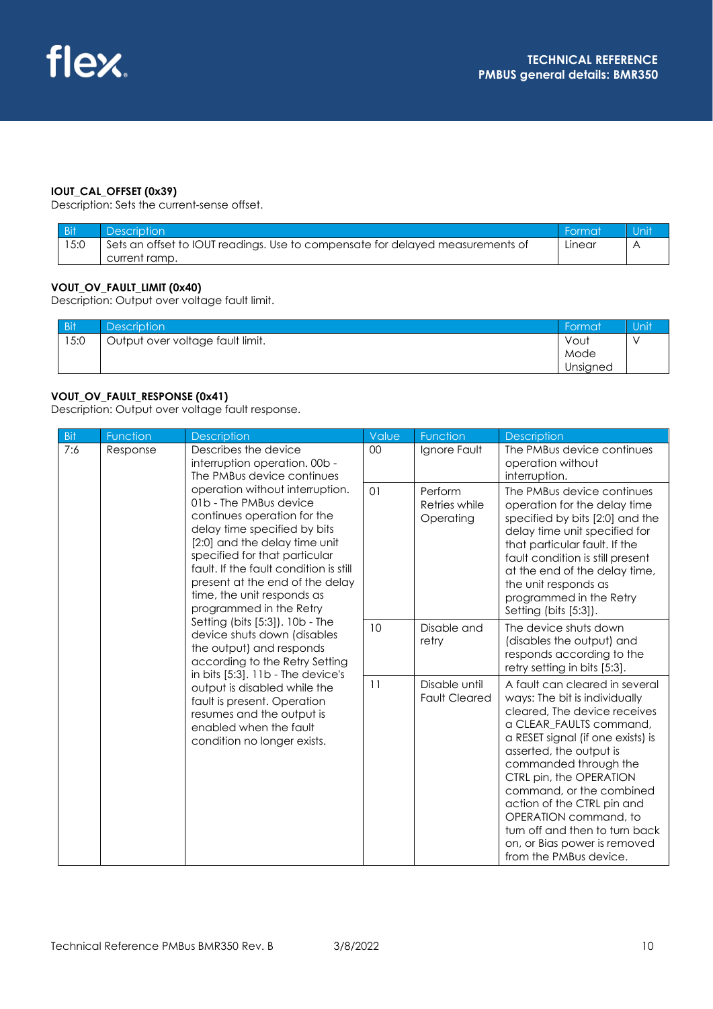## **IOUT\_CAL\_OFFSET (0x39)**

Description: Sets the current-sense offset.

| Bit  | <b>Description</b>                                                             | ı Format | Unit |
|------|--------------------------------------------------------------------------------|----------|------|
| 15:0 | Sets an offset to IOUT readings. Use to compensate for delayed measurements of | Linear   |      |
|      | current ramp.                                                                  |          |      |

### **VOUT\_OV\_FAULT\_LIMIT (0x40)**

Description: Output over voltage fault limit.

| <b>Bit</b> | <b>Description</b>               | Format   | Unit |
|------------|----------------------------------|----------|------|
| 15:0       | Output over voltage fault limit. | Vout     |      |
|            |                                  | Mode     |      |
|            |                                  | Unsigned |      |

### **VOUT\_OV\_FAULT\_RESPONSE (0x41)**

Description: Output over voltage fault response.

| <b>Bit</b>                                                                                                                                                                             | Function | Description                                                                                                                                                                                                                                                                                                                      | Value                                                                                                                                                                                                                                                                                                                                                                                                                         | Function                              | <b>Description</b>                                                                                                                                                                                                                                                                                               |
|----------------------------------------------------------------------------------------------------------------------------------------------------------------------------------------|----------|----------------------------------------------------------------------------------------------------------------------------------------------------------------------------------------------------------------------------------------------------------------------------------------------------------------------------------|-------------------------------------------------------------------------------------------------------------------------------------------------------------------------------------------------------------------------------------------------------------------------------------------------------------------------------------------------------------------------------------------------------------------------------|---------------------------------------|------------------------------------------------------------------------------------------------------------------------------------------------------------------------------------------------------------------------------------------------------------------------------------------------------------------|
| 7:6                                                                                                                                                                                    | Response | Describes the device<br>interruption operation. 00b -<br>The PMBus device continues                                                                                                                                                                                                                                              | 00                                                                                                                                                                                                                                                                                                                                                                                                                            | Ignore Fault                          | The PMBus device continues<br>operation without<br>interruption.                                                                                                                                                                                                                                                 |
|                                                                                                                                                                                        |          | operation without interruption.<br>01b - The PMBus device<br>continues operation for the<br>delay time specified by bits<br>[2:0] and the delay time unit<br>specified for that particular<br>fault. If the fault condition is still<br>present at the end of the delay<br>time, the unit responds as<br>programmed in the Retry | 01                                                                                                                                                                                                                                                                                                                                                                                                                            | Perform<br>Retries while<br>Operating | The PMBus device continues<br>operation for the delay time<br>specified by bits [2:0] and the<br>delay time unit specified for<br>that particular fault. If the<br>fault condition is still present<br>at the end of the delay time,<br>the unit responds as<br>programmed in the Retry<br>Setting (bits [5:3]). |
|                                                                                                                                                                                        |          | Setting (bits [5:3]). 10b - The<br>device shuts down (disables<br>the output) and responds<br>according to the Retry Setting                                                                                                                                                                                                     | 10                                                                                                                                                                                                                                                                                                                                                                                                                            | Disable and<br>retry                  | The device shuts down<br>(disables the output) and<br>responds according to the<br>retry setting in bits [5:3].                                                                                                                                                                                                  |
| in bits [5:3]. 11b - The device's<br>output is disabled while the<br>fault is present. Operation<br>resumes and the output is<br>enabled when the fault<br>condition no longer exists. | 11       | Disable until<br><b>Fault Cleared</b>                                                                                                                                                                                                                                                                                            | A fault can cleared in several<br>ways: The bit is individually<br>cleared. The device receives<br>a CLEAR_FAULTS command,<br>a RESET signal (if one exists) is<br>asserted, the output is<br>commanded through the<br>CTRL pin, the OPERATION<br>command, or the combined<br>action of the CTRL pin and<br>OPERATION command, to<br>turn off and then to turn back<br>on, or Bias power is removed<br>from the PMBus device. |                                       |                                                                                                                                                                                                                                                                                                                  |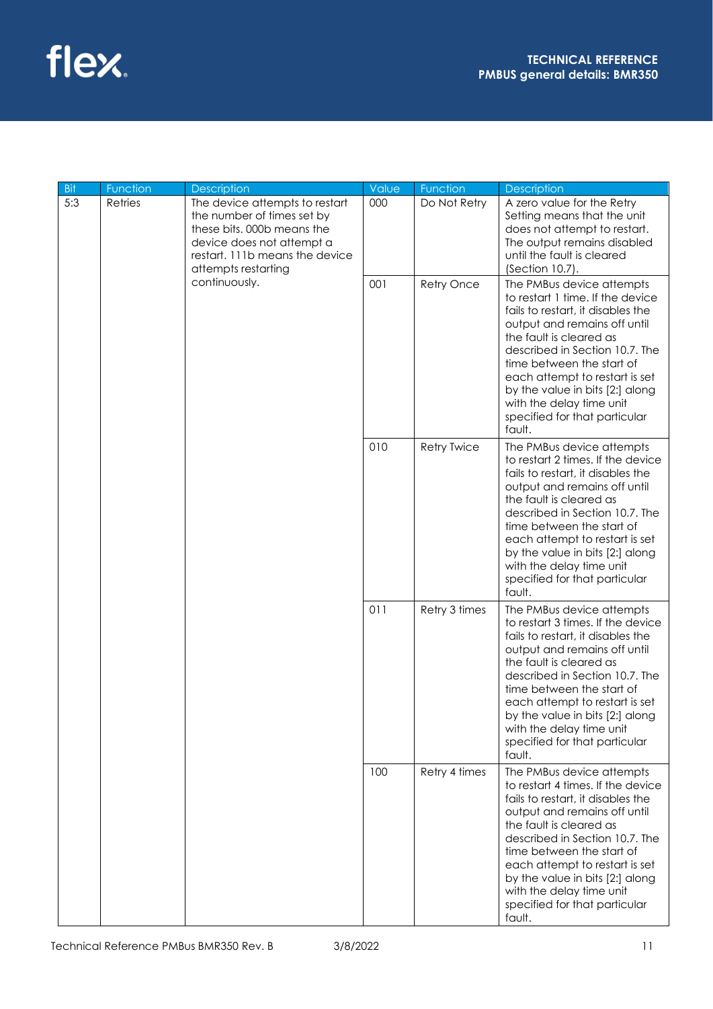

| <b>Bit</b> | Function | Description                                                                                                                                                                      | Value | Function           | Description                                                                                                                                                                                                                                                                                                                                                               |
|------------|----------|----------------------------------------------------------------------------------------------------------------------------------------------------------------------------------|-------|--------------------|---------------------------------------------------------------------------------------------------------------------------------------------------------------------------------------------------------------------------------------------------------------------------------------------------------------------------------------------------------------------------|
| 5:3        | Retries  | The device attempts to restart<br>the number of times set by<br>these bits, 000b means the<br>device does not attempt a<br>restart. 111b means the device<br>attempts restarting | 000   | Do Not Retry       | A zero value for the Retry<br>Setting means that the unit<br>does not attempt to restart.<br>The output remains disabled<br>until the fault is cleared<br>(Section 10.7).                                                                                                                                                                                                 |
|            |          | continuously.                                                                                                                                                                    | 001   | <b>Retry Once</b>  | The PMBus device attempts<br>to restart 1 time. If the device<br>fails to restart, it disables the<br>output and remains off until<br>the fault is cleared as<br>described in Section 10.7. The<br>time between the start of<br>each attempt to restart is set<br>by the value in bits [2:] along<br>with the delay time unit<br>specified for that particular<br>fault.  |
|            |          |                                                                                                                                                                                  | 010   | <b>Retry Twice</b> | The PMBus device attempts<br>to restart 2 times. If the device<br>fails to restart, it disables the<br>output and remains off until<br>the fault is cleared as<br>described in Section 10.7. The<br>time between the start of<br>each attempt to restart is set<br>by the value in bits [2:] along<br>with the delay time unit<br>specified for that particular<br>fault. |
|            |          |                                                                                                                                                                                  | 011   | Retry 3 times      | The PMBus device attempts<br>to restart 3 times. If the device<br>fails to restart, it disables the<br>output and remains off until<br>the fault is cleared as<br>described in Section 10.7. The<br>time between the start of<br>each attempt to restart is set<br>by the value in bits [2:] along<br>with the delay time unit<br>specified for that particular<br>fault. |
|            |          |                                                                                                                                                                                  | 100   | Retry 4 times      | The PMBus device attempts<br>to restart 4 times. If the device<br>fails to restart, it disables the<br>output and remains off until<br>the fault is cleared as<br>described in Section 10.7. The<br>time between the start of<br>each attempt to restart is set<br>by the value in bits [2:] along<br>with the delay time unit<br>specified for that particular<br>fault. |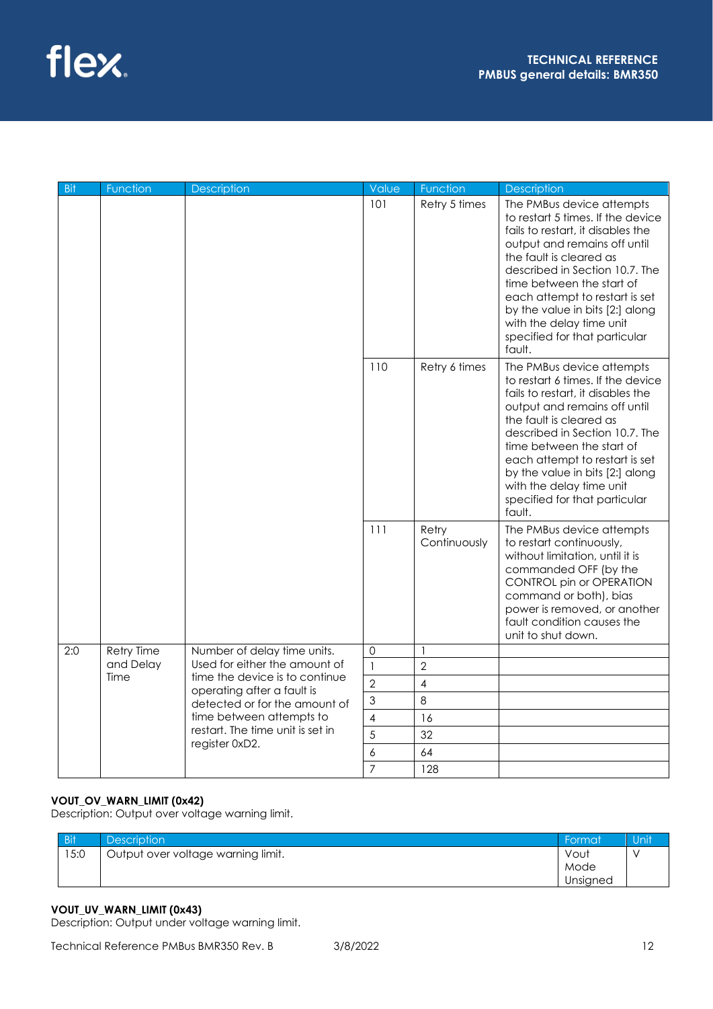

| <b>Bit</b> | Function          | <b>Description</b>                                              | Value          | Function                 | <b>Description</b>                                                                                                                                                                                                                                                                                                                                                        |
|------------|-------------------|-----------------------------------------------------------------|----------------|--------------------------|---------------------------------------------------------------------------------------------------------------------------------------------------------------------------------------------------------------------------------------------------------------------------------------------------------------------------------------------------------------------------|
|            |                   |                                                                 | 101            | Retry 5 times            | The PMBus device attempts<br>to restart 5 times. If the device<br>fails to restart, it disables the<br>output and remains off until<br>the fault is cleared as<br>described in Section 10.7. The<br>time between the start of<br>each attempt to restart is set<br>by the value in bits [2:] along<br>with the delay time unit<br>specified for that particular<br>fault. |
|            |                   |                                                                 | 110            | Retry 6 times            | The PMBus device attempts<br>to restart 6 times. If the device<br>fails to restart, it disables the<br>output and remains off until<br>the fault is cleared as<br>described in Section 10.7. The<br>time between the start of<br>each attempt to restart is set<br>by the value in bits [2:] along<br>with the delay time unit<br>specified for that particular<br>fault. |
|            |                   |                                                                 | 111            | Retry<br>Continuously    | The PMBus device attempts<br>to restart continuously,<br>without limitation, until it is<br>commanded OFF (by the<br>CONTROL pin or OPERATION<br>command or both), bias<br>power is removed, or another<br>fault condition causes the<br>unit to shut down.                                                                                                               |
| 2:0        | <b>Retry Time</b> | Number of delay time units.                                     | $\mathbf 0$    | $\overline{\phantom{a}}$ |                                                                                                                                                                                                                                                                                                                                                                           |
|            | and Delay         | Used for either the amount of<br>time the device is to continue | $\mathbf{1}$   | $\overline{2}$           |                                                                                                                                                                                                                                                                                                                                                                           |
|            | Time              | operating after a fault is                                      | $\overline{2}$ | $\overline{\mathcal{A}}$ |                                                                                                                                                                                                                                                                                                                                                                           |
|            |                   | detected or for the amount of                                   | 3              | 8                        |                                                                                                                                                                                                                                                                                                                                                                           |
|            |                   | time between attempts to                                        | 4              | 16                       |                                                                                                                                                                                                                                                                                                                                                                           |
|            |                   | restart. The time unit is set in<br>register 0xD2.              | 5              | 32                       |                                                                                                                                                                                                                                                                                                                                                                           |
|            |                   |                                                                 | 6              | 64                       |                                                                                                                                                                                                                                                                                                                                                                           |
|            |                   |                                                                 | $\overline{7}$ | 128                      |                                                                                                                                                                                                                                                                                                                                                                           |

## **VOUT\_OV\_WARN\_LIMIT (0x42)**

Description: Output over voltage warning limit.

| <b>Bit</b> | <b>Description</b>                 | Format   | Unit |
|------------|------------------------------------|----------|------|
| 15:0       | Output over voltage warning limit. | Vout     |      |
|            |                                    | Mode     |      |
|            |                                    | Unsigned |      |

## **VOUT\_UV\_WARN\_LIMIT (0x43)**

Description: Output under voltage warning limit.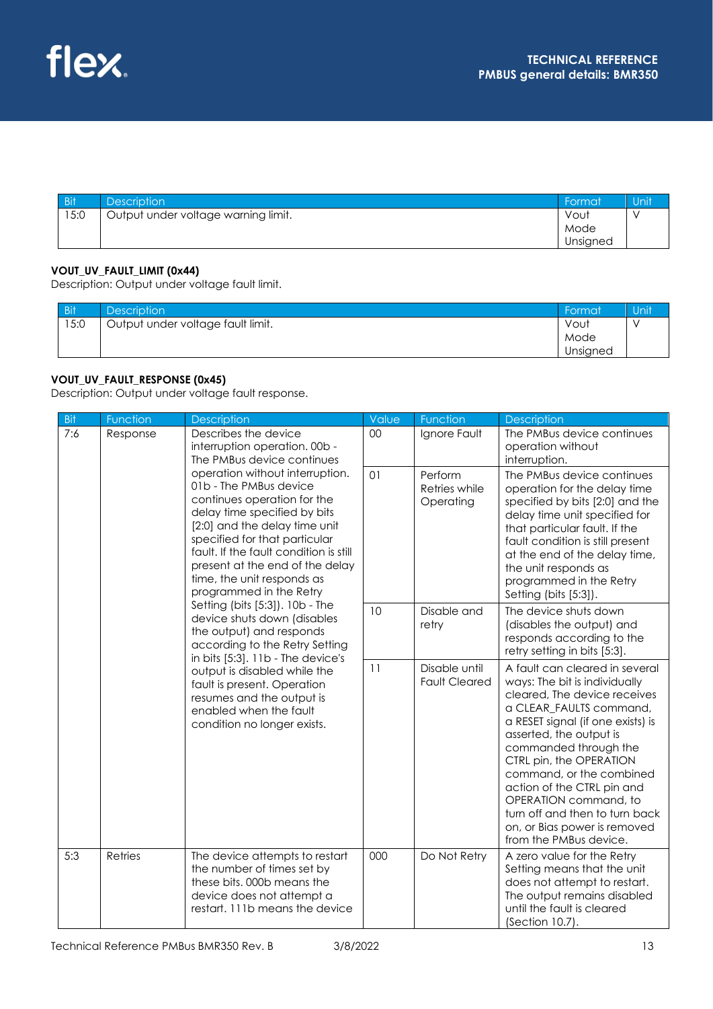| <b>Bit</b> | <b>Description</b>                  | ' Format | ı Unit |
|------------|-------------------------------------|----------|--------|
| 15:0       | Output under voltage warning limit. | Vout     |        |
|            |                                     | Mode     |        |
|            |                                     | Unsigned |        |

## **VOUT\_UV\_FAULT\_LIMIT (0x44)**

Description: Output under voltage fault limit.

| <b>Bit</b> | <b>Description</b>                | Format   | Unit      |
|------------|-----------------------------------|----------|-----------|
| 15:0       | Output under voltage fault limit. | Vout     | $\lambda$ |
|            |                                   | Mode     |           |
|            |                                   | Unsigned |           |

## **VOUT\_UV\_FAULT\_RESPONSE (0x45)**

Description: Output under voltage fault response.

| Bit | Function                                                                                                                                                                               | Description                                                                                                                                                                                                                                                                                                                      | Value                                 | Function                                                                                                                                                                                                                                                                                                                                                                                                                      | Description                                                                                                                                                                                                                                                                                                      |
|-----|----------------------------------------------------------------------------------------------------------------------------------------------------------------------------------------|----------------------------------------------------------------------------------------------------------------------------------------------------------------------------------------------------------------------------------------------------------------------------------------------------------------------------------|---------------------------------------|-------------------------------------------------------------------------------------------------------------------------------------------------------------------------------------------------------------------------------------------------------------------------------------------------------------------------------------------------------------------------------------------------------------------------------|------------------------------------------------------------------------------------------------------------------------------------------------------------------------------------------------------------------------------------------------------------------------------------------------------------------|
| 7:6 | Response                                                                                                                                                                               | Describes the device<br>interruption operation. 00b -<br>The PMBus device continues                                                                                                                                                                                                                                              | $00\,$                                | Ignore Fault                                                                                                                                                                                                                                                                                                                                                                                                                  | The PMBus device continues<br>operation without<br>interruption.                                                                                                                                                                                                                                                 |
|     |                                                                                                                                                                                        | operation without interruption.<br>01b - The PMBus device<br>continues operation for the<br>delay time specified by bits<br>[2:0] and the delay time unit<br>specified for that particular<br>fault. If the fault condition is still<br>present at the end of the delay<br>time, the unit responds as<br>programmed in the Retry | 01                                    | Perform<br>Retries while<br>Operating                                                                                                                                                                                                                                                                                                                                                                                         | The PMBus device continues<br>operation for the delay time<br>specified by bits [2:0] and the<br>delay time unit specified for<br>that particular fault. If the<br>fault condition is still present<br>at the end of the delay time,<br>the unit responds as<br>programmed in the Retry<br>Setting (bits [5:3]). |
|     |                                                                                                                                                                                        | Setting (bits [5:3]). 10b - The<br>device shuts down (disables<br>the output) and responds<br>according to the Retry Setting                                                                                                                                                                                                     | 10                                    | Disable and<br>retry                                                                                                                                                                                                                                                                                                                                                                                                          | The device shuts down<br>(disables the output) and<br>responds according to the<br>retry setting in bits [5:3].                                                                                                                                                                                                  |
|     | in bits [5:3]. 11b - The device's<br>output is disabled while the<br>fault is present. Operation<br>resumes and the output is<br>enabled when the fault<br>condition no longer exists. | 11                                                                                                                                                                                                                                                                                                                               | Disable until<br><b>Fault Cleared</b> | A fault can cleared in several<br>ways: The bit is individually<br>cleared, The device receives<br>a CLEAR_FAULTS command,<br>a RESET signal (if one exists) is<br>asserted, the output is<br>commanded through the<br>CTRL pin, the OPERATION<br>command, or the combined<br>action of the CTRL pin and<br>OPERATION command, to<br>turn off and then to turn back<br>on, or Bias power is removed<br>from the PMBus device. |                                                                                                                                                                                                                                                                                                                  |
| 5:3 | Retries                                                                                                                                                                                | The device attempts to restart<br>the number of times set by<br>these bits, 000b means the<br>device does not attempt a<br>restart. 111b means the device                                                                                                                                                                        | 000                                   | Do Not Retry                                                                                                                                                                                                                                                                                                                                                                                                                  | A zero value for the Retry<br>Setting means that the unit<br>does not attempt to restart.<br>The output remains disabled<br>until the fault is cleared<br>(Section 10.7).                                                                                                                                        |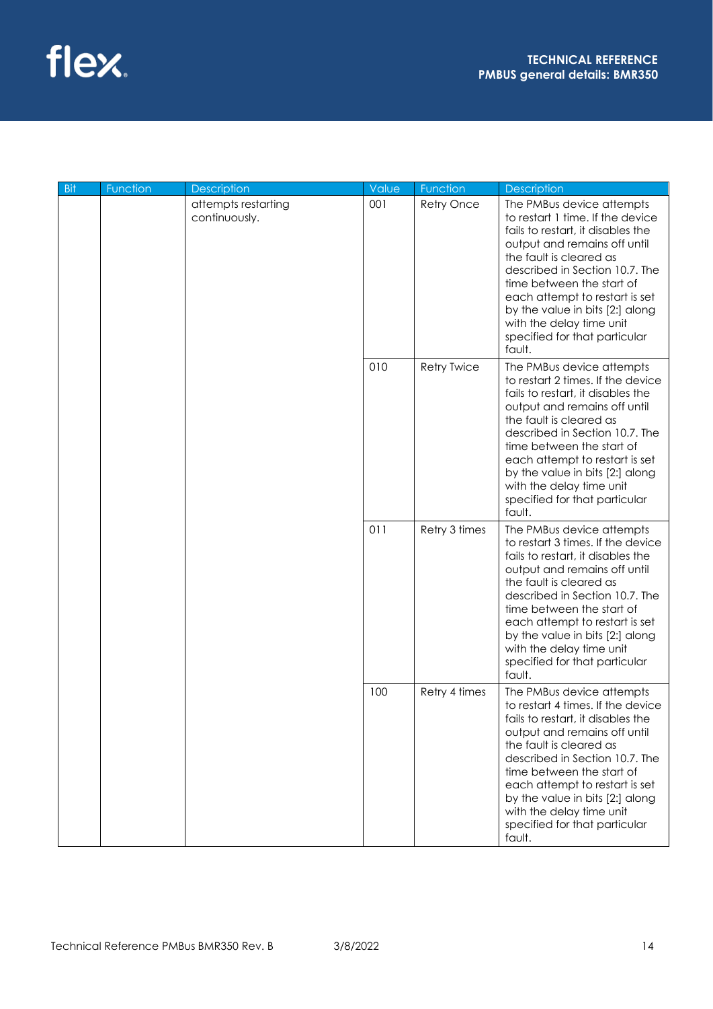| Bit | Function | <b>Description</b>                   | Value | Function           | Description                                                                                                                                                                                                                                                                                                                                                               |
|-----|----------|--------------------------------------|-------|--------------------|---------------------------------------------------------------------------------------------------------------------------------------------------------------------------------------------------------------------------------------------------------------------------------------------------------------------------------------------------------------------------|
|     |          | attempts restarting<br>continuously. | 001   | Retry Once         | The PMBus device attempts<br>to restart 1 time. If the device<br>fails to restart, it disables the<br>output and remains off until<br>the fault is cleared as<br>described in Section 10.7. The<br>time between the start of<br>each attempt to restart is set<br>by the value in bits [2:] along<br>with the delay time unit<br>specified for that particular<br>fault.  |
|     |          |                                      | 010   | <b>Retry Twice</b> | The PMBus device attempts<br>to restart 2 times. If the device<br>fails to restart, it disables the<br>output and remains off until<br>the fault is cleared as<br>described in Section 10.7. The<br>time between the start of<br>each attempt to restart is set<br>by the value in bits [2:] along<br>with the delay time unit<br>specified for that particular<br>fault. |
|     |          |                                      | 011   | Retry 3 times      | The PMBus device attempts<br>to restart 3 times. If the device<br>fails to restart, it disables the<br>output and remains off until<br>the fault is cleared as<br>described in Section 10.7. The<br>time between the start of<br>each attempt to restart is set<br>by the value in bits [2:] along<br>with the delay time unit<br>specified for that particular<br>fault. |
|     |          |                                      | 100   | Retry 4 times      | The PMBus device attempts<br>to restart 4 times. If the device<br>fails to restart, it disables the<br>output and remains off until<br>the fault is cleared as<br>described in Section 10.7. The<br>time between the start of<br>each attempt to restart is set<br>by the value in bits [2:] along<br>with the delay time unit<br>specified for that particular<br>fault. |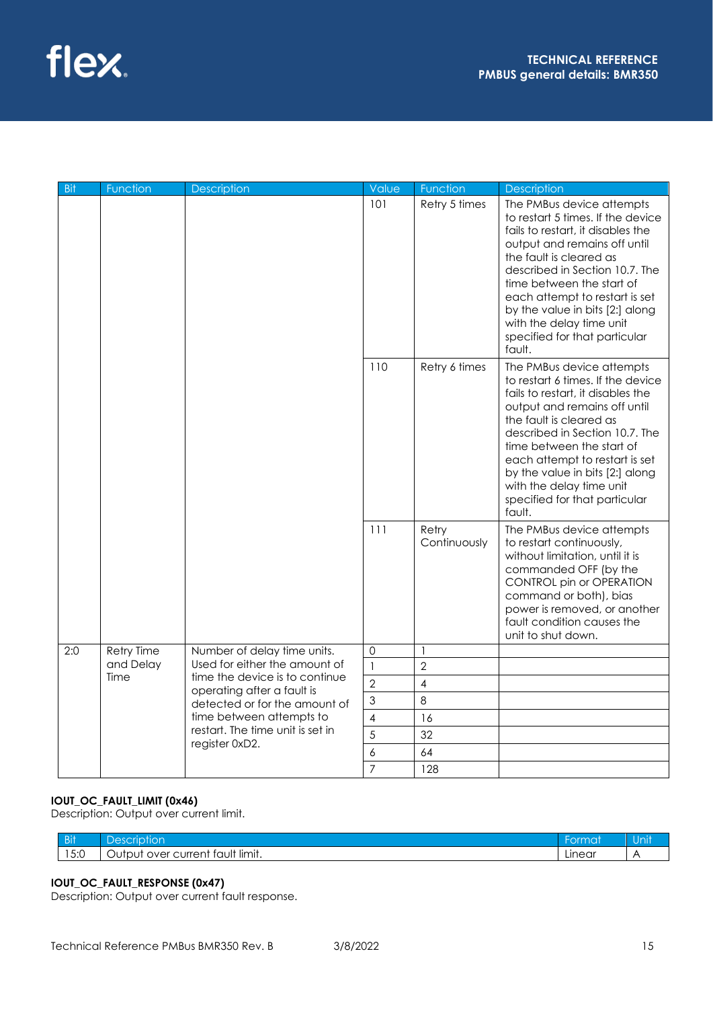

| - Bit | Function          | <b>Description</b>                                           | Value          | Function              | <b>Description</b>                                                                                                                                                                                                                                                                                                                                                        |
|-------|-------------------|--------------------------------------------------------------|----------------|-----------------------|---------------------------------------------------------------------------------------------------------------------------------------------------------------------------------------------------------------------------------------------------------------------------------------------------------------------------------------------------------------------------|
|       |                   |                                                              | 101            | Retry 5 times         | The PMBus device attempts<br>to restart 5 times. If the device<br>fails to restart, it disables the<br>output and remains off until<br>the fault is cleared as<br>described in Section 10.7. The<br>time between the start of<br>each attempt to restart is set<br>by the value in bits [2:] along<br>with the delay time unit<br>specified for that particular<br>fault. |
|       |                   |                                                              | 110            | Retry 6 times         | The PMBus device attempts<br>to restart 6 times. If the device<br>fails to restart, it disables the<br>output and remains off until<br>the fault is cleared as<br>described in Section 10.7. The<br>time between the start of<br>each attempt to restart is set<br>by the value in bits [2:] along<br>with the delay time unit<br>specified for that particular<br>fault. |
|       |                   |                                                              | 111            | Retry<br>Continuously | The PMBus device attempts<br>to restart continuously,<br>without limitation, until it is<br>commanded OFF (by the<br>CONTROL pin or OPERATION<br>command or both), bias<br>power is removed, or another<br>fault condition causes the<br>unit to shut down.                                                                                                               |
| 2:0   | <b>Retry Time</b> | Number of delay time units.                                  | 0              | $\mathbf{1}$          |                                                                                                                                                                                                                                                                                                                                                                           |
|       | and Delay         | Used for either the amount of                                | $\mathbf{1}$   | $\overline{2}$        |                                                                                                                                                                                                                                                                                                                                                                           |
|       | Time              | time the device is to continue<br>operating after a fault is | $\overline{2}$ | 4                     |                                                                                                                                                                                                                                                                                                                                                                           |
|       |                   | detected or for the amount of                                | 3              | $\,8\,$               |                                                                                                                                                                                                                                                                                                                                                                           |
|       |                   | time between attempts to<br>restart. The time unit is set in | 4              | 16                    |                                                                                                                                                                                                                                                                                                                                                                           |
|       |                   | register 0xD2.                                               | 5              | 32                    |                                                                                                                                                                                                                                                                                                                                                                           |
|       |                   |                                                              | 6              | 64                    |                                                                                                                                                                                                                                                                                                                                                                           |
|       |                   |                                                              | $\overline{7}$ | 128                   |                                                                                                                                                                                                                                                                                                                                                                           |

## **IOUT\_OC\_FAULT\_LIMIT (0x46)**

Description: Output over current limit.

| ⊑ Di#<br>-DII | $A^{\text{P}}$<br>ior<br>Ίľ                                            | ormat  | <u>у Он к</u> |
|---------------|------------------------------------------------------------------------|--------|---------------|
| 15:0          | $\cdots$<br>It limit.<br>current<br>taui<br>over<br>$+ -$<br>ΩU.<br>vu | Linear |               |

## **IOUT\_OC\_FAULT\_RESPONSE (0x47)**

Description: Output over current fault response.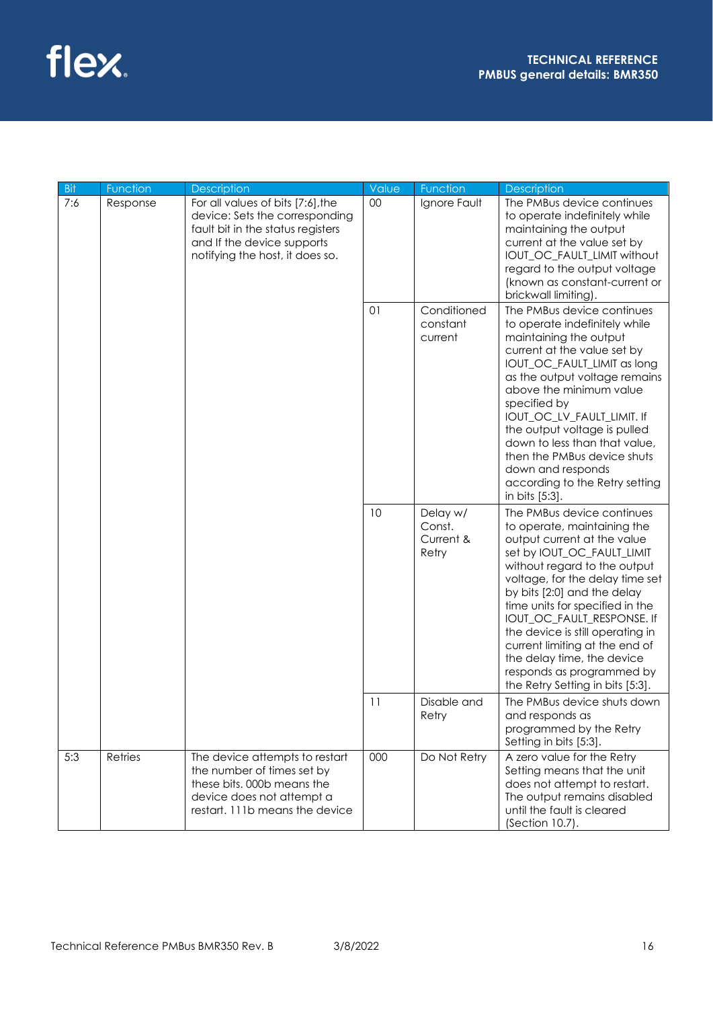

| <b>Bit</b> | Function | <b>Description</b>                                                                                                                                                        | Value | Function                                 | Description                                                                                                                                                                                                                                                                                                                                                                                                                                                    |
|------------|----------|---------------------------------------------------------------------------------------------------------------------------------------------------------------------------|-------|------------------------------------------|----------------------------------------------------------------------------------------------------------------------------------------------------------------------------------------------------------------------------------------------------------------------------------------------------------------------------------------------------------------------------------------------------------------------------------------------------------------|
| 7:6        | Response | For all values of bits [7:6], the<br>device: Sets the corresponding<br>fault bit in the status registers<br>and If the device supports<br>notifying the host, it does so. | 00    | Ignore Fault                             | The PMBus device continues<br>to operate indefinitely while<br>maintaining the output<br>current at the value set by<br>IOUT_OC_FAULT_LIMIT without<br>regard to the output voltage<br>(known as constant-current or<br>brickwall limiting).                                                                                                                                                                                                                   |
|            |          |                                                                                                                                                                           | 01    | Conditioned<br>constant<br>current       | The PMBus device continues<br>to operate indefinitely while<br>maintaining the output<br>current at the value set by<br>IOUT_OC_FAULT_LIMIT as long<br>as the output voltage remains<br>above the minimum value<br>specified by<br>IOUT_OC_LV_FAULT_LIMIT. If<br>the output voltage is pulled<br>down to less than that value,<br>then the PMBus device shuts<br>down and responds<br>according to the Retry setting<br>in bits [5:3].                         |
|            |          |                                                                                                                                                                           | 10    | Delay w/<br>Const.<br>Current &<br>Retry | The PMBus device continues<br>to operate, maintaining the<br>output current at the value<br>set by IOUT_OC_FAULT_LIMIT<br>without regard to the output<br>voltage, for the delay time set<br>by bits [2:0] and the delay<br>time units for specified in the<br>IOUT_OC_FAULT_RESPONSE. If<br>the device is still operating in<br>current limiting at the end of<br>the delay time, the device<br>responds as programmed by<br>the Retry Setting in bits [5:3]. |
|            |          |                                                                                                                                                                           | 11    | Disable and<br>Retry                     | The PMBus device shuts down<br>and responds as<br>programmed by the Retry<br>Setting in bits [5:3].                                                                                                                                                                                                                                                                                                                                                            |
| 5:3        | Retries  | The device attempts to restart<br>the number of times set by<br>these bits. 000b means the<br>device does not attempt a<br>restart. 111b means the device                 | 000   | Do Not Retry                             | A zero value for the Retry<br>Setting means that the unit<br>does not attempt to restart.<br>The output remains disabled<br>until the fault is cleared<br>(Section 10.7).                                                                                                                                                                                                                                                                                      |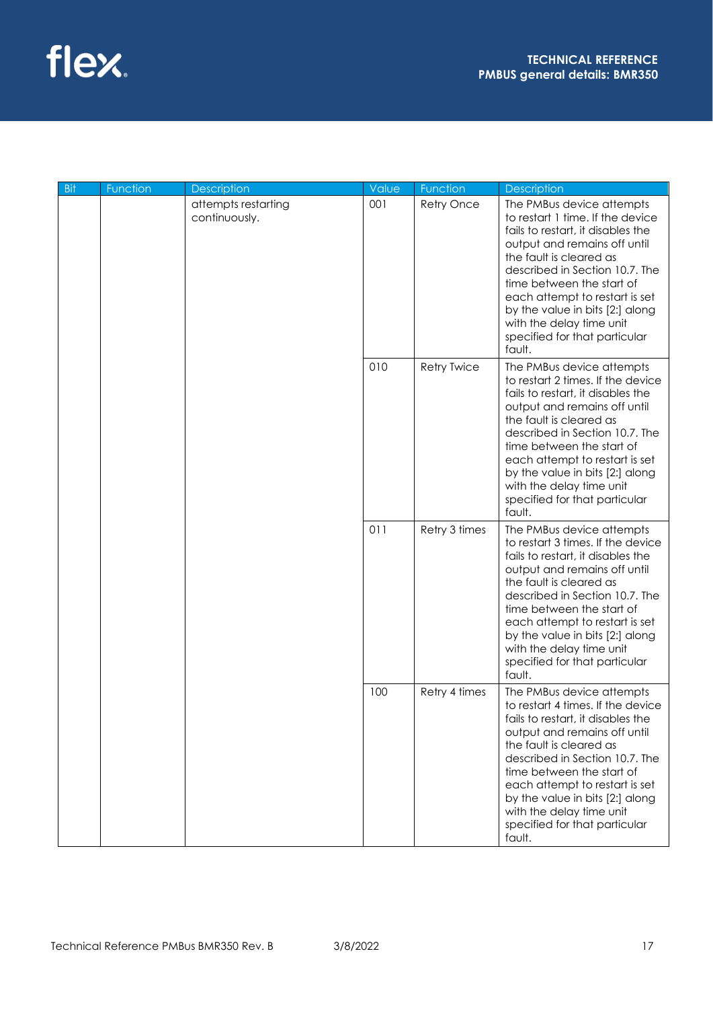| Bit | Function      | <b>Description</b>  | Value         | Function                                                                                                                                                                                                                                                                                                                                                                  | Description                                                                                                                                                                                                                                                                                                                                                               |
|-----|---------------|---------------------|---------------|---------------------------------------------------------------------------------------------------------------------------------------------------------------------------------------------------------------------------------------------------------------------------------------------------------------------------------------------------------------------------|---------------------------------------------------------------------------------------------------------------------------------------------------------------------------------------------------------------------------------------------------------------------------------------------------------------------------------------------------------------------------|
|     | continuously. | attempts restarting | 001           | Retry Once                                                                                                                                                                                                                                                                                                                                                                | The PMBus device attempts<br>to restart 1 time. If the device<br>fails to restart, it disables the<br>output and remains off until<br>the fault is cleared as<br>described in Section 10.7. The<br>time between the start of<br>each attempt to restart is set<br>by the value in bits [2:] along<br>with the delay time unit<br>specified for that particular<br>fault.  |
|     |               |                     | 010           | <b>Retry Twice</b>                                                                                                                                                                                                                                                                                                                                                        | The PMBus device attempts<br>to restart 2 times. If the device<br>fails to restart, it disables the<br>output and remains off until<br>the fault is cleared as<br>described in Section 10.7. The<br>time between the start of<br>each attempt to restart is set<br>by the value in bits [2:] along<br>with the delay time unit<br>specified for that particular<br>fault. |
|     |               | 011                 | Retry 3 times | The PMBus device attempts<br>to restart 3 times. If the device<br>fails to restart, it disables the<br>output and remains off until<br>the fault is cleared as<br>described in Section 10.7. The<br>time between the start of<br>each attempt to restart is set<br>by the value in bits [2:] along<br>with the delay time unit<br>specified for that particular<br>fault. |                                                                                                                                                                                                                                                                                                                                                                           |
|     |               |                     | 100           | Retry 4 times                                                                                                                                                                                                                                                                                                                                                             | The PMBus device attempts<br>to restart 4 times. If the device<br>fails to restart, it disables the<br>output and remains off until<br>the fault is cleared as<br>described in Section 10.7. The<br>time between the start of<br>each attempt to restart is set<br>by the value in bits [2:] along<br>with the delay time unit<br>specified for that particular<br>fault. |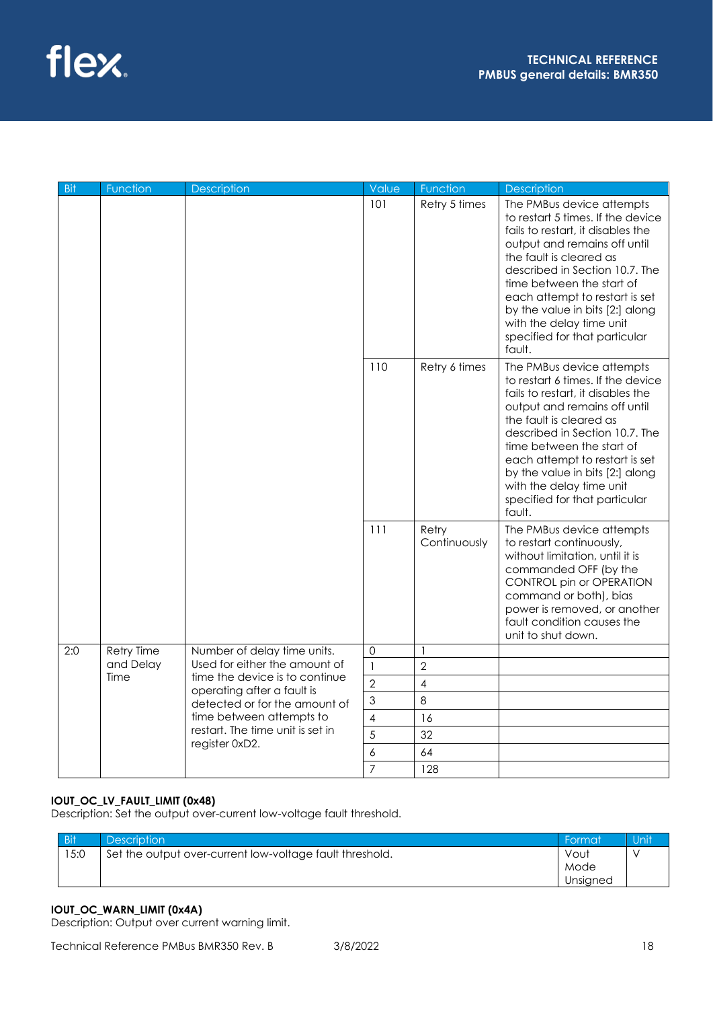

| - Bit | Function          | <b>Description</b>                                           | Value                    | Function              | <b>Description</b>                                                                                                                                                                                                                                                                                                                                                        |
|-------|-------------------|--------------------------------------------------------------|--------------------------|-----------------------|---------------------------------------------------------------------------------------------------------------------------------------------------------------------------------------------------------------------------------------------------------------------------------------------------------------------------------------------------------------------------|
|       |                   |                                                              | 101                      | Retry 5 times         | The PMBus device attempts<br>to restart 5 times. If the device<br>fails to restart, it disables the<br>output and remains off until<br>the fault is cleared as<br>described in Section 10.7. The<br>time between the start of<br>each attempt to restart is set<br>by the value in bits [2:] along<br>with the delay time unit<br>specified for that particular<br>fault. |
|       |                   |                                                              | 110                      | Retry 6 times         | The PMBus device attempts<br>to restart 6 times. If the device<br>fails to restart, it disables the<br>output and remains off until<br>the fault is cleared as<br>described in Section 10.7. The<br>time between the start of<br>each attempt to restart is set<br>by the value in bits [2:] along<br>with the delay time unit<br>specified for that particular<br>fault. |
|       |                   |                                                              | 111                      | Retry<br>Continuously | The PMBus device attempts<br>to restart continuously,<br>without limitation, until it is<br>commanded OFF (by the<br>CONTROL pin or OPERATION<br>command or both), bias<br>power is removed, or another<br>fault condition causes the<br>unit to shut down.                                                                                                               |
| 2:0   | <b>Retry Time</b> | Number of delay time units.                                  | $\overline{0}$           |                       |                                                                                                                                                                                                                                                                                                                                                                           |
|       | and Delay         | Used for either the amount of                                | $\mathbf{1}$             | $\overline{2}$        |                                                                                                                                                                                                                                                                                                                                                                           |
|       | Time              | time the device is to continue<br>operating after a fault is | $\overline{2}$           | 4                     |                                                                                                                                                                                                                                                                                                                                                                           |
|       |                   | detected or for the amount of                                | 3                        | 8                     |                                                                                                                                                                                                                                                                                                                                                                           |
|       |                   | time between attempts to<br>restart. The time unit is set in | $\overline{\mathcal{A}}$ | 16                    |                                                                                                                                                                                                                                                                                                                                                                           |
|       |                   | register 0xD2.                                               | 5                        | 32                    |                                                                                                                                                                                                                                                                                                                                                                           |
|       |                   |                                                              | 6                        | 64                    |                                                                                                                                                                                                                                                                                                                                                                           |
|       |                   |                                                              | $\overline{7}$           | 128                   |                                                                                                                                                                                                                                                                                                                                                                           |

## **IOUT\_OC\_LV\_FAULT\_LIMIT (0x48)**

Description: Set the output over-current low-voltage fault threshold.

| <b>Bit</b> | <b>Description</b>                                       | Format   | Unit |
|------------|----------------------------------------------------------|----------|------|
| 15:0       | Set the output over-current low-voltage fault threshold. | Vout     |      |
|            |                                                          | Mode     |      |
|            |                                                          | Unsigned |      |

## **IOUT\_OC\_WARN\_LIMIT (0x4A)**

Description: Output over current warning limit.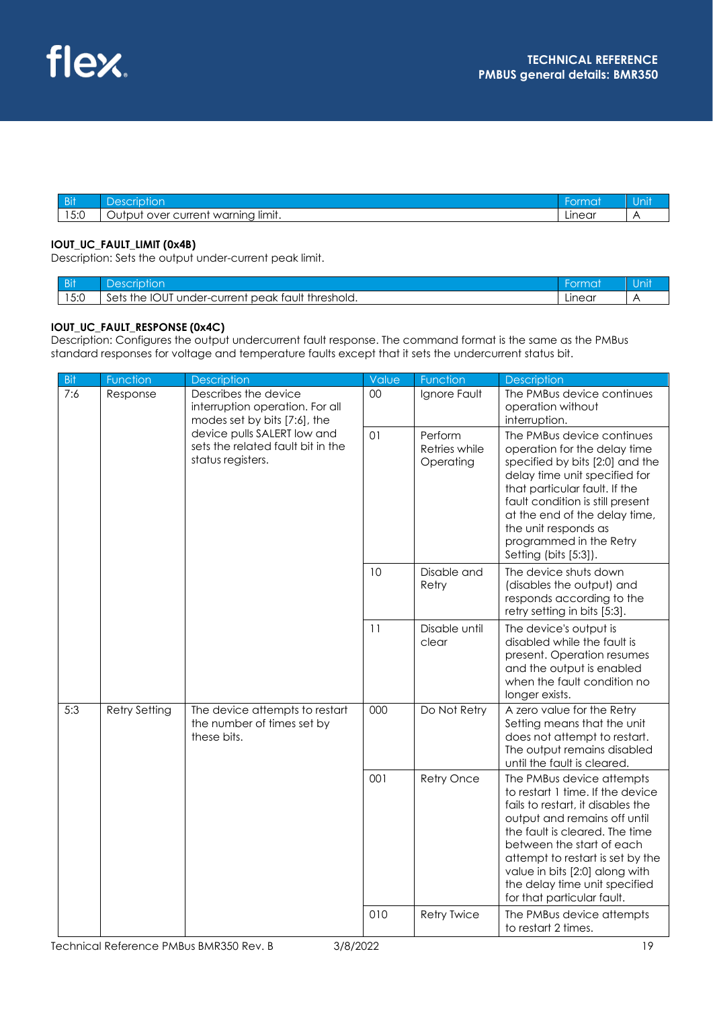| $-0.11$<br>ווט        |                                                         |        |  |
|-----------------------|---------------------------------------------------------|--------|--|
| $F \cdot \cap$<br>ي.ر | $\cdot$<br>limit.<br>warning<br>urrer<br>$-1$<br>. IVAr | Linear |  |

### **IOUT\_UC\_FAULT\_LIMIT (0x4B)**

Description: Sets the output under-current peak limit.

| <b>Bit</b>    | $\sim$<br>$\overline{\Omega}$<br>uor                                                                              | ırmat  | UH |
|---------------|-------------------------------------------------------------------------------------------------------------------|--------|----|
| 15.0<br>' J.U | . <del>.</del><br><b>IOU</b><br>$\sim$<br>sets<br>the<br><sup>.</sup> beak tault<br>* threshold.<br>under-current | Linear |    |

## **IOUT\_UC\_FAULT\_RESPONSE (0x4C)**

Description: Configures the output undercurrent fault response. The command format is the same as the PMBus standard responses for voltage and temperature faults except that it sets the undercurrent status bit.

| Bit | Function             | Description                                                                                                                                                                      | Value | Function                              | <b>Description</b>                                                                                                                                                                                                                                                                                                                     |
|-----|----------------------|----------------------------------------------------------------------------------------------------------------------------------------------------------------------------------|-------|---------------------------------------|----------------------------------------------------------------------------------------------------------------------------------------------------------------------------------------------------------------------------------------------------------------------------------------------------------------------------------------|
| 7:6 | Response             | Describes the device<br>interruption operation. For all<br>modes set by bits [7:6], the<br>device pulls SALERT low and<br>sets the related fault bit in the<br>status registers. | 00    | Ignore Fault                          | The PMBus device continues<br>operation without<br>interruption.                                                                                                                                                                                                                                                                       |
|     |                      |                                                                                                                                                                                  | 01    | Perform<br>Retries while<br>Operating | The PMBus device continues<br>operation for the delay time<br>specified by bits [2:0] and the<br>delay time unit specified for<br>that particular fault. If the<br>fault condition is still present<br>at the end of the delay time,<br>the unit responds as<br>programmed in the Retry<br>Setting (bits [5:3]).                       |
|     |                      |                                                                                                                                                                                  | 10    | Disable and<br>Retry                  | The device shuts down<br>(disables the output) and<br>responds according to the<br>retry setting in bits [5:3].                                                                                                                                                                                                                        |
|     |                      |                                                                                                                                                                                  | 11    | Disable until<br>clear                | The device's output is<br>disabled while the fault is<br>present. Operation resumes<br>and the output is enabled<br>when the fault condition no<br>longer exists.                                                                                                                                                                      |
| 5:3 | <b>Retry Setting</b> | The device attempts to restart<br>the number of times set by<br>these bits.                                                                                                      | 000   | Do Not Retry                          | A zero value for the Retry<br>Setting means that the unit<br>does not attempt to restart.<br>The output remains disabled<br>until the fault is cleared.                                                                                                                                                                                |
|     |                      |                                                                                                                                                                                  | 001   | Retry Once                            | The PMBus device attempts<br>to restart 1 time. If the device<br>fails to restart, it disables the<br>output and remains off until<br>the fault is cleared. The time<br>between the start of each<br>attempt to restart is set by the<br>value in bits [2:0] along with<br>the delay time unit specified<br>for that particular fault. |
|     |                      |                                                                                                                                                                                  | 010   | <b>Retry Twice</b>                    | The PMBus device attempts<br>to restart 2 times.                                                                                                                                                                                                                                                                                       |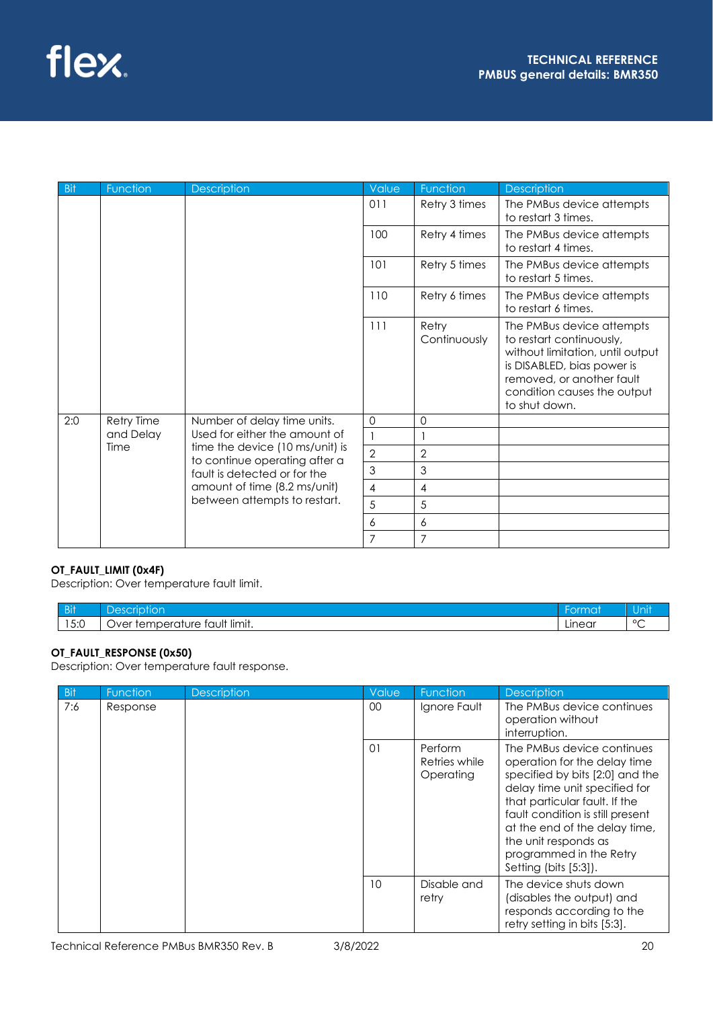| <b>Bit</b> | Function          | <b>Description</b>                                                                                | Value          | Function              | Description                                                                                                                                                                                          |
|------------|-------------------|---------------------------------------------------------------------------------------------------|----------------|-----------------------|------------------------------------------------------------------------------------------------------------------------------------------------------------------------------------------------------|
|            |                   |                                                                                                   | 011            | Retry 3 times         | The PMBus device attempts<br>to restart 3 times.                                                                                                                                                     |
|            |                   |                                                                                                   | 100            | Retry 4 times         | The PMBus device attempts<br>to restart 4 times.                                                                                                                                                     |
|            |                   |                                                                                                   | 101            | Retry 5 times         | The PMBus device attempts<br>to restart 5 times.                                                                                                                                                     |
|            |                   |                                                                                                   | 110            | Retry 6 times         | The PMBus device attempts<br>to restart 6 times.                                                                                                                                                     |
|            |                   |                                                                                                   | 111            | Retry<br>Continuously | The PMBus device attempts<br>to restart continuously,<br>without limitation, until output<br>is DISABLED, bias power is<br>removed, or another fault<br>condition causes the output<br>to shut down. |
| 2:0        | <b>Retry Time</b> | Number of delay time units.                                                                       | $\Omega$       | 0                     |                                                                                                                                                                                                      |
|            | and Delay         | Used for either the amount of<br>time the device (10 ms/unit) is<br>to continue operating after a | $\mathbf{1}$   |                       |                                                                                                                                                                                                      |
|            | Time              |                                                                                                   | $\overline{2}$ | $\overline{2}$        |                                                                                                                                                                                                      |
|            |                   | fault is detected or for the                                                                      | 3              | 3                     |                                                                                                                                                                                                      |
|            |                   | amount of time (8.2 ms/unit)                                                                      | $\overline{4}$ | $\overline{4}$        |                                                                                                                                                                                                      |
|            |                   | between attempts to restart.                                                                      | 5              | 5                     |                                                                                                                                                                                                      |
|            |                   |                                                                                                   | 6              | 6                     |                                                                                                                                                                                                      |
|            |                   |                                                                                                   | $\overline{7}$ | $\overline{7}$        |                                                                                                                                                                                                      |

## **OT\_FAULT\_LIMIT (0x4F)**

Description: Over temperature fault limit.

| <b>Bit</b>            |                                                                                              | $km \wedge m$<br><b>LIUN</b> | יו וו ו ש |
|-----------------------|----------------------------------------------------------------------------------------------|------------------------------|-----------|
| $F \cdot \cap$<br>∪.⊽ | $\cdot$ .<br>$\cdot$<br>'ault limit.<br>temnerat<br>ure<br>. ⊸<br>)ver<br>mu<br>◡<br>$\cdot$ | Linear                       | $\circ$   |

## **OT\_FAULT\_RESPONSE (0x50)**

Description: Over temperature fault response.

| Bit | <b>Function</b> | <b>Description</b> | Value           | Function                              | <b>Description</b>                                                                                                                                                                                                                                                                                               |
|-----|-----------------|--------------------|-----------------|---------------------------------------|------------------------------------------------------------------------------------------------------------------------------------------------------------------------------------------------------------------------------------------------------------------------------------------------------------------|
| 7:6 | Response        |                    | 00 <sup>°</sup> | Ignore Fault                          | The PMBus device continues<br>operation without<br>interruption.                                                                                                                                                                                                                                                 |
|     |                 |                    | 01              | Perform<br>Retries while<br>Operating | The PMBus device continues<br>operation for the delay time<br>specified by bits [2:0] and the<br>delay time unit specified for<br>that particular fault. If the<br>fault condition is still present<br>at the end of the delay time,<br>the unit responds as<br>programmed in the Retry<br>Setting (bits [5:3]). |
|     |                 |                    | 10              | Disable and<br>retry                  | The device shuts down<br>(disables the output) and<br>responds according to the<br>retry setting in bits [5:3].                                                                                                                                                                                                  |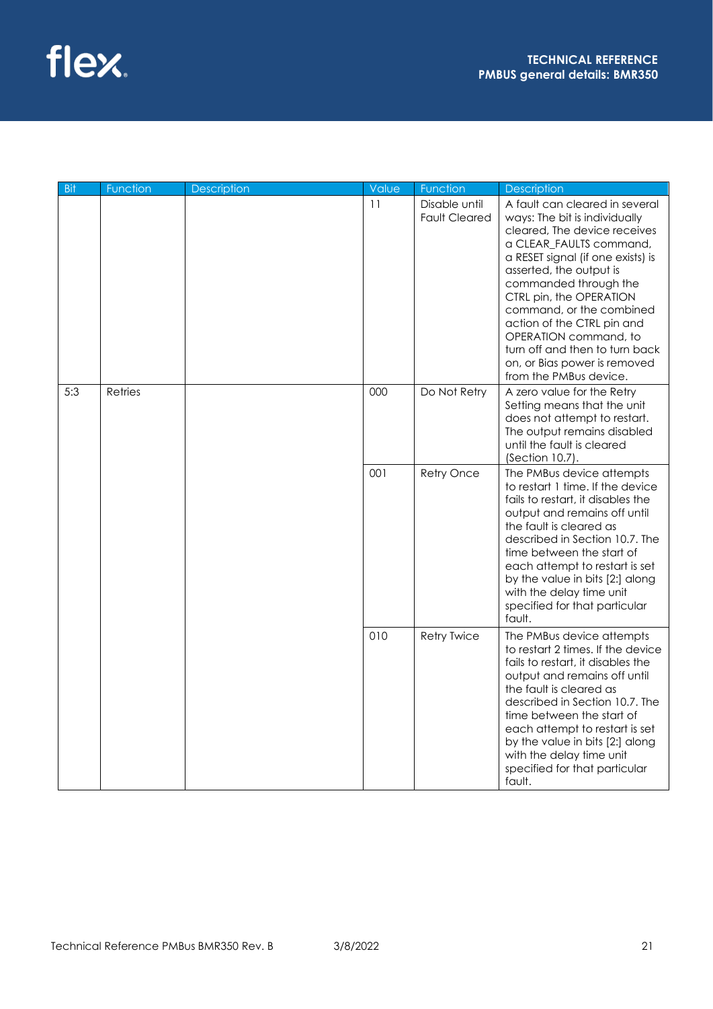| <b>Bit</b> | Function | Description | Value | Function                              | Description                                                                                                                                                                                                                                                                                                                                                                                                                   |
|------------|----------|-------------|-------|---------------------------------------|-------------------------------------------------------------------------------------------------------------------------------------------------------------------------------------------------------------------------------------------------------------------------------------------------------------------------------------------------------------------------------------------------------------------------------|
|            |          |             | 11    | Disable until<br><b>Fault Cleared</b> | A fault can cleared in several<br>ways: The bit is individually<br>cleared, The device receives<br>a CLEAR FAULTS command,<br>a RESET signal (if one exists) is<br>asserted, the output is<br>commanded through the<br>CTRL pin, the OPERATION<br>command, or the combined<br>action of the CTRL pin and<br>OPERATION command, to<br>turn off and then to turn back<br>on, or Bias power is removed<br>from the PMBus device. |
| 5:3        | Retries  |             | 000   | Do Not Retry                          | A zero value for the Retry<br>Setting means that the unit<br>does not attempt to restart.<br>The output remains disabled<br>until the fault is cleared<br>(Section 10.7).                                                                                                                                                                                                                                                     |
|            |          |             | 001   | Retry Once                            | The PMBus device attempts<br>to restart 1 time. If the device<br>fails to restart, it disables the<br>output and remains off until<br>the fault is cleared as<br>described in Section 10.7. The<br>time between the start of<br>each attempt to restart is set<br>by the value in bits [2:] along<br>with the delay time unit<br>specified for that particular<br>fault.                                                      |
|            |          |             | 010   | <b>Retry Twice</b>                    | The PMBus device attempts<br>to restart 2 times. If the device<br>fails to restart, it disables the<br>output and remains off until<br>the fault is cleared as<br>described in Section 10.7. The<br>time between the start of<br>each attempt to restart is set<br>by the value in bits [2:] along<br>with the delay time unit<br>specified for that particular<br>fault.                                                     |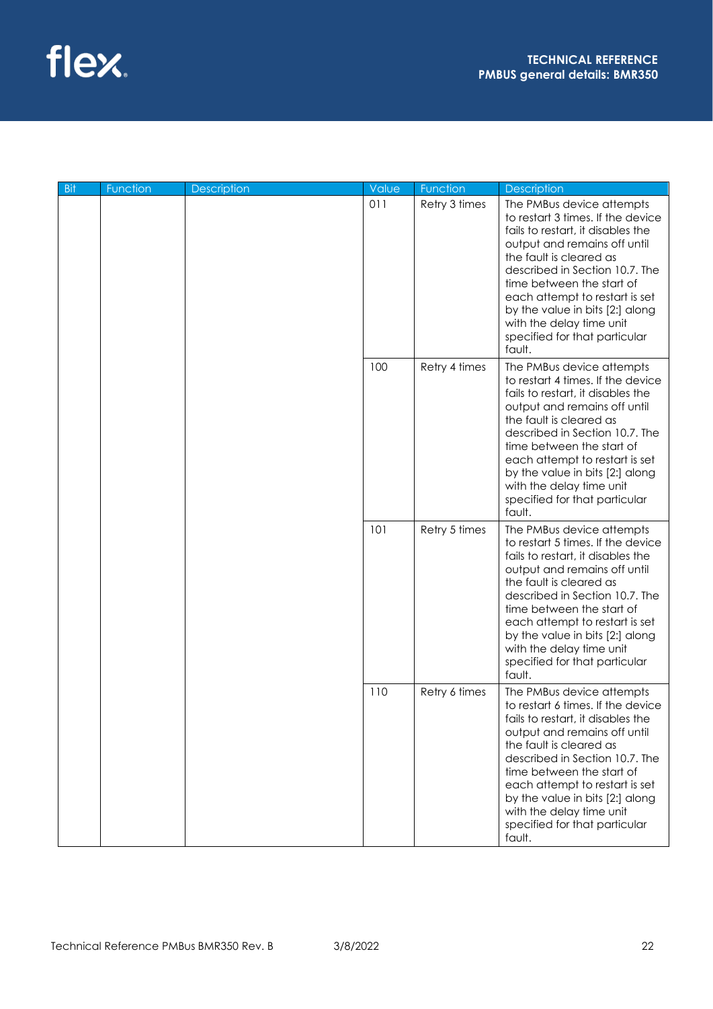

| <b>Bit</b> | Function | Description | Value | Function      | Description                                                                                                                                                                                                                                                                                                                                                               |
|------------|----------|-------------|-------|---------------|---------------------------------------------------------------------------------------------------------------------------------------------------------------------------------------------------------------------------------------------------------------------------------------------------------------------------------------------------------------------------|
|            |          |             | 011   | Retry 3 times | The PMBus device attempts<br>to restart 3 times. If the device<br>fails to restart, it disables the<br>output and remains off until<br>the fault is cleared as<br>described in Section 10.7. The<br>time between the start of<br>each attempt to restart is set<br>by the value in bits [2:] along<br>with the delay time unit<br>specified for that particular<br>fault. |
|            |          |             | 100   | Retry 4 times | The PMBus device attempts<br>to restart 4 times. If the device<br>fails to restart, it disables the<br>output and remains off until<br>the fault is cleared as<br>described in Section 10.7. The<br>time between the start of<br>each attempt to restart is set<br>by the value in bits [2:] along<br>with the delay time unit<br>specified for that particular<br>fault. |
|            |          |             | 101   | Retry 5 times | The PMBus device attempts<br>to restart 5 times. If the device<br>fails to restart, it disables the<br>output and remains off until<br>the fault is cleared as<br>described in Section 10.7. The<br>time between the start of<br>each attempt to restart is set<br>by the value in bits [2:] along<br>with the delay time unit<br>specified for that particular<br>fault. |
|            |          |             | 110   | Retry 6 times | The PMBus device attempts<br>to restart 6 times. If the device<br>fails to restart, it disables the<br>output and remains off until<br>the fault is cleared as<br>described in Section 10.7. The<br>time between the start of<br>each attempt to restart is set<br>by the value in bits [2:] along<br>with the delay time unit<br>specified for that particular<br>fault. |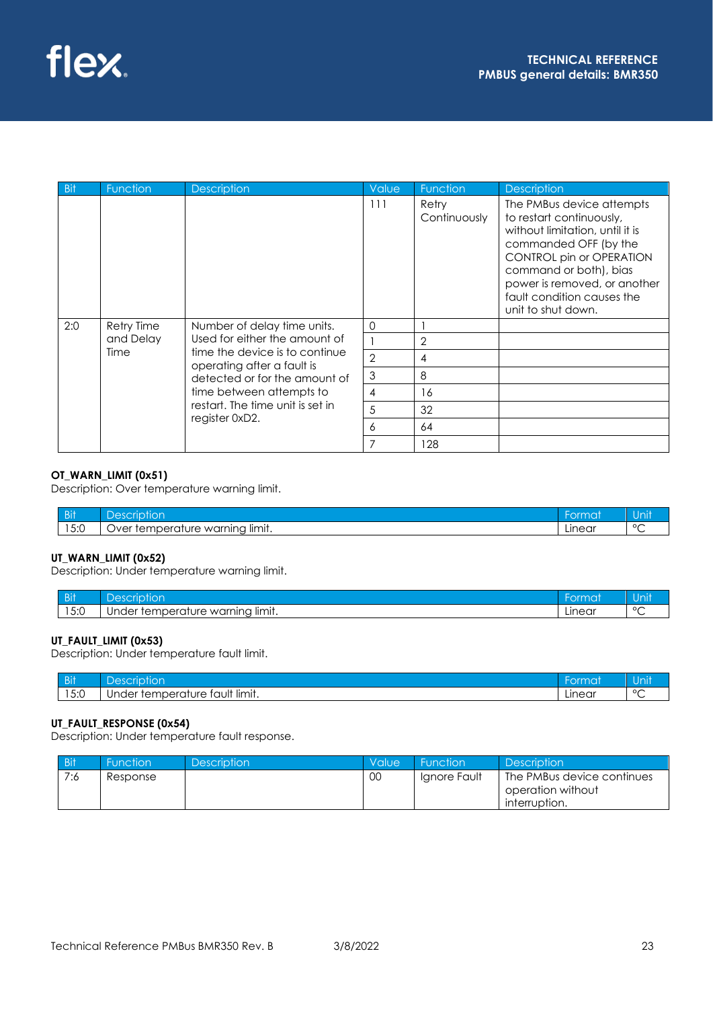| <b>Bit</b> | Function          | <b>Description</b>                                                                            | Value          | Function              | <b>Description</b>                                                                                                                                                                                                                                          |
|------------|-------------------|-----------------------------------------------------------------------------------------------|----------------|-----------------------|-------------------------------------------------------------------------------------------------------------------------------------------------------------------------------------------------------------------------------------------------------------|
|            |                   |                                                                                               | 111            | Retry<br>Continuously | The PMBus device attempts<br>to restart continuously,<br>without limitation, until it is<br>commanded OFF (by the<br>CONTROL pin or OPERATION<br>command or both), bias<br>power is removed, or another<br>fault condition causes the<br>unit to shut down. |
| 2:0        | Retry Time        | Number of delay time units.                                                                   | $\Omega$       |                       |                                                                                                                                                                                                                                                             |
|            | and Delay<br>Time | Used for either the amount of                                                                 |                | $\overline{2}$        |                                                                                                                                                                                                                                                             |
|            |                   | time the device is to continue<br>operating after a fault is<br>detected or for the amount of | $\overline{2}$ | 4                     |                                                                                                                                                                                                                                                             |
|            |                   |                                                                                               | 3              | 8                     |                                                                                                                                                                                                                                                             |
|            |                   | time between attempts to                                                                      | $\overline{4}$ | 16                    |                                                                                                                                                                                                                                                             |
|            |                   | restart. The time unit is set in                                                              | 5              | 32                    |                                                                                                                                                                                                                                                             |
|            |                   | register 0xD2.                                                                                | 6              | 64                    |                                                                                                                                                                                                                                                             |
|            |                   |                                                                                               |                | 128                   |                                                                                                                                                                                                                                                             |

## **OT\_WARN\_LIMIT (0x51)**

Description: Over temperature warning limit.

| <b>Bit</b>             |                                                                                 | HU.    | $\sim$  |
|------------------------|---------------------------------------------------------------------------------|--------|---------|
| $F \cdot \cap$<br>ັ∪.⊽ | . .<br>انصصنا<br>warning<br>---<br>ure<br>.∩/\<br>'ه،<br>ادے د<br>IIITIII.<br>ີ | Linear | $\circ$ |

## **UT\_WARN\_LIMIT (0x52)**

Description: Under temperature warning limit.

| <b>Bit</b> | $\sim$<br>п<br>، د ۱                                                               | ч ок          | IJ      |
|------------|------------------------------------------------------------------------------------|---------------|---------|
| 5:0        | <br>× limit.<br>warnina<br>berr<br>$\sim$ 100 $\sim$<br>Jnder<br>ا د ،<br>.<br>. پ | <u>Linear</u> | $\circ$ |

## **UT\_FAULT\_LIMIT (0x53)**

Description: Under temperature fault limit.

| $\sim$ $\sim$ $\sim$ $\sim$<br>ווט | lon<br>∍                                                                              | 49 J J | <b><i><u>ALCO</u></i></b><br>.U<br>. |
|------------------------------------|---------------------------------------------------------------------------------------|--------|--------------------------------------|
| $F \cdot \cap$<br>13.0             | $\cdot$ .<br><sup>.</sup> It limit.<br>emperat<br>ture<br>tauh<br><b>Jnder</b><br>rer | Linear | $\circ$                              |

#### **UT\_FAULT\_RESPONSE (0x54)**

Description: Under temperature fault response.

| <b>Bit</b> | <b>Function</b> | <b>Description</b> | Value | <b>Function</b> | <b>Description</b>                              |
|------------|-----------------|--------------------|-------|-----------------|-------------------------------------------------|
| 7:6        | Response        |                    | 00    | lanore Fault    | The PMBus device continues<br>operation without |
|            |                 |                    |       |                 | interruption.                                   |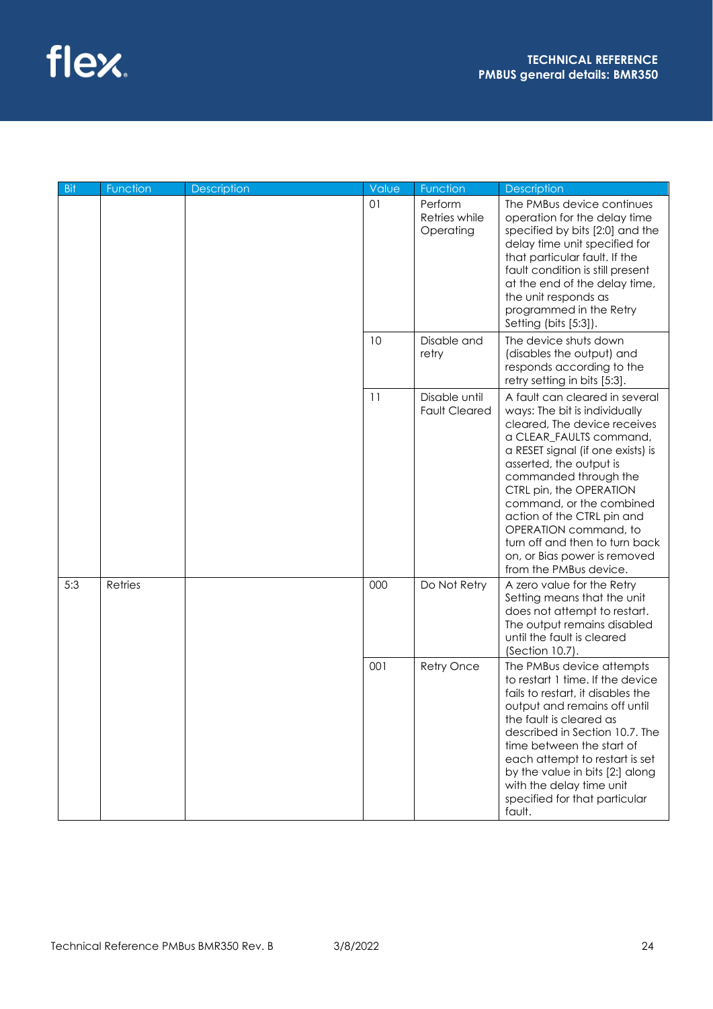

| <b>Bit</b> | Function | Description | Value             | Function                                                                                                                                                                                                                                                                                                                                                                 | Description                                                                                                                                                                                                                                                                                                                                                                                                                   |
|------------|----------|-------------|-------------------|--------------------------------------------------------------------------------------------------------------------------------------------------------------------------------------------------------------------------------------------------------------------------------------------------------------------------------------------------------------------------|-------------------------------------------------------------------------------------------------------------------------------------------------------------------------------------------------------------------------------------------------------------------------------------------------------------------------------------------------------------------------------------------------------------------------------|
|            |          |             | 01                | Perform<br>Retries while<br>Operating                                                                                                                                                                                                                                                                                                                                    | The PMBus device continues<br>operation for the delay time<br>specified by bits [2:0] and the<br>delay time unit specified for<br>that particular fault. If the<br>fault condition is still present<br>at the end of the delay time,<br>the unit responds as<br>programmed in the Retry<br>Setting (bits [5:3]).                                                                                                              |
|            |          |             | 10                | Disable and<br>retry                                                                                                                                                                                                                                                                                                                                                     | The device shuts down<br>(disables the output) and<br>responds according to the<br>retry setting in bits [5:3].                                                                                                                                                                                                                                                                                                               |
|            |          |             | 11                | Disable until<br><b>Fault Cleared</b>                                                                                                                                                                                                                                                                                                                                    | A fault can cleared in several<br>ways: The bit is individually<br>cleared, The device receives<br>a CLEAR_FAULTS command,<br>a RESET signal (if one exists) is<br>asserted, the output is<br>commanded through the<br>CTRL pin, the OPERATION<br>command, or the combined<br>action of the CTRL pin and<br>OPERATION command, to<br>turn off and then to turn back<br>on, or Bias power is removed<br>from the PMBus device. |
| 5:3        | Retries  |             | 000               | Do Not Retry                                                                                                                                                                                                                                                                                                                                                             | A zero value for the Retry<br>Setting means that the unit<br>does not attempt to restart.<br>The output remains disabled<br>until the fault is cleared<br>(Section 10.7).                                                                                                                                                                                                                                                     |
|            |          | 001         | <b>Retry Once</b> | The PMBus device attempts<br>to restart 1 time. If the device<br>fails to restart, it disables the<br>output and remains off until<br>the fault is cleared as<br>described in Section 10.7. The<br>time between the start of<br>each attempt to restart is set<br>by the value in bits [2:] along<br>with the delay time unit<br>specified for that particular<br>fault. |                                                                                                                                                                                                                                                                                                                                                                                                                               |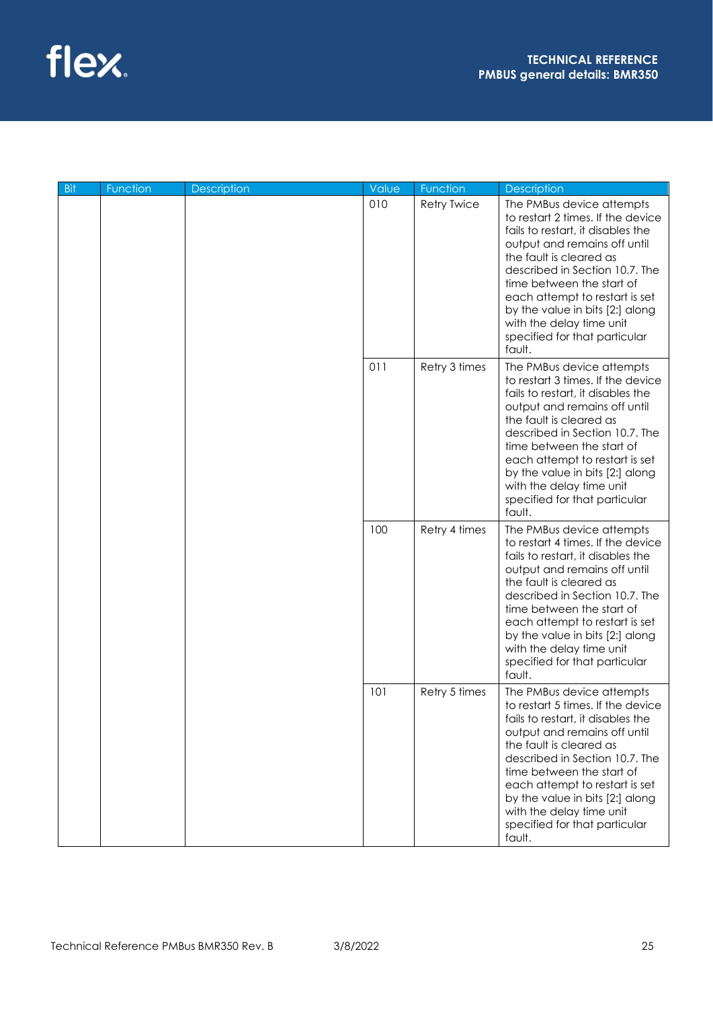

| <b>Bit</b> | Function | <b>Description</b> | Value | Function           | <b>Description</b>                                                                                                                                                                                                                                                                                                                                                        |
|------------|----------|--------------------|-------|--------------------|---------------------------------------------------------------------------------------------------------------------------------------------------------------------------------------------------------------------------------------------------------------------------------------------------------------------------------------------------------------------------|
|            |          |                    | 010   | <b>Retry Twice</b> | The PMBus device attempts<br>to restart 2 times. If the device<br>fails to restart, it disables the<br>output and remains off until<br>the fault is cleared as<br>described in Section 10.7. The<br>time between the start of<br>each attempt to restart is set<br>by the value in bits [2:] along<br>with the delay time unit<br>specified for that particular<br>fault. |
|            |          |                    | 011   | Retry 3 times      | The PMBus device attempts<br>to restart 3 times. If the device<br>fails to restart, it disables the<br>output and remains off until<br>the fault is cleared as<br>described in Section 10.7. The<br>time between the start of<br>each attempt to restart is set<br>by the value in bits [2:] along<br>with the delay time unit<br>specified for that particular<br>fault. |
|            |          |                    | 100   | Retry 4 times      | The PMBus device attempts<br>to restart 4 times. If the device<br>fails to restart, it disables the<br>output and remains off until<br>the fault is cleared as<br>described in Section 10.7. The<br>time between the start of<br>each attempt to restart is set<br>by the value in bits [2:] along<br>with the delay time unit<br>specified for that particular<br>fault. |
|            |          |                    | 101   | Retry 5 times      | The PMBus device attempts<br>to restart 5 times. If the device<br>fails to restart, it disables the<br>output and remains off until<br>the fault is cleared as<br>described in Section 10.7. The<br>time between the start of<br>each attempt to restart is set<br>by the value in bits [2:] along<br>with the delay time unit<br>specified for that particular<br>fault. |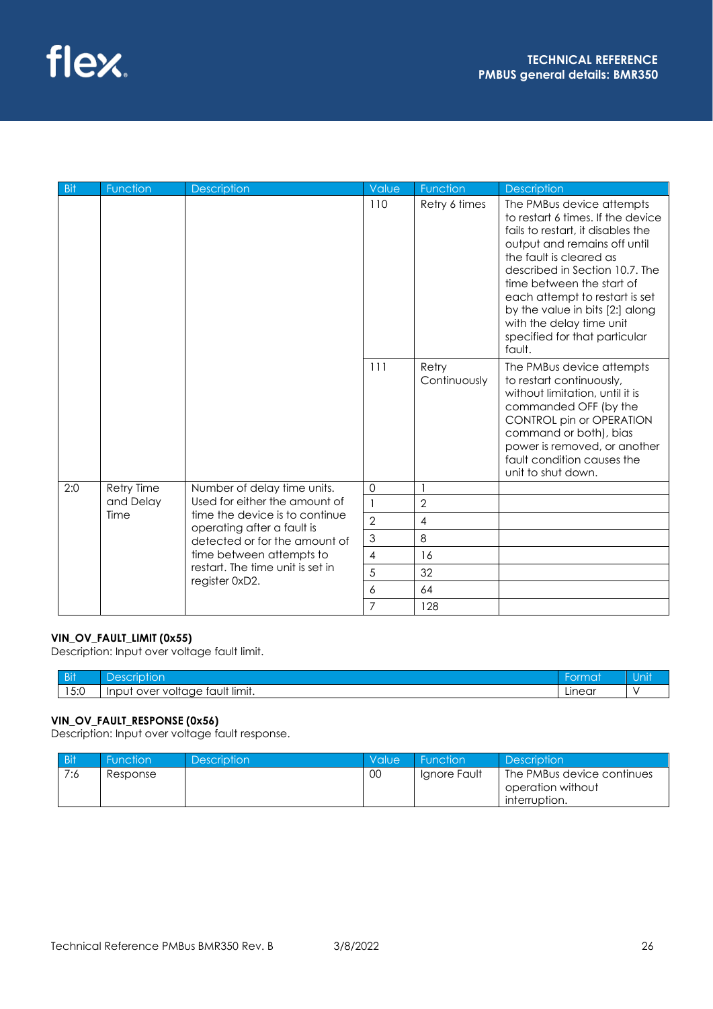

| Bit | Function   | <b>Description</b>                                           | Value          | Function              | <b>Description</b>                                                                                                                                                                                                                                                                                                                                                        |
|-----|------------|--------------------------------------------------------------|----------------|-----------------------|---------------------------------------------------------------------------------------------------------------------------------------------------------------------------------------------------------------------------------------------------------------------------------------------------------------------------------------------------------------------------|
|     |            |                                                              | 110            | Retry 6 times         | The PMBus device attempts<br>to restart 6 times. If the device<br>fails to restart, it disables the<br>output and remains off until<br>the fault is cleared as<br>described in Section 10.7. The<br>time between the start of<br>each attempt to restart is set<br>by the value in bits [2:] along<br>with the delay time unit<br>specified for that particular<br>fault. |
|     |            |                                                              | 111            | Retry<br>Continuously | The PMBus device attempts<br>to restart continuously,<br>without limitation, until it is<br>commanded OFF (by the<br>CONTROL pin or OPERATION<br>command or both), bias<br>power is removed, or another<br>fault condition causes the<br>unit to shut down.                                                                                                               |
| 2:0 | Retry Time | Number of delay time units.                                  | $\mathbf 0$    |                       |                                                                                                                                                                                                                                                                                                                                                                           |
|     | and Delay  | Used for either the amount of                                | $\mathbf{1}$   | $\overline{2}$        |                                                                                                                                                                                                                                                                                                                                                                           |
|     | Time       | time the device is to continue<br>operating after a fault is | $\overline{2}$ | 4                     |                                                                                                                                                                                                                                                                                                                                                                           |
|     |            | detected or for the amount of                                | 3              | 8                     |                                                                                                                                                                                                                                                                                                                                                                           |
|     |            | time between attempts to                                     | 4              | 16                    |                                                                                                                                                                                                                                                                                                                                                                           |
|     |            | restart. The time unit is set in                             | 5              | 32                    |                                                                                                                                                                                                                                                                                                                                                                           |
|     |            | register 0xD2.                                               | 6              | 64                    |                                                                                                                                                                                                                                                                                                                                                                           |
|     |            |                                                              | $\overline{7}$ | 128                   |                                                                                                                                                                                                                                                                                                                                                                           |

#### **VIN\_OV\_FAULT\_LIMIT (0x55)**

Description: Input over voltage fault limit.

| $-1$<br>ווט | د ر<br>ш                                              |        | Unit |
|-------------|-------------------------------------------------------|--------|------|
| 5.0<br>13.U | $\cdots$<br>tault limit.<br>voltage<br>∵Inpu.<br>over | Linear |      |

## **VIN\_OV\_FAULT\_RESPONSE (0x56)**

Description: Input over voltage fault response.

| <b>Bit</b> | <b>Function</b> | <b>Description</b> | Value | <b>Function</b> | <b>Description</b>                                               |
|------------|-----------------|--------------------|-------|-----------------|------------------------------------------------------------------|
| 7:6        | Response        |                    | 00    | Ignore Fault    | The PMBus device continues<br>operation without<br>interruption. |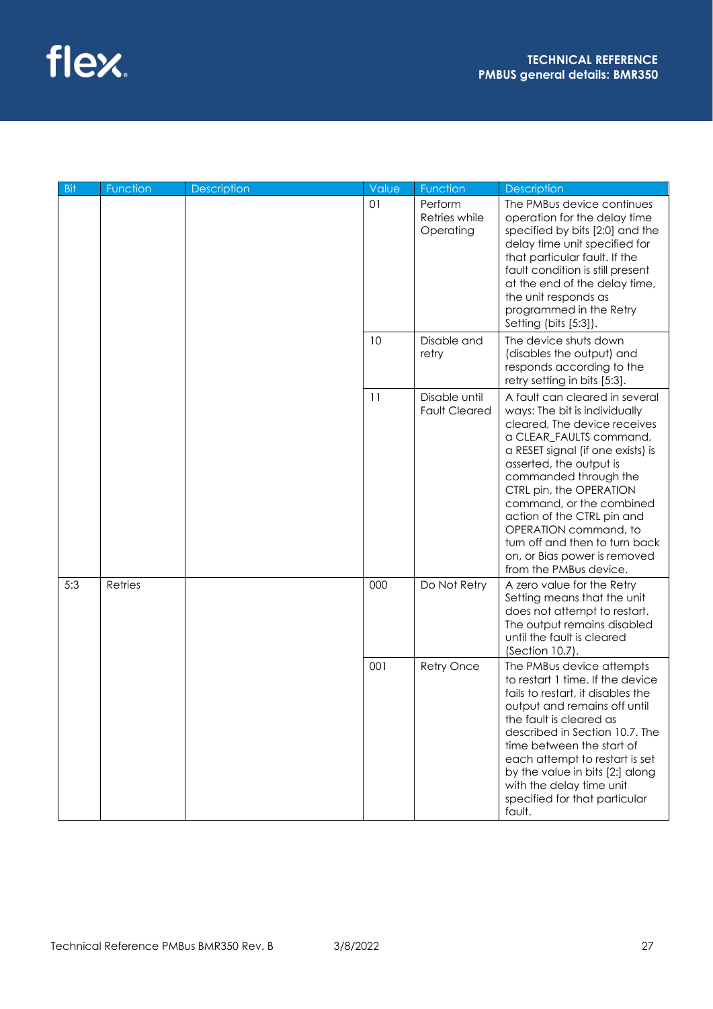

| <b>Bit</b> | Function | Description | Value             | Function                                                                                                                                                                                                                                                                                                                                                                 | Description                                                                                                                                                                                                                                                                                                                                                                                                                   |
|------------|----------|-------------|-------------------|--------------------------------------------------------------------------------------------------------------------------------------------------------------------------------------------------------------------------------------------------------------------------------------------------------------------------------------------------------------------------|-------------------------------------------------------------------------------------------------------------------------------------------------------------------------------------------------------------------------------------------------------------------------------------------------------------------------------------------------------------------------------------------------------------------------------|
|            |          |             | 01                | Perform<br>Retries while<br>Operating                                                                                                                                                                                                                                                                                                                                    | The PMBus device continues<br>operation for the delay time<br>specified by bits [2:0] and the<br>delay time unit specified for<br>that particular fault. If the<br>fault condition is still present<br>at the end of the delay time,<br>the unit responds as<br>programmed in the Retry<br>Setting (bits [5:3]).                                                                                                              |
|            |          |             | 10                | Disable and<br>retry                                                                                                                                                                                                                                                                                                                                                     | The device shuts down<br>(disables the output) and<br>responds according to the<br>retry setting in bits [5:3].                                                                                                                                                                                                                                                                                                               |
|            |          |             | 11                | Disable until<br><b>Fault Cleared</b>                                                                                                                                                                                                                                                                                                                                    | A fault can cleared in several<br>ways: The bit is individually<br>cleared, The device receives<br>a CLEAR_FAULTS command,<br>a RESET signal (if one exists) is<br>asserted, the output is<br>commanded through the<br>CTRL pin, the OPERATION<br>command, or the combined<br>action of the CTRL pin and<br>OPERATION command, to<br>turn off and then to turn back<br>on, or Bias power is removed<br>from the PMBus device. |
| 5:3        | Retries  |             | 000               | Do Not Retry                                                                                                                                                                                                                                                                                                                                                             | A zero value for the Retry<br>Setting means that the unit<br>does not attempt to restart.<br>The output remains disabled<br>until the fault is cleared<br>(Section 10.7).                                                                                                                                                                                                                                                     |
|            |          | 001         | <b>Retry Once</b> | The PMBus device attempts<br>to restart 1 time. If the device<br>fails to restart, it disables the<br>output and remains off until<br>the fault is cleared as<br>described in Section 10.7. The<br>time between the start of<br>each attempt to restart is set<br>by the value in bits [2:] along<br>with the delay time unit<br>specified for that particular<br>fault. |                                                                                                                                                                                                                                                                                                                                                                                                                               |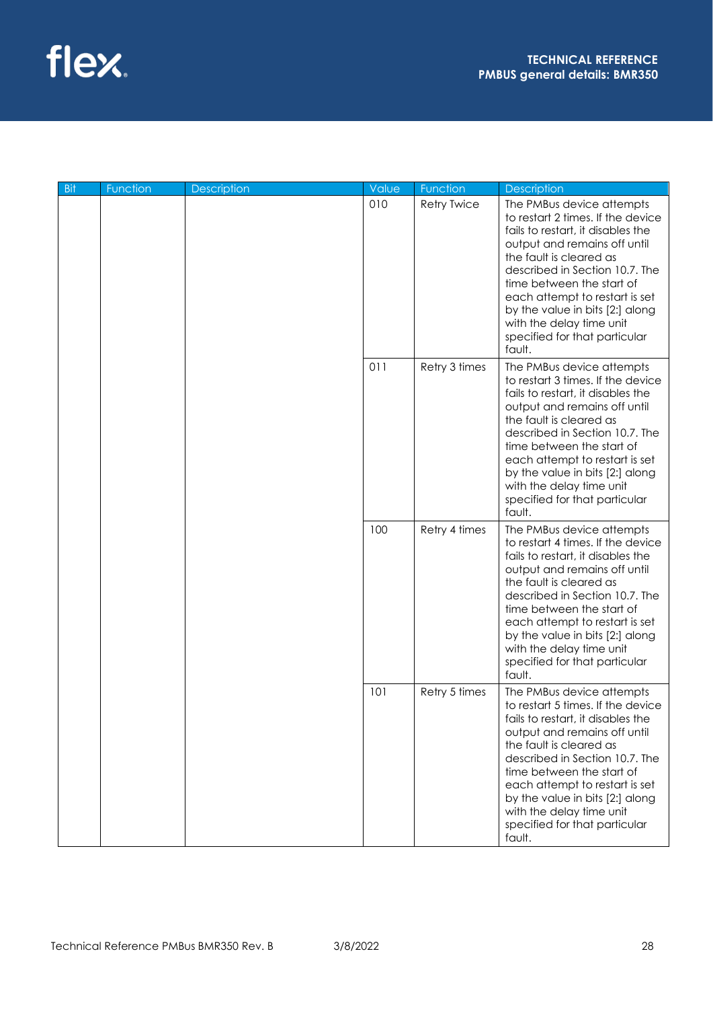

| <b>Bit</b> | Function | <b>Description</b> | Value | Function           | <b>Description</b>                                                                                                                                                                                                                                                                                                                                                        |
|------------|----------|--------------------|-------|--------------------|---------------------------------------------------------------------------------------------------------------------------------------------------------------------------------------------------------------------------------------------------------------------------------------------------------------------------------------------------------------------------|
|            |          |                    | 010   | <b>Retry Twice</b> | The PMBus device attempts<br>to restart 2 times. If the device<br>fails to restart, it disables the<br>output and remains off until<br>the fault is cleared as<br>described in Section 10.7. The<br>time between the start of<br>each attempt to restart is set<br>by the value in bits [2:] along<br>with the delay time unit<br>specified for that particular<br>fault. |
|            |          |                    | 011   | Retry 3 times      | The PMBus device attempts<br>to restart 3 times. If the device<br>fails to restart, it disables the<br>output and remains off until<br>the fault is cleared as<br>described in Section 10.7. The<br>time between the start of<br>each attempt to restart is set<br>by the value in bits [2:] along<br>with the delay time unit<br>specified for that particular<br>fault. |
|            |          |                    | 100   | Retry 4 times      | The PMBus device attempts<br>to restart 4 times. If the device<br>fails to restart, it disables the<br>output and remains off until<br>the fault is cleared as<br>described in Section 10.7. The<br>time between the start of<br>each attempt to restart is set<br>by the value in bits [2:] along<br>with the delay time unit<br>specified for that particular<br>fault. |
|            |          |                    | 101   | Retry 5 times      | The PMBus device attempts<br>to restart 5 times. If the device<br>fails to restart, it disables the<br>output and remains off until<br>the fault is cleared as<br>described in Section 10.7. The<br>time between the start of<br>each attempt to restart is set<br>by the value in bits [2:] along<br>with the delay time unit<br>specified for that particular<br>fault. |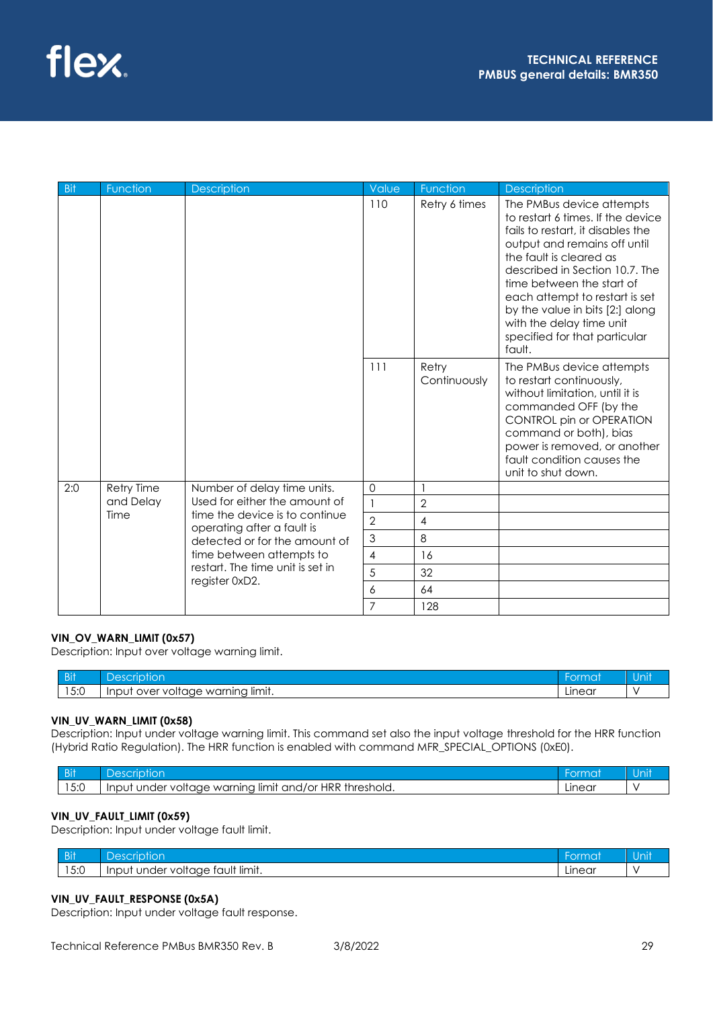

| Bit | Function   | <b>Description</b>                                           | Value          | Function              | <b>Description</b>                                                                                                                                                                                                                                                                                                                                                        |
|-----|------------|--------------------------------------------------------------|----------------|-----------------------|---------------------------------------------------------------------------------------------------------------------------------------------------------------------------------------------------------------------------------------------------------------------------------------------------------------------------------------------------------------------------|
|     |            |                                                              | 110            | Retry 6 times         | The PMBus device attempts<br>to restart 6 times. If the device<br>fails to restart, it disables the<br>output and remains off until<br>the fault is cleared as<br>described in Section 10.7. The<br>time between the start of<br>each attempt to restart is set<br>by the value in bits [2:] along<br>with the delay time unit<br>specified for that particular<br>fault. |
|     |            |                                                              | 111            | Retry<br>Continuously | The PMBus device attempts<br>to restart continuously,<br>without limitation, until it is<br>commanded OFF (by the<br>CONTROL pin or OPERATION<br>command or both), bias<br>power is removed, or another<br>fault condition causes the<br>unit to shut down.                                                                                                               |
| 2:0 | Retry Time | Number of delay time units.                                  | $\mathbf 0$    |                       |                                                                                                                                                                                                                                                                                                                                                                           |
|     | and Delay  | Used for either the amount of                                | $\mathbf{1}$   | $\overline{2}$        |                                                                                                                                                                                                                                                                                                                                                                           |
|     | Time       | time the device is to continue<br>operating after a fault is | $\overline{2}$ | 4                     |                                                                                                                                                                                                                                                                                                                                                                           |
|     |            | detected or for the amount of                                | 3              | 8                     |                                                                                                                                                                                                                                                                                                                                                                           |
|     |            | time between attempts to                                     | 4              | 16                    |                                                                                                                                                                                                                                                                                                                                                                           |
|     |            | restart. The time unit is set in                             | 5              | 32                    |                                                                                                                                                                                                                                                                                                                                                                           |
|     |            | register 0xD2.                                               | 6              | 64                    |                                                                                                                                                                                                                                                                                                                                                                           |
|     |            |                                                              | $\overline{7}$ | 128                   |                                                                                                                                                                                                                                                                                                                                                                           |

### **VIN\_OV\_WARN\_LIMIT (0x57)**

Description: Input over voltage warning limit.

| $-1$<br>ווט             |                                                                            | iu     |  |
|-------------------------|----------------------------------------------------------------------------|--------|--|
| $F \cdot \cap$<br>∣ J.U | $\cdot$<br>limit.<br>warning<br>nver<br>Inpu<br>،ווט<br>$\mathbf{v}$<br>ان | Linear |  |

## **VIN\_UV\_WARN\_LIMIT (0x58)**

Description: Input under voltage warning limit. This command set also the input voltage threshold for the HRR function (Hybrid Ratio Regulation). The HRR function is enabled with command MFR\_SPECIAL\_OPTIONS (0xE0).

| D <sub>i</sub><br>ווט |                                                                                                                  | hat    | JI |
|-----------------------|------------------------------------------------------------------------------------------------------------------|--------|----|
| $  -$<br>v.v          | <b>HRR</b><br>. limit<br>threshold.<br>$1 \wedge r$<br>warnina<br>under<br>and/<br><b>Input</b><br>voltage<br>יש | Linear |    |

#### **VIN\_UV\_FAULT\_LIMIT (0x59)**

Description: Input under voltage fault limit.

| $\sim$ $\sim$ $\sim$ $\sim$ | ŐĨ                                                                           | $\sim$ | .   |
|-----------------------------|------------------------------------------------------------------------------|--------|-----|
| - 21                        |                                                                              | .      | nıı |
| $F \cdot \cap$<br>l J.U     | .<br>limit.<br>Ur<br>voltage<br>InpU<br>$ -$<br>$+ -$<br>auit<br>. .<br>าaer | Linear |     |

### **VIN\_UV\_FAULT\_RESPONSE (0x5A)**

Description: Input under voltage fault response.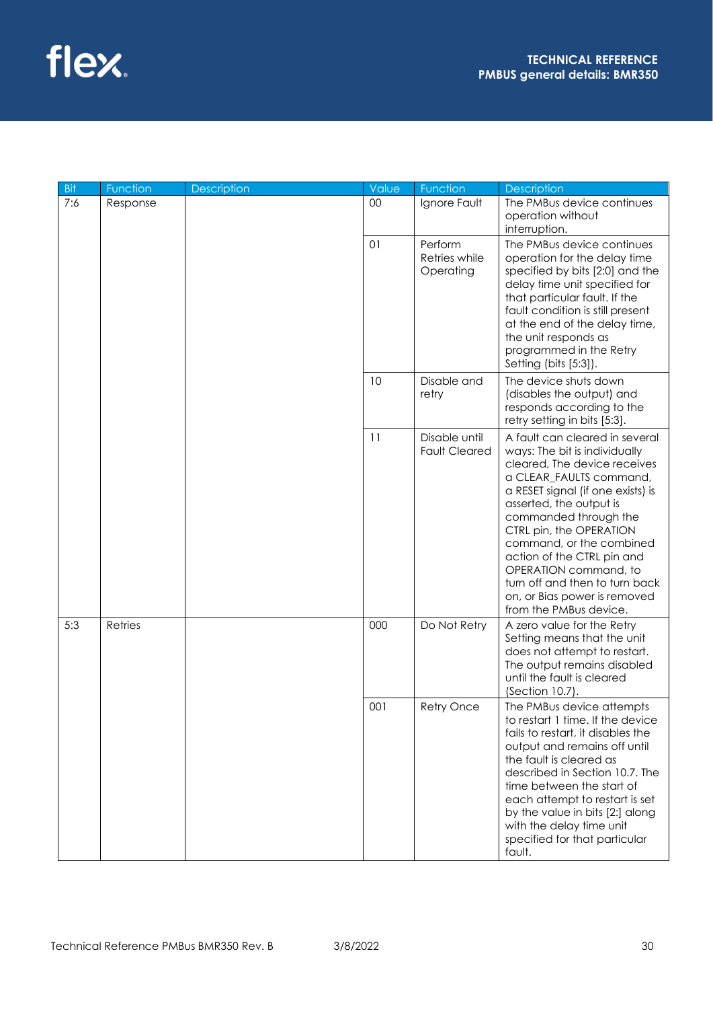

| Bit | Function | <b>Description</b> | Value | Function                              | <b>Description</b>                                                                                                                                                                                                                                                                                                                                                                                                            |
|-----|----------|--------------------|-------|---------------------------------------|-------------------------------------------------------------------------------------------------------------------------------------------------------------------------------------------------------------------------------------------------------------------------------------------------------------------------------------------------------------------------------------------------------------------------------|
| 7:6 | Response |                    | 00    | Ignore Fault                          | The PMBus device continues<br>operation without<br>interruption.                                                                                                                                                                                                                                                                                                                                                              |
|     |          |                    | 01    | Perform<br>Retries while<br>Operating | The PMBus device continues<br>operation for the delay time<br>specified by bits [2:0] and the<br>delay time unit specified for<br>that particular fault. If the<br>fault condition is still present<br>at the end of the delay time,<br>the unit responds as<br>programmed in the Retry<br>Setting (bits [5:3]).                                                                                                              |
|     |          |                    | 10    | Disable and<br>retry                  | The device shuts down<br>(disables the output) and<br>responds according to the<br>retry setting in bits [5:3].                                                                                                                                                                                                                                                                                                               |
|     |          |                    | 11    | Disable until<br><b>Fault Cleared</b> | A fault can cleared in several<br>ways: The bit is individually<br>cleared, The device receives<br>a CLEAR_FAULTS command,<br>a RESET signal (if one exists) is<br>asserted, the output is<br>commanded through the<br>CTRL pin, the OPERATION<br>command, or the combined<br>action of the CTRL pin and<br>OPERATION command, to<br>turn off and then to turn back<br>on, or Bias power is removed<br>from the PMBus device. |
| 5:3 | Retries  |                    | 000   | Do Not Retry                          | A zero value for the Retry<br>Setting means that the unit<br>does not attempt to restart.<br>The output remains disabled<br>until the fault is cleared<br>(Section 10.7).                                                                                                                                                                                                                                                     |
|     |          |                    | 001   | Retry Once                            | The PMBus device attempts<br>to restart 1 time. If the device<br>fails to restart, it disables the<br>output and remains off until<br>the fault is cleared as<br>described in Section 10.7. The<br>time between the start of<br>each attempt to restart is set<br>by the value in bits [2:] along<br>with the delay time unit<br>specified for that particular<br>fault.                                                      |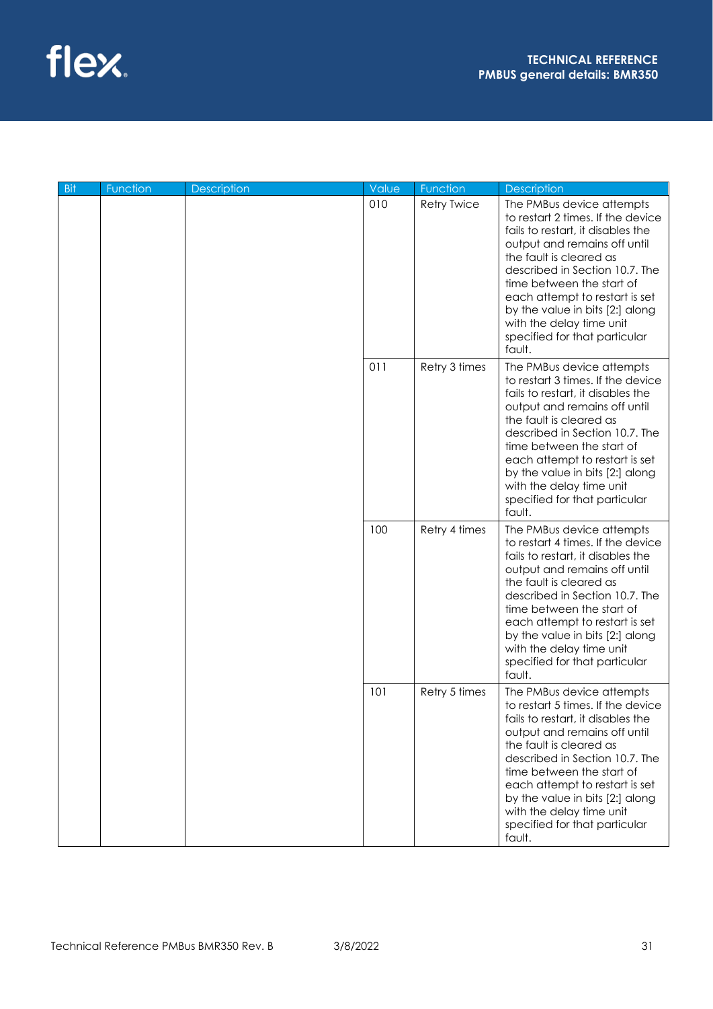

| <b>Bit</b> | Function | <b>Description</b> | Value | Function           | <b>Description</b>                                                                                                                                                                                                                                                                                                                                                        |
|------------|----------|--------------------|-------|--------------------|---------------------------------------------------------------------------------------------------------------------------------------------------------------------------------------------------------------------------------------------------------------------------------------------------------------------------------------------------------------------------|
|            |          |                    | 010   | <b>Retry Twice</b> | The PMBus device attempts<br>to restart 2 times. If the device<br>fails to restart, it disables the<br>output and remains off until<br>the fault is cleared as<br>described in Section 10.7. The<br>time between the start of<br>each attempt to restart is set<br>by the value in bits [2:] along<br>with the delay time unit<br>specified for that particular<br>fault. |
|            |          |                    | 011   | Retry 3 times      | The PMBus device attempts<br>to restart 3 times. If the device<br>fails to restart, it disables the<br>output and remains off until<br>the fault is cleared as<br>described in Section 10.7. The<br>time between the start of<br>each attempt to restart is set<br>by the value in bits [2:] along<br>with the delay time unit<br>specified for that particular<br>fault. |
|            |          |                    | 100   | Retry 4 times      | The PMBus device attempts<br>to restart 4 times. If the device<br>fails to restart, it disables the<br>output and remains off until<br>the fault is cleared as<br>described in Section 10.7. The<br>time between the start of<br>each attempt to restart is set<br>by the value in bits [2:] along<br>with the delay time unit<br>specified for that particular<br>fault. |
|            |          |                    | 101   | Retry 5 times      | The PMBus device attempts<br>to restart 5 times. If the device<br>fails to restart, it disables the<br>output and remains off until<br>the fault is cleared as<br>described in Section 10.7. The<br>time between the start of<br>each attempt to restart is set<br>by the value in bits [2:] along<br>with the delay time unit<br>specified for that particular<br>fault. |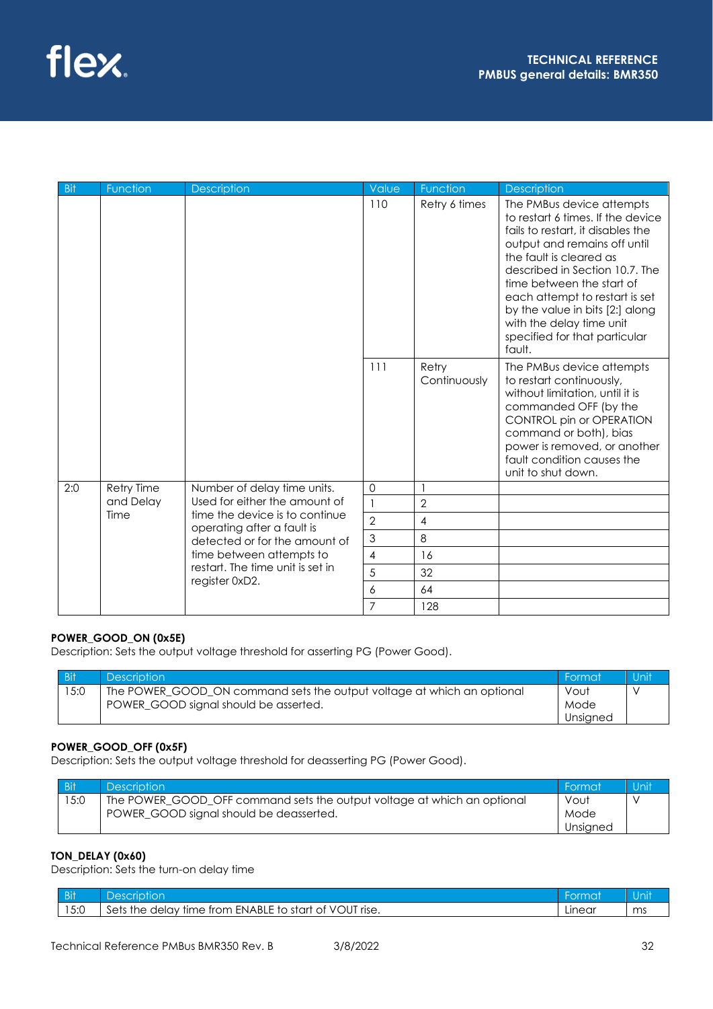

| Bit | Function   | <b>Description</b>                                           | Value          | Function              | <b>Description</b>                                                                                                                                                                                                                                                                                                                                                        |
|-----|------------|--------------------------------------------------------------|----------------|-----------------------|---------------------------------------------------------------------------------------------------------------------------------------------------------------------------------------------------------------------------------------------------------------------------------------------------------------------------------------------------------------------------|
|     |            |                                                              | 110            | Retry 6 times         | The PMBus device attempts<br>to restart 6 times. If the device<br>fails to restart, it disables the<br>output and remains off until<br>the fault is cleared as<br>described in Section 10.7. The<br>time between the start of<br>each attempt to restart is set<br>by the value in bits [2:] along<br>with the delay time unit<br>specified for that particular<br>fault. |
|     |            |                                                              | 111            | Retry<br>Continuously | The PMBus device attempts<br>to restart continuously,<br>without limitation, until it is<br>commanded OFF (by the<br>CONTROL pin or OPERATION<br>command or both), bias<br>power is removed, or another<br>fault condition causes the<br>unit to shut down.                                                                                                               |
| 2:0 | Retry Time | Number of delay time units.                                  | $\mathbf 0$    |                       |                                                                                                                                                                                                                                                                                                                                                                           |
|     | and Delay  | Used for either the amount of                                | $\mathbf{1}$   | $\overline{2}$        |                                                                                                                                                                                                                                                                                                                                                                           |
|     | Time       | time the device is to continue<br>operating after a fault is | $\overline{2}$ | 4                     |                                                                                                                                                                                                                                                                                                                                                                           |
|     |            | detected or for the amount of                                | 3              | 8                     |                                                                                                                                                                                                                                                                                                                                                                           |
|     |            | time between attempts to                                     | 4              | 16                    |                                                                                                                                                                                                                                                                                                                                                                           |
|     |            | restart. The time unit is set in                             | 5              | 32                    |                                                                                                                                                                                                                                                                                                                                                                           |
|     |            | register 0xD2.                                               | 6              | 64                    |                                                                                                                                                                                                                                                                                                                                                                           |
|     |            |                                                              | $\overline{7}$ | 128                   |                                                                                                                                                                                                                                                                                                                                                                           |

## **POWER\_GOOD\_ON (0x5E)**

Description: Sets the output voltage threshold for asserting PG (Power Good).

| <b>Bit</b> | <b>Description</b>                                                     | - Format | Unit |
|------------|------------------------------------------------------------------------|----------|------|
| 15:0       | The POWER GOOD ON command sets the output voltage at which an optional | Vout     |      |
|            | POWER GOOD signal should be asserted.                                  | Mode     |      |
|            |                                                                        | Unsigned |      |

## **POWER\_GOOD\_OFF (0x5F)**

Description: Sets the output voltage threshold for deasserting PG (Power Good).

| <b>Bit</b> | Description <sup>1</sup>                                                | - Format | Unit |
|------------|-------------------------------------------------------------------------|----------|------|
| 15:0       | The POWER_GOOD_OFF command sets the output voltage at which an optional | Vout     |      |
|            | POWER GOOD signal should be deasserted.                                 | Mode     |      |
|            |                                                                         | Unsigned |      |

### **TON\_DELAY (0x60)**

Description: Sets the turn-on delay time

| $\overline{ }$ DH<br>ווט | ،۱۹۹<br>lon<br>rır                                                                                         | prma:  |    |
|--------------------------|------------------------------------------------------------------------------------------------------------|--------|----|
| 15:0                     | VOLIT<br>Sets<br>ENABLE to<br>Trise.<br>оt<br>start<br>time .<br>. $\mathcal{M}$<br>trom<br>the .<br>delav | .ınear | ms |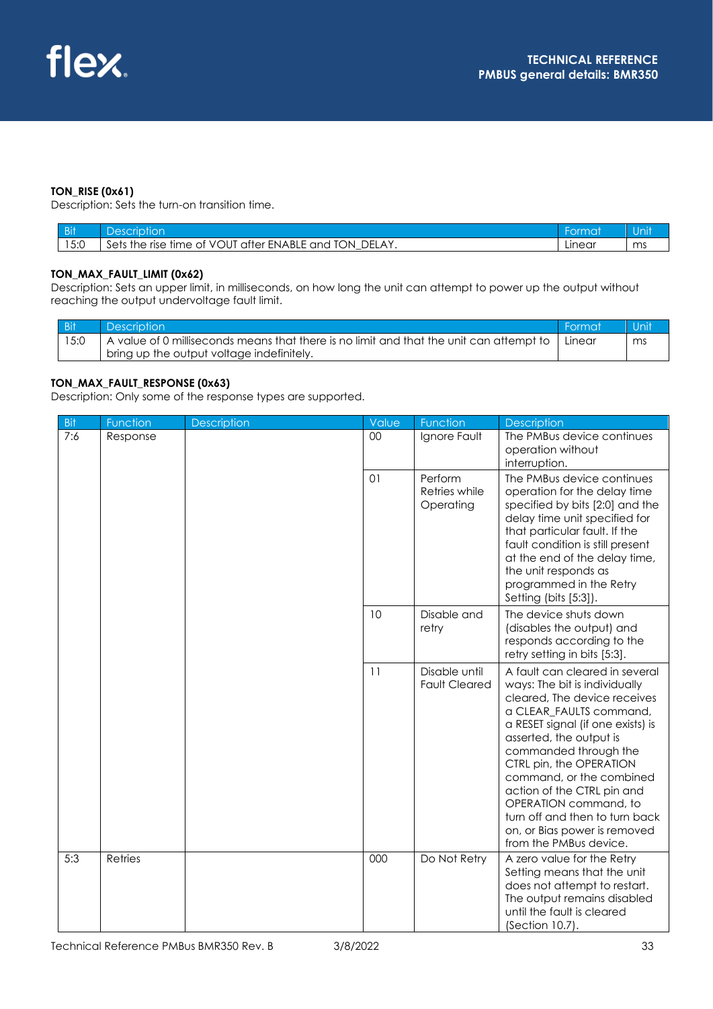#### **TON\_RISE (0x61)**

Description: Sets the turn-on transition time.

| <b>Bit</b> | )escrip:                                                       |        |        |
|------------|----------------------------------------------------------------|--------|--------|
| 5:0        | Sets the rise time of VOUT after ENABLE and TON<br>DFL,<br>A Y | Linear | $\sim$ |

#### **TON\_MAX\_FAULT\_LIMIT (0x62)**

Description: Sets an upper limit, in milliseconds, on how long the unit can attempt to power up the output without reaching the output undervoltage fault limit.

| Bit | <b>Description</b>                                                                                  | <b>Format</b> | <b>Unit</b> |
|-----|-----------------------------------------------------------------------------------------------------|---------------|-------------|
|     | $\,$ A value of 0 milliseconds means that there is no limit and that the unit can attempt to $\,$ I | Linear        |             |
|     | bring up the output voltage indefinitely.                                                           |               |             |

#### **TON\_MAX\_FAULT\_RESPONSE (0x63)**

Description: Only some of the response types are supported.

| Bit | Function       | <b>Description</b> | Value  | Function                              | <b>Description</b>                                                                                                                                                                                                                                                                                                                                                                                                            |
|-----|----------------|--------------------|--------|---------------------------------------|-------------------------------------------------------------------------------------------------------------------------------------------------------------------------------------------------------------------------------------------------------------------------------------------------------------------------------------------------------------------------------------------------------------------------------|
| 7:6 | Response       |                    | $00\,$ | Ignore Fault                          | The PMBus device continues<br>operation without<br>interruption.                                                                                                                                                                                                                                                                                                                                                              |
|     |                |                    | 01     | Perform<br>Retries while<br>Operating | The PMBus device continues<br>operation for the delay time<br>specified by bits [2:0] and the<br>delay time unit specified for<br>that particular fault. If the<br>fault condition is still present<br>at the end of the delay time,<br>the unit responds as<br>programmed in the Retry<br>Setting (bits [5:3]).                                                                                                              |
|     |                |                    | 10     | Disable and<br>retry                  | The device shuts down<br>(disables the output) and<br>responds according to the<br>retry setting in bits [5:3].                                                                                                                                                                                                                                                                                                               |
|     |                |                    | 11     | Disable until<br><b>Fault Cleared</b> | A fault can cleared in several<br>ways: The bit is individually<br>cleared, The device receives<br>a CLEAR_FAULTS command,<br>a RESET signal (if one exists) is<br>asserted, the output is<br>commanded through the<br>CTRL pin, the OPERATION<br>command, or the combined<br>action of the CTRL pin and<br>OPERATION command, to<br>turn off and then to turn back<br>on, or Bias power is removed<br>from the PMBus device. |
| 5:3 | <b>Retries</b> |                    | 000    | Do Not Retry                          | A zero value for the Retry<br>Setting means that the unit<br>does not attempt to restart.<br>The output remains disabled<br>until the fault is cleared<br>(Section 10.7).                                                                                                                                                                                                                                                     |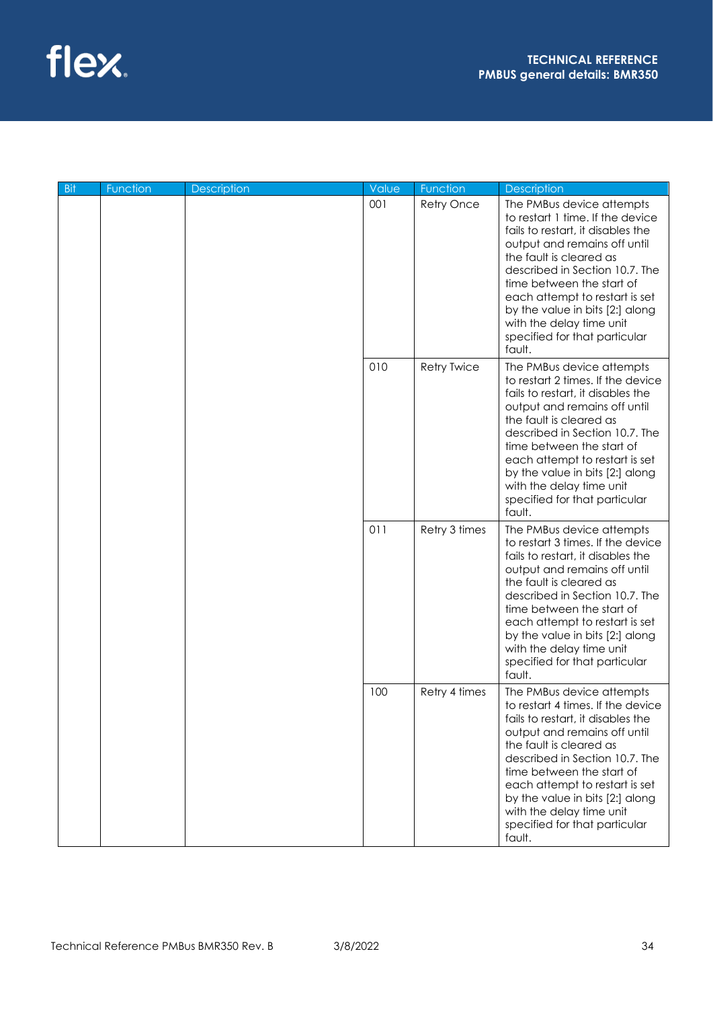

| <b>Bit</b> | Function | Description | Value         | Function                                                                                                                                                                                                                                                                                                                                                                  | <b>Description</b>                                                                                                                                                                                                                                                                                                                                                        |
|------------|----------|-------------|---------------|---------------------------------------------------------------------------------------------------------------------------------------------------------------------------------------------------------------------------------------------------------------------------------------------------------------------------------------------------------------------------|---------------------------------------------------------------------------------------------------------------------------------------------------------------------------------------------------------------------------------------------------------------------------------------------------------------------------------------------------------------------------|
|            |          |             | 001           | Retry Once                                                                                                                                                                                                                                                                                                                                                                | The PMBus device attempts<br>to restart 1 time. If the device<br>fails to restart, it disables the<br>output and remains off until<br>the fault is cleared as<br>described in Section 10.7. The<br>time between the start of<br>each attempt to restart is set<br>by the value in bits [2:] along<br>with the delay time unit<br>specified for that particular<br>fault.  |
|            |          |             | 010           | <b>Retry Twice</b>                                                                                                                                                                                                                                                                                                                                                        | The PMBus device attempts<br>to restart 2 times. If the device<br>fails to restart, it disables the<br>output and remains off until<br>the fault is cleared as<br>described in Section 10.7. The<br>time between the start of<br>each attempt to restart is set<br>by the value in bits [2:] along<br>with the delay time unit<br>specified for that particular<br>fault. |
|            |          | 011         | Retry 3 times | The PMBus device attempts<br>to restart 3 times. If the device<br>fails to restart, it disables the<br>output and remains off until<br>the fault is cleared as<br>described in Section 10.7. The<br>time between the start of<br>each attempt to restart is set<br>by the value in bits [2:] along<br>with the delay time unit<br>specified for that particular<br>fault. |                                                                                                                                                                                                                                                                                                                                                                           |
|            |          |             | 100           | Retry 4 times                                                                                                                                                                                                                                                                                                                                                             | The PMBus device attempts<br>to restart 4 times. If the device<br>fails to restart, it disables the<br>output and remains off until<br>the fault is cleared as<br>described in Section 10.7. The<br>time between the start of<br>each attempt to restart is set<br>by the value in bits [2:] along<br>with the delay time unit<br>specified for that particular<br>fault. |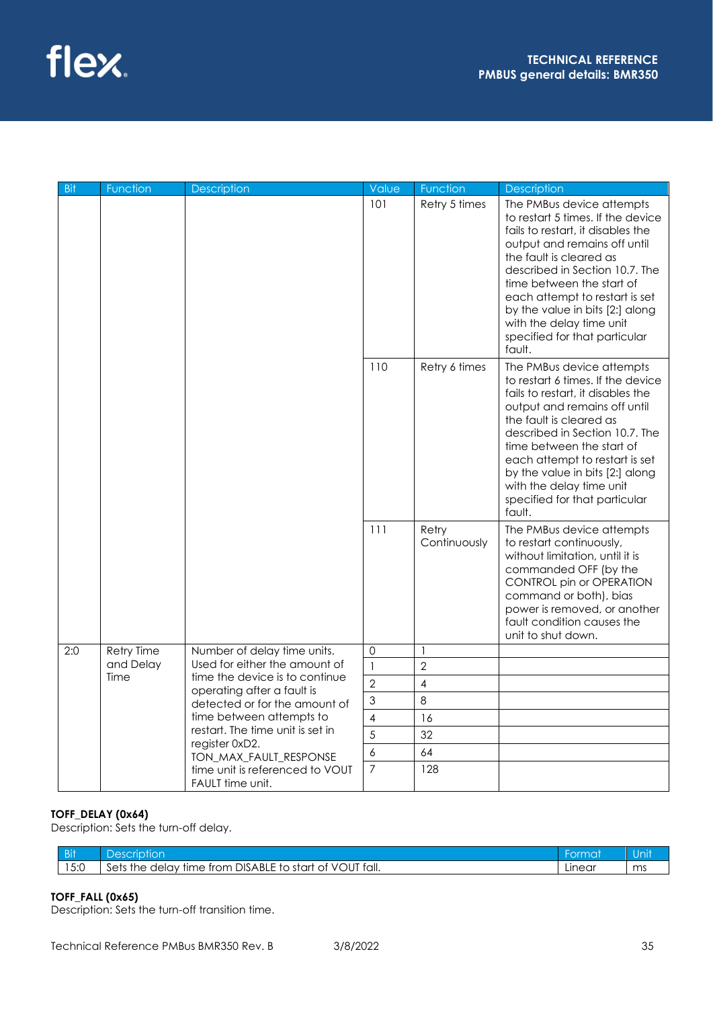

| <b>Bit</b> | <u>Fu</u> nction  | <b>Description</b>                                           | Value          | Function              | <b>Description</b>                                                                                                                                                                                                                                                                                                                                                        |
|------------|-------------------|--------------------------------------------------------------|----------------|-----------------------|---------------------------------------------------------------------------------------------------------------------------------------------------------------------------------------------------------------------------------------------------------------------------------------------------------------------------------------------------------------------------|
|            |                   |                                                              | 101            | Retry 5 times         | The PMBus device attempts<br>to restart 5 times. If the device<br>fails to restart, it disables the<br>output and remains off until<br>the fault is cleared as<br>described in Section 10.7. The<br>time between the start of<br>each attempt to restart is set<br>by the value in bits [2:] along<br>with the delay time unit<br>specified for that particular<br>fault. |
|            |                   |                                                              | 110            | Retry 6 times         | The PMBus device attempts<br>to restart 6 times. If the device<br>fails to restart, it disables the<br>output and remains off until<br>the fault is cleared as<br>described in Section 10.7. The<br>time between the start of<br>each attempt to restart is set<br>by the value in bits [2:] along<br>with the delay time unit<br>specified for that particular<br>fault. |
|            |                   |                                                              | 111            | Retry<br>Continuously | The PMBus device attempts<br>to restart continuously,<br>without limitation, until it is<br>commanded OFF (by the<br>CONTROL pin or OPERATION<br>command or both), bias<br>power is removed, or another<br>fault condition causes the<br>unit to shut down.                                                                                                               |
| 2:0        | <b>Retry Time</b> | Number of delay time units.                                  | 0              | 1                     |                                                                                                                                                                                                                                                                                                                                                                           |
|            | and Delay         | Used for either the amount of                                | $\mathbf{1}$   | $\overline{2}$        |                                                                                                                                                                                                                                                                                                                                                                           |
|            | Time              | time the device is to continue<br>operating after a fault is | $\overline{2}$ | $\overline{4}$        |                                                                                                                                                                                                                                                                                                                                                                           |
|            |                   | detected or for the amount of                                | 3              | 8                     |                                                                                                                                                                                                                                                                                                                                                                           |
|            |                   | time between attempts to                                     | 4              | 16                    |                                                                                                                                                                                                                                                                                                                                                                           |
|            |                   | restart. The time unit is set in<br>register 0xD2.           | 5              | 32                    |                                                                                                                                                                                                                                                                                                                                                                           |
|            |                   | TON MAX FAULT RESPONSE                                       | 6              | 64                    |                                                                                                                                                                                                                                                                                                                                                                           |
|            |                   | time unit is referenced to VOUT<br>FAULT time unit.          | $\overline{7}$ | 128                   |                                                                                                                                                                                                                                                                                                                                                                           |

## **TOFF\_DELAY (0x64)**

Description: Sets the turn-off delay.

| / Dif<br>ווט           | )ڪھ<br>ior<br>m                                                                                                                                                    |        | Ш<br>NU. |
|------------------------|--------------------------------------------------------------------------------------------------------------------------------------------------------------------|--------|----------|
| $F \cdot \cap$<br>10.U | fall.<br><b>DISABLE</b><br>$\cdots$<br>start<br>וור<br>sets<br>time<br>trom<br>Οt<br>the<br>delav<br>$+ -$<br>$\overline{\phantom{0}}$<br>$\overline{\phantom{a}}$ | Linear | ms       |

## **TOFF\_FALL (0x65)**

Description: Sets the turn-off transition time.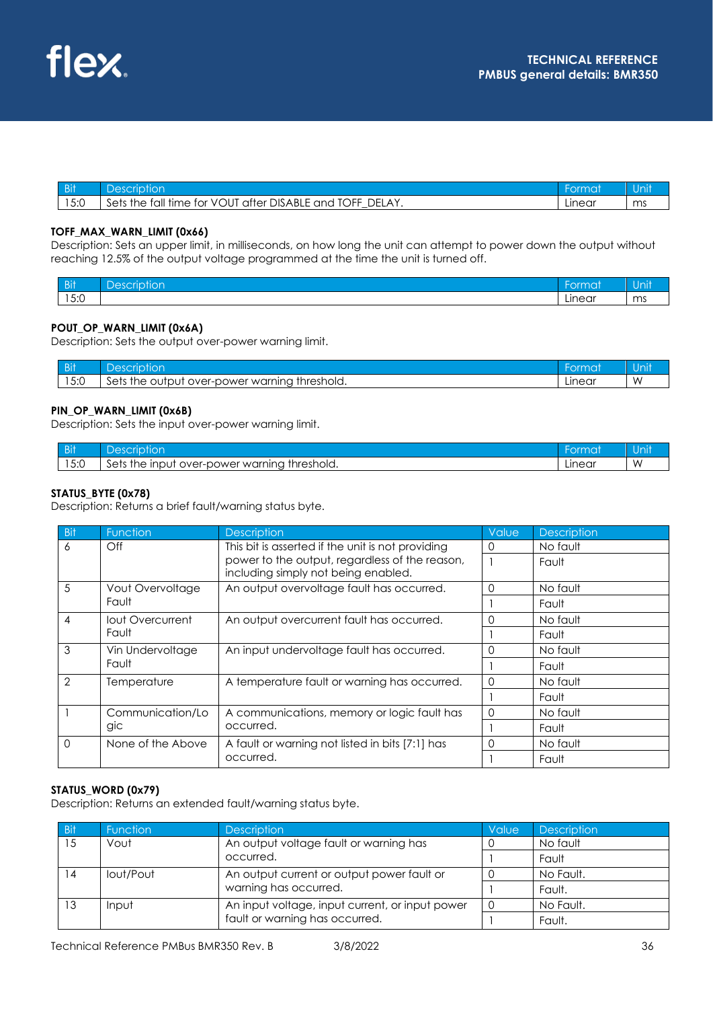| Bit  | 'iptior                                                                                    |        | Jnit |
|------|--------------------------------------------------------------------------------------------|--------|------|
| 15:0 | after DISABLE .<br>, fall time for VOUT<br>DEL<br><b>TOFF</b><br>LAY.<br>Sets the<br>and T | Linear | ms   |

#### **TOFF\_MAX\_WARN\_LIMIT (0x66)**

Description: Sets an upper limit, in milliseconds, on how long the unit can attempt to power down the output without reaching 12.5% of the output voltage programmed at the time the unit is turned off.

| <b>Bit</b>                                            | $\overline{\phantom{a}}$<br>ے عدا<br>$\sim$ $\sim$<br>יוטו | ormat  | .<br>∪ı     |
|-------------------------------------------------------|------------------------------------------------------------|--------|-------------|
| $\overline{1}$ $\overline{2}$ $\overline{2}$<br>I J.U |                                                            | Linear | $\sim$<br>. |

#### **POUT\_OP\_WARN\_LIMIT (0x6A)**

Description: Sets the output over-power warning limit.

| Bit                     | $\alpha$                                                                             | <b>Express</b> | au m |
|-------------------------|--------------------------------------------------------------------------------------|----------------|------|
| $F \cdot \cap$<br>1 J.U | $\sim$<br>warnina<br>threshold.<br>over-power v<br>the .<br>outpu<br><b>betr</b><br> | ∟ınear         | ۱Λ   |

### **PIN\_OP\_WARN\_LIMIT (0x6B)**

Description: Sets the input over-power warning limit.

| <b>Bit</b> | ≏                                                                                                                     | rma    |           |
|------------|-----------------------------------------------------------------------------------------------------------------------|--------|-----------|
| 5:0        | $\sim$<br>warning<br>threshold.<br>$\mathsf{In} \mathsf{In}$<br>the<br>setr<br><b>OVEL-L</b><br>วower<br>$\mathbf{u}$ | -ınear | <b>VV</b> |

### **STATUS\_BYTE (0x78)**

Description: Returns a brief fault/warning status byte.

| <b>Bit</b>     | Function          | <b>Description</b>                                                                    | Value    | <b>Description</b> |
|----------------|-------------------|---------------------------------------------------------------------------------------|----------|--------------------|
| 6              | Off               | This bit is asserted if the unit is not providing                                     |          | No fault           |
|                |                   | power to the output, regardless of the reason,<br>including simply not being enabled. |          | Fault              |
| 5              | Vout Overvoltage  | An output overvoltage fault has occurred.                                             | $\Omega$ | No fault           |
|                | Fault             |                                                                                       |          | Fault              |
| 4              | lout Overcurrent  | An output overcurrent fault has occurred.                                             |          | No fault           |
|                | Fault             |                                                                                       |          | Fault              |
| 3              | Vin Undervoltage  | An input undervoltage fault has occurred.                                             |          | No fault           |
|                | Fault             |                                                                                       |          | Fault              |
| $\overline{2}$ | Temperature       | A temperature fault or warning has occurred.                                          |          | No fault           |
|                |                   |                                                                                       |          | Fault              |
|                | Communication/Lo  | A communications, memory or logic fault has                                           | $\left($ | No fault           |
|                | gic               | occurred.                                                                             |          | Fault              |
| $\Omega$       | None of the Above | A fault or warning not listed in bits [7:1] has                                       |          | No fault           |
|                |                   | occurred.                                                                             |          | Fault              |

### **STATUS\_WORD (0x79)**

Description: Returns an extended fault/warning status byte.

| / Bit | <b>Function</b> | <b>Description</b>                              | Value | <b>Description</b> |
|-------|-----------------|-------------------------------------------------|-------|--------------------|
| 15    | Vout            | An output voltage fault or warning has          |       | No fault           |
|       |                 | occurred.                                       |       | Fault              |
| 14    | lout/Pout       | An output current or output power fault or      |       | No Fault.          |
|       |                 | warning has occurred.                           |       | Fault.             |
| 13    | Input           | An input voltage, input current, or input power |       | No Fault.          |
|       |                 | fault or warning has occurred.                  |       | Fault.             |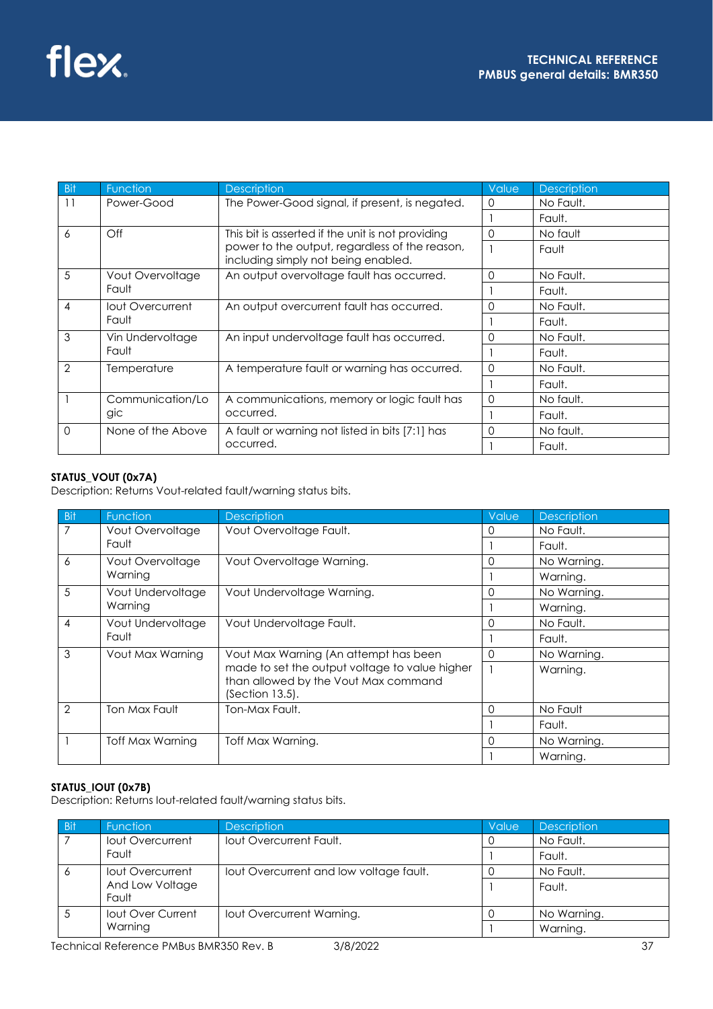| Bit            | <b>Function</b>   | <b>Description</b>                                                                    | Value | <b>Description</b> |
|----------------|-------------------|---------------------------------------------------------------------------------------|-------|--------------------|
| 11             | Power-Good        | The Power-Good signal, if present, is negated.                                        | 0     | No Fault.          |
|                |                   |                                                                                       |       | Fault.             |
| 6              | $\bigcirc$ ff     | This bit is asserted if the unit is not providing                                     | 0     | No fault           |
|                |                   | power to the output, regardless of the reason,<br>including simply not being enabled. |       | Fault              |
| 5              | Vout Overvoltage  | An output overvoltage fault has occurred.                                             | 0     | No Fault.          |
|                | Fault             |                                                                                       |       | Fault.             |
| $\overline{4}$ | lout Overcurrent  | An output overcurrent fault has occurred.                                             | 0     | No Fault.          |
|                | Fault             |                                                                                       |       | Fault.             |
| 3              | Vin Undervoltage  | An input undervoltage fault has occurred.                                             | ∩     | No Fault.          |
|                | Fault             |                                                                                       |       | Fault.             |
| 2              | Temperature       | A temperature fault or warning has occurred.                                          | ი     | No Fault.          |
|                |                   |                                                                                       |       | Fault.             |
|                | Communication/Lo  | A communications, memory or logic fault has                                           | 0     | No fault.          |
|                | gic               | occurred.                                                                             |       | Fault.             |
| $\Omega$       | None of the Above | A fault or warning not listed in bits [7:1] has                                       | 0     | No fault.          |
|                |                   | occurred.                                                                             |       | Fault.             |

## **STATUS\_VOUT (0x7A)**

Description: Returns Vout-related fault/warning status bits.

| <b>Bit</b>     | Function          | <b>Description</b>                                                                     | Value    | <b>Description</b> |
|----------------|-------------------|----------------------------------------------------------------------------------------|----------|--------------------|
| 7              | Vout Overvoltage  | Vout Overvoltage Fault.                                                                | $\left($ | No Fault.          |
|                | Fault             |                                                                                        |          | Fault.             |
| 6              | Vout Overvoltage  | Vout Overvoltage Warning.                                                              | 0        | No Warning.        |
|                | Warning           |                                                                                        |          | Warning.           |
| 5              | Vout Undervoltage | Vout Undervoltage Warning.                                                             | 0        | No Warning.        |
|                | Warning           |                                                                                        |          | Warning.           |
| 4              | Vout Undervoltage | Vout Undervoltage Fault.                                                               | O        | No Fault.          |
|                | Fault             |                                                                                        |          | Fault.             |
| 3              | Vout Max Warning  | Vout Max Warning (An attempt has been                                                  | 0        | No Warning.        |
|                |                   | made to set the output voltage to value higher<br>than allowed by the Vout Max command |          | Warning.           |
|                |                   | $(Section 13.5)$ .                                                                     |          |                    |
| $\overline{2}$ | Ton Max Fault     | Ton-Max Fault.                                                                         | 0        | No Fault           |
|                |                   |                                                                                        |          | Fault.             |
|                | Toff Max Warning  | Toff Max Warning.                                                                      | 0        | No Warning.        |
|                |                   |                                                                                        |          | Warning.           |

## **STATUS\_IOUT (0x7B)**

Description: Returns Iout-related fault/warning status bits.

| - Bit | <b>Function</b>   | <b>Description</b>                      | Value | <b>Description</b> |
|-------|-------------------|-----------------------------------------|-------|--------------------|
|       | lout Overcurrent  | lout Overcurrent Fault.                 |       | No Fault.          |
|       | Fault             |                                         |       | Fault.             |
| 6     | lout Overcurrent  | lout Overcurrent and low voltage fault. |       | No Fault.          |
|       | And Low Voltage   |                                         |       | Fault.             |
|       | Fault             |                                         |       |                    |
|       | lout Over Current | lout Overcurrent Warning.               |       | No Warning.        |
|       | Warning           |                                         |       | Warning.           |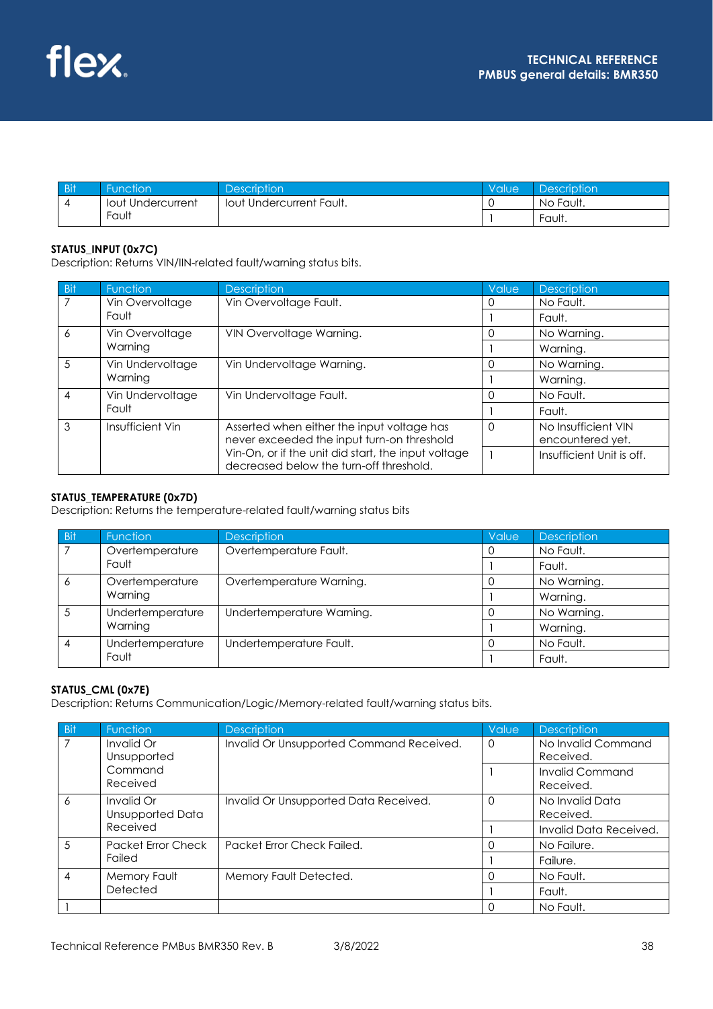| Bit | Function          | <b>Description</b>              | Value | Description |
|-----|-------------------|---------------------------------|-------|-------------|
|     | lout Undercurrent | <b>Tout Undercurrent Fault.</b> |       | No Fault.   |
|     | Fault             |                                 |       | Fault.      |

## **STATUS\_INPUT (0x7C)**

Description: Returns VIN/IIN-related fault/warning status bits.

| Bit | Function         | <b>Description</b>                                                                             | Value | <b>Description</b>        |
|-----|------------------|------------------------------------------------------------------------------------------------|-------|---------------------------|
|     | Vin Overvoltage  | Vin Overvoltage Fault.                                                                         |       | No Fault.                 |
|     | Fault            |                                                                                                |       | Fault.                    |
| 6   | Vin Overvoltage  | VIN Overvoltage Warning.                                                                       |       | No Warning.               |
|     | Warnina          |                                                                                                |       | Warning.                  |
| 5   | Vin Undervoltage | Vin Undervoltage Warning.                                                                      |       | No Warning.               |
|     | Warning          |                                                                                                |       | Warning.                  |
| 4   | Vin Undervoltage | Vin Undervoltage Fault.                                                                        |       | No Fault.                 |
|     | Fault            |                                                                                                |       | Fault.                    |
| 3   | Insufficient Vin | Asserted when either the input voltage has                                                     |       | No Insufficient VIN       |
|     |                  | never exceeded the input turn-on threshold                                                     |       | encountered yet.          |
|     |                  | Vin-On, or if the unit did start, the input voltage<br>decreased below the turn-off threshold. |       | Insufficient Unit is off. |

### **STATUS\_TEMPERATURE (0x7D)**

Description: Returns the temperature-related fault/warning status bits

| <b>Bit</b> | <b>Function</b>  | <b>Description</b>        | Value | <b>Description</b> |
|------------|------------------|---------------------------|-------|--------------------|
|            | Overtemperature  | Overtemperature Fault.    |       | No Fault.          |
|            | Fault            |                           |       | Fault.             |
| 6          | Overtemperature  | Overtemperature Warning.  |       | No Warning.        |
|            | Warning          |                           |       | Warning.           |
|            | Undertemperature | Undertemperature Warning. |       | No Warning.        |
|            | Warning          |                           |       | Warning.           |
|            | Undertemperature | Undertemperature Fault.   |       | No Fault.          |
|            | Fault            |                           |       | Fault.             |

## **STATUS\_CML (0x7E)**

Description: Returns Communication/Logic/Memory-related fault/warning status bits.

| <b>Bit</b>     | Function                       | <b>Description</b>                       | <b>Value</b> | <b>Description</b>                  |
|----------------|--------------------------------|------------------------------------------|--------------|-------------------------------------|
| 7              | Invalid Or<br>Unsupported      | Invalid Or Unsupported Command Received. | 0            | No Invalid Command<br>Received.     |
|                | Command<br>Received            |                                          |              | <b>Invalid Command</b><br>Received. |
| 6              | Invalid Or<br>Unsupported Data | Invalid Or Unsupported Data Received.    | 0            | No Invalid Data<br>Received.        |
|                | Received                       |                                          |              | Invalid Data Received.              |
| $\overline{5}$ | <b>Packet Error Check</b>      | Packet Error Check Failed.               |              | No Failure.                         |
|                | Failed                         |                                          |              | Failure.                            |
| $\overline{4}$ | Memory Fault                   | Memory Fault Detected.                   |              | No Fault.                           |
|                | Detected                       |                                          |              | Fault.                              |
|                |                                |                                          |              | No Fault.                           |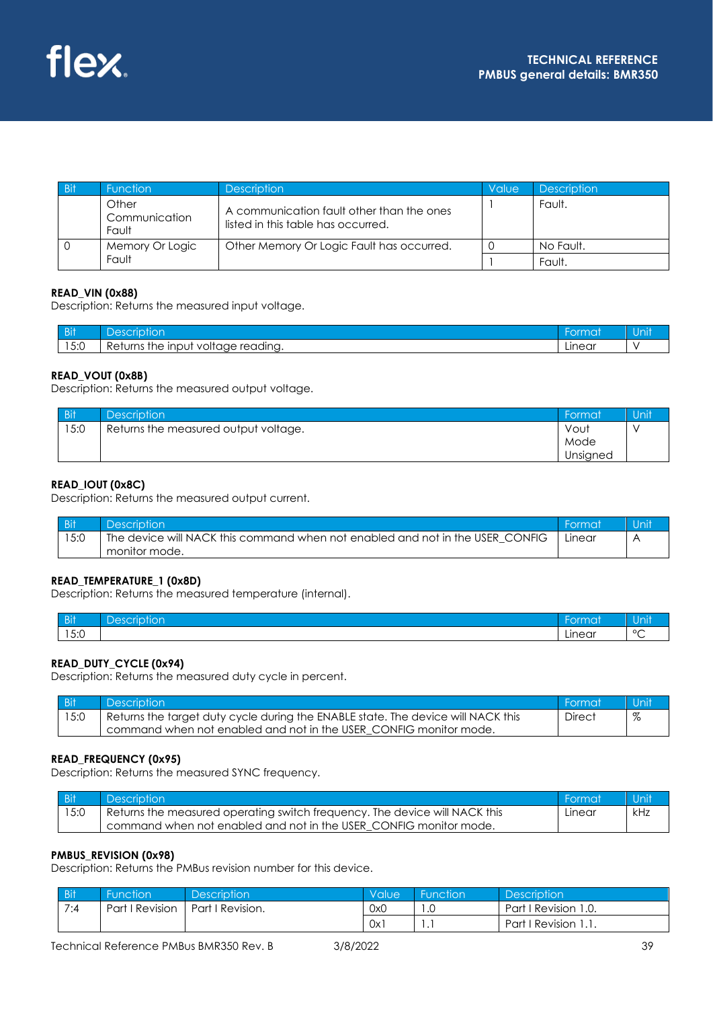

| / Bit | <b>Function</b>                 | <b>Description</b>                                                              | Value | <b>Description</b> |
|-------|---------------------------------|---------------------------------------------------------------------------------|-------|--------------------|
|       | Other<br>Communication<br>Fault | A communication fault other than the ones<br>listed in this table has occurred. |       | Fault.             |
|       | Memory Or Logic                 | Other Memory Or Logic Fault has occurred.                                       |       | No Fault.          |
|       | Fault                           |                                                                                 |       | Fault.             |

### **READ\_VIN (0x88)**

Description: Returns the measured input voltage.

| <b>Bit</b>            | $\Delta$<br>ושו                                                                | чик.          | ווחו |
|-----------------------|--------------------------------------------------------------------------------|---------------|------|
| $F \cdot \cap$<br>∪.ט | $\overline{\phantom{0}}$<br>readina.<br>inc<br>voltage<br>"Re<br>the<br>urns ، | . .<br>Linear |      |

### **READ\_VOUT (0x8B)**

Description: Returns the measured output voltage.

| <b>Bit</b> | Description <sup>1</sup>             | Format   | Uniti |
|------------|--------------------------------------|----------|-------|
| 15:0       | Returns the measured output voltage. | Vout     |       |
|            |                                      | Mode     |       |
|            |                                      | Unsigned |       |

### **READ\_IOUT (0x8C)**

Description: Returns the measured output current.

| <b>Bit</b> | <b>Description</b>                                                            | ' Format |  |
|------------|-------------------------------------------------------------------------------|----------|--|
| 15:0       | The device will NACK this command when not enabled and not in the USER CONFIG | Linear   |  |
|            | monitor mode.                                                                 |          |  |

#### **READ\_TEMPERATURE\_1 (0x8D)**

Description: Returns the measured temperature (internal).

| <b>Bit</b>   | <b>Service Service</b><br>$\sim$<br><b>Contract Contract Contract</b><br>ושו | ormat  | <b>Contract Contract</b><br><b>UII</b> |
|--------------|------------------------------------------------------------------------------|--------|----------------------------------------|
| $  -$<br>∪.ט |                                                                              | Linear | $\circ$                                |

## **READ\_DUTY\_CYCLE (0x94)**

Description: Returns the measured duty cycle in percent.

| <b>Bit</b> | <b>Description</b>                                                               | - Format      | <b>Unit</b> |
|------------|----------------------------------------------------------------------------------|---------------|-------------|
| 15:0       | Returns the target duty cycle during the ENABLE state. The device will NACK this | <b>Direct</b> | $\%$        |
|            | command when not enabled and not in the USER CONFIG monitor mode.                |               |             |

### **READ\_FREQUENCY (0x95)**

Description: Returns the measured SYNC frequency.

| <b>Bit</b> | <b>Description</b>                                                         | - Format | Unit |
|------------|----------------------------------------------------------------------------|----------|------|
| 15:0       | Returns the measured operating switch frequency. The device will NACK this | Linear   | kHz  |
|            | command when not enabled and not in the USER CONFIG monitor mode.          |          |      |

#### **PMBUS\_REVISION (0x98)**

Description: Returns the PMBus revision number for this device.

| Bit | <b>Function</b> | <b>Description</b> | Value | <b>Eunction</b> | Description'         |
|-----|-----------------|--------------------|-------|-----------------|----------------------|
| 7:4 | Part I Revision | Part   Revision.   | 0x0   | ں .             | Part   Revision 1.0. |
|     |                 |                    | 0x1   | . .             | Part I Revision 1.1. |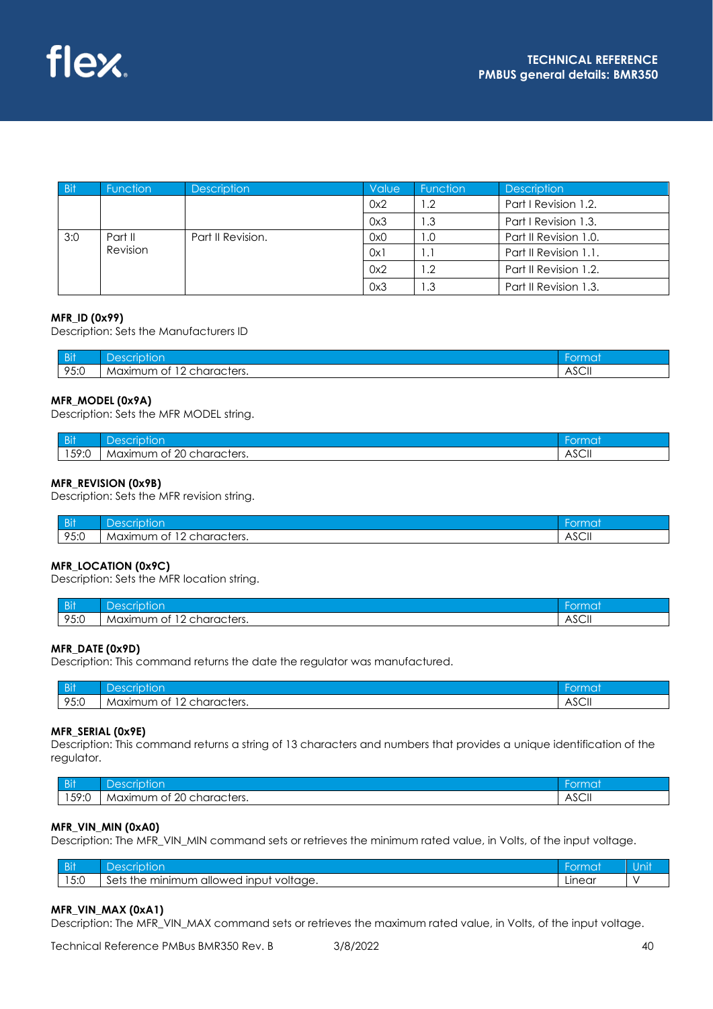| <b>Bit</b> | <b>Function</b> | <b>Description</b> | Value | <b>Function</b> | <b>Description</b>    |
|------------|-----------------|--------------------|-------|-----------------|-----------------------|
|            |                 |                    | 0x2   | 1.2             | Part   Revision 1.2.  |
|            |                 |                    | 0x3   | l .3            | Part   Revision 1.3.  |
| 3:0        | Part II         | Part II Revision.  | 0x0   | 1.0             | Part II Revision 1.0. |
|            | Revision        |                    | 0x1   | 1.1             | Part II Revision 1.1. |
|            |                 |                    | 0x2   | 1.2             | Part II Revision 1.2. |
|            |                 |                    | 0x3   | I.3             | Part II Revision 1.3. |

#### **MFR\_ID (0x99)**

Description: Sets the Manufacturers ID

| / n:8<br>- 211        | $A^{\alpha}$<br>ior<br>rır                    | ormai             |
|-----------------------|-----------------------------------------------|-------------------|
| $OE \cdot O$<br>7 J.U | $\sim$<br>. unaracters.<br>Maximum<br>ΟĪ<br>▴ | $\sim$<br>- ASCII |

#### **MFR\_MODEL (0x9A)**

Description: Sets the MFR MODEL string.

| / DiV<br>- DII       | –<br>DASI<br>ion<br>rir                        | ormat              |
|----------------------|------------------------------------------------|--------------------|
| $50 - C$<br>1 J Z .U | $\Omega$<br>characters.<br>Maximum<br>ΟĪ<br>ັ∠ | $\sim$<br>- ASCII. |

#### **MFR\_REVISION (0x9B)**

Description: Sets the MFR revision string.

| <b>Bit</b>                              | $\overline{\phantom{a}}$<br>ءد\<br><b>Contract Contract Contract</b><br>IOI<br>. . | uu              |
|-----------------------------------------|------------------------------------------------------------------------------------|-----------------|
| $O E \cdot C$<br>$\lambda \cup \lambda$ | haracters.<br>num<br>. Maxim :<br>Οt<br>∼                                          | $\sim$<br>ASCII |

#### **MFR\_LOCATION (0x9C)**

Description: Sets the MFR location string.

| in:<br>ுப | $\Omega$<br>lor                                  | ermat           |
|-----------|--------------------------------------------------|-----------------|
| 95:0      | $\sim$<br>characters.<br>Maximum<br>.<br>OT<br>∸ | $\sim$<br>∴ASC⊪ |

#### **MFR\_DATE (0x9D)**

Description: This command returns the date the regulator was manufactured.

| <b>Bit</b>           |                                                              |                      |
|----------------------|--------------------------------------------------------------|----------------------|
| $O E \cdot O$<br>ט.ט | $\sim$ $\sim$<br>`haracters.<br>Maximum<br>Οl<br>$\sim$<br>∸ | $\sim$<br>↗<br>וו⊃כר |

#### **MFR\_SERIAL (0x9E)**

Description: This command returns a string of 13 characters and numbers that provides a unique identification of the regulator.

| <b>DI</b><br>- 21 | $\sim$<br>ŐI                                       | чи.                         |
|-------------------|----------------------------------------------------|-----------------------------|
| 50.L<br>I J 7 .U  | $\sim$<br>characters.<br>ΟĪ<br>Maxımı<br>num<br>ZU | $\sim$<br>$\Delta$<br>ASUIL |

#### **MFR\_VIN\_MIN (0xA0)**

Description: The MFR\_VIN\_MIN command sets or retrieves the minimum rated value, in Volts, of the input voltage.

| $\sim$ $\sim$ $\sim$<br>ப | $\sim$<br>> ⊖ (<br>ior<br>41                                    |        | лш |
|---------------------------|-----------------------------------------------------------------|--------|----|
| $F \cdot \cap$<br>∪.⊽     | າບm<br>minimu.<br>voltage.<br>. Input<br>allowed<br>Sets<br>the | Linear |    |

#### **MFR\_VIN\_MAX (0xA1)**

Description: The MFR\_VIN\_MAX command sets or retrieves the maximum rated value, in Volts, of the input voltage.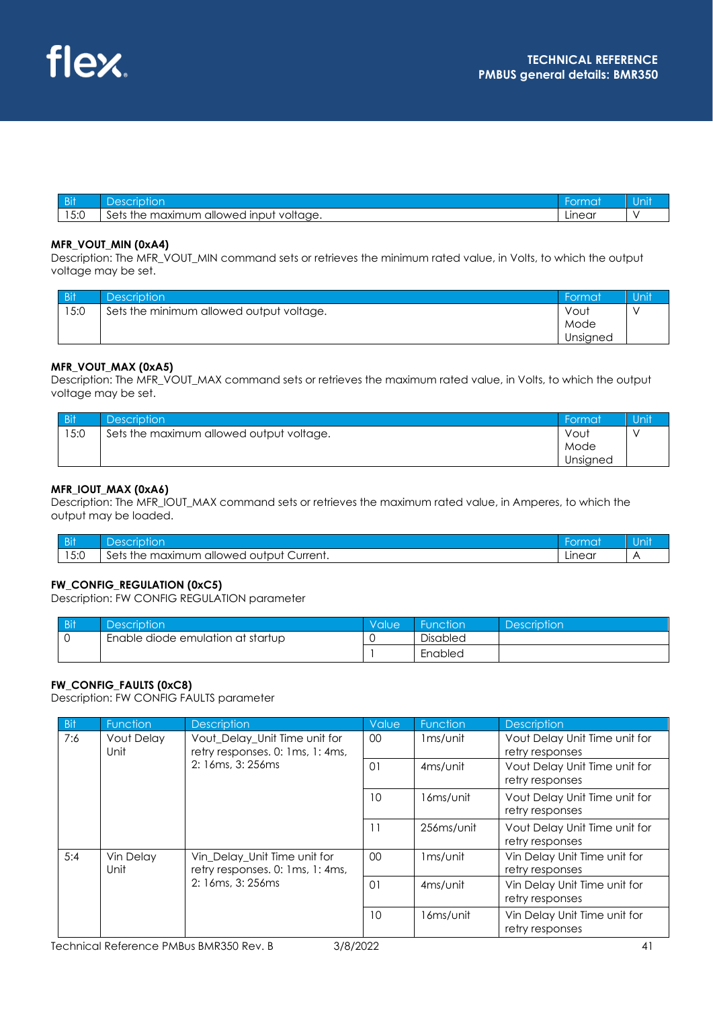| <b>Bit</b> |                                                                  |        | 'VIII. |
|------------|------------------------------------------------------------------|--------|--------|
| 5.0<br>ن.ر | $\sim$<br>allowed<br>input<br>maximum<br>Sets<br>voltage.<br>the | Linear |        |

#### **MFR\_VOUT\_MIN (0xA4)**

Description: The MFR\_VOUT\_MIN command sets or retrieves the minimum rated value, in Volts, to which the output voltage may be set.

| <b>Bit</b> | <b>Description</b>                       | Format   | Unit |
|------------|------------------------------------------|----------|------|
| 15:0       | Sets the minimum allowed output voltage. | Vout     |      |
|            |                                          | Mode     |      |
|            |                                          | Unsigned |      |

#### **MFR\_VOUT\_MAX (0xA5)**

Description: The MFR\_VOUT\_MAX command sets or retrieves the maximum rated value, in Volts, to which the output voltage may be set.

| <b>Bit</b> | Description <sup>1</sup>                 | Format   | Unit |
|------------|------------------------------------------|----------|------|
| 15:0       | Sets the maximum allowed output voltage. | Vout     |      |
|            |                                          | Mode     |      |
|            |                                          | Unsigned |      |

### **MFR\_IOUT\_MAX (0xA6)**

Description: The MFR\_IOUT\_MAX command sets or retrieves the maximum rated value, in Amperes, to which the output may be loaded.

| <b>Bit</b>                                     | $A \cap C \cap R$<br>tior<br>Ίr                                   | $rm \sim$<br>uma |  |
|------------------------------------------------|-------------------------------------------------------------------|------------------|--|
| $\overline{\phantom{0}}$<br>$F \cdot C$<br>ن.ر | $\sim$<br>Current.<br>allowed<br>maximum<br>output<br>the<br>Sets | ∟ınear           |  |

#### **FW\_CONFIG\_REGULATION (0xC5)**

Description: FW CONFIG REGULATION parameter

| <b>Bit</b>                        | Description <sup>1</sup> | Value | <b>Function</b> | <b>Description</b> |
|-----------------------------------|--------------------------|-------|-----------------|--------------------|
| Enable diode emulation at startup |                          |       | <b>Disabled</b> |                    |
|                                   |                          |       | Enabled         |                    |

#### **FW\_CONFIG\_FAULTS (0xC8)**

Description: FW CONFIG FAULTS parameter

| <b>Bit</b> | Function                  | <b>Description</b>                                                                    | Value                | Function                                                | <b>Description</b>                               |
|------------|---------------------------|---------------------------------------------------------------------------------------|----------------------|---------------------------------------------------------|--------------------------------------------------|
| 7:6        | <b>Vout Delay</b><br>Unit | Vout_Delay_Unit Time unit for<br>retry responses. 0: 1ms, 1: 4ms,                     | 00                   | 1 <sub>ms/unit</sub>                                    | Vout Delay Unit Time unit for<br>retry responses |
|            | 2: 16ms, 3: 256ms         | 01                                                                                    | 4 <sub>ms/unit</sub> | <b>Vout Delay Unit Time unit for</b><br>retry responses |                                                  |
|            |                           | 10                                                                                    | 16ms/unit            | Vout Delay Unit Time unit for<br>retry responses        |                                                  |
|            |                           |                                                                                       | 11                   | 256ms/unit                                              | Vout Delay Unit Time unit for<br>retry responses |
| 5:4        | Vin Delay<br>Unit         | Vin_Delay_Unit Time unit for<br>retry responses. 0: 1ms, 1: 4ms,<br>2: 16ms, 3: 256ms | 00                   | 1 <sub>ms/unit</sub>                                    | Vin Delay Unit Time unit for<br>retry responses  |
|            |                           |                                                                                       | $\Omega$             | 4 <sub>ms/unit</sub>                                    | Vin Delay Unit Time unit for<br>retry responses  |
|            |                           |                                                                                       | 10                   | 16ms/unit                                               | Vin Delay Unit Time unit for<br>retry responses  |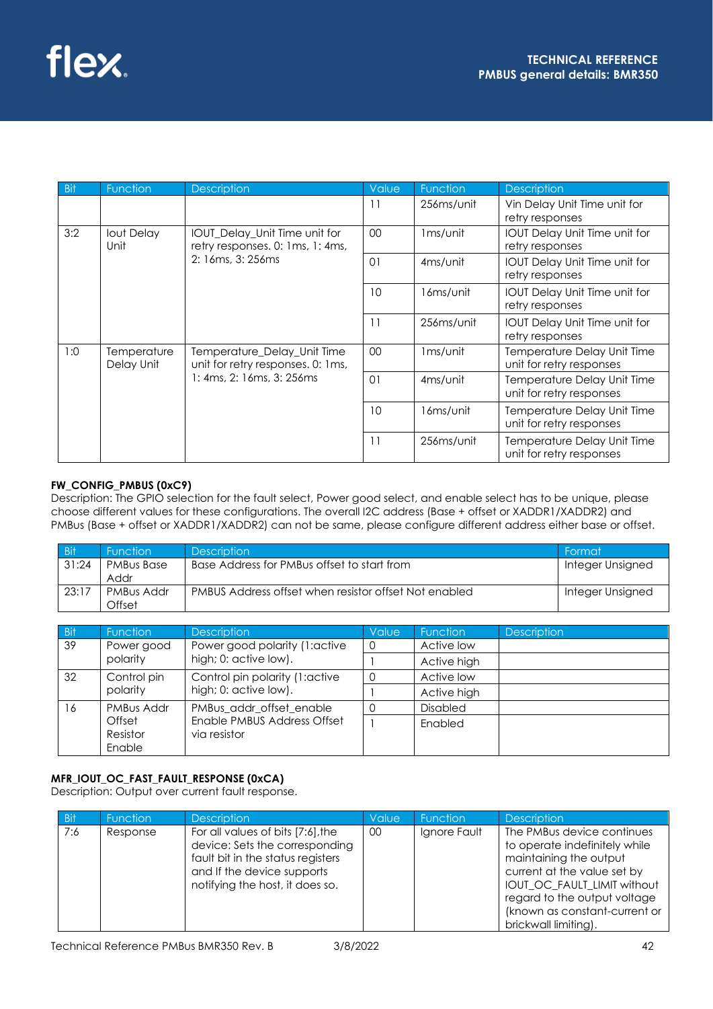| <b>Bit</b> | Function                  | <b>Description</b>                                                                            | Value    | Function             | <b>Description</b>                                      |
|------------|---------------------------|-----------------------------------------------------------------------------------------------|----------|----------------------|---------------------------------------------------------|
|            |                           |                                                                                               | 11       | 256ms/unit           | Vin Delay Unit Time unit for<br>retry responses         |
| 3:2        | lout Delay<br>Unit        | IOUT_Delay_Unit Time unit for<br>retry responses. 0: 1ms, 1: 4ms,                             | 00       | 1ms/unit             | <b>IOUT Delay Unit Time unit for</b><br>retry responses |
|            |                           | 2: 16ms, 3: 256ms                                                                             | $\Omega$ | 4 <sub>ms/unit</sub> | <b>IOUT Delay Unit Time unit for</b><br>retry responses |
|            |                           |                                                                                               | 10       | 16ms/unit            | <b>IOUT Delay Unit Time unit for</b><br>retry responses |
|            |                           |                                                                                               | 11       | 256ms/unit           | <b>IOUT Delay Unit Time unit for</b><br>retry responses |
| 1:0        | Temperature<br>Delay Unit | Temperature_Delay_Unit Time<br>unit for retry responses. 0: 1ms,<br>1: 4ms, 2: 16ms, 3: 256ms | 00       | 1 <sub>ms/unit</sub> | Temperature Delay Unit Time<br>unit for retry responses |
|            |                           |                                                                                               | $\Omega$ | 4 <sub>ms/unit</sub> | Temperature Delay Unit Time<br>unit for retry responses |
|            |                           |                                                                                               | 10       | 16ms/unit            | Temperature Delay Unit Time<br>unit for retry responses |
|            |                           |                                                                                               | 11       | 256ms/unit           | Temperature Delay Unit Time<br>unit for retry responses |

## **FW\_CONFIG\_PMBUS (0xC9)**

Description: The GPIO selection for the fault select, Power good select, and enable select has to be unique, please choose different values for these configurations. The overall I2C address (Base + offset or XADDR1/XADDR2) and PMBus (Base + offset or XADDR1/XADDR2) can not be same, please configure different address either base or offset.

| <b>Bit</b> | <b>Function</b>           | <b>Description</b>                                    | Format           |
|------------|---------------------------|-------------------------------------------------------|------------------|
| 31:24      | <b>PMBus Base</b><br>Addr | Base Address for PMBus offset to start from           | Integer Unsigned |
| 23:17      | PMBus Addr<br>Offset      | PMBUS Address offset when resistor offset Not enabled | Integer Unsigned |

| <b>Bit</b> | <b>Function</b>                                                             | <b>Description</b>             | Value    | <b>Function</b> | <b>Description</b> |
|------------|-----------------------------------------------------------------------------|--------------------------------|----------|-----------------|--------------------|
| 39         | Power good                                                                  | Power good polarity (1:active  | 0        | Active low      |                    |
|            | polarity                                                                    | high; 0: active low).          |          | Active high     |                    |
| 32         | Control pin                                                                 | Control pin polarity (1:active | $\Omega$ | Active low      |                    |
|            | polarity                                                                    | high; 0: active low).          |          | Active high     |                    |
| 16         | PMBus Addr                                                                  | PMBus addr offset enable       |          | <b>Disabled</b> |                    |
|            | Enable PMBUS Address Offset<br>Offset<br>Resistor<br>via resistor<br>Enable |                                | Enabled  |                 |                    |

## **MFR\_IOUT\_OC\_FAST\_FAULT\_RESPONSE (0xCA)**

Description: Output over current fault response.

| <b>Bit</b> | Function | <b>Description</b>                                                                                                                                                        | Value | <b>Function</b> | <b>Description</b>                                                                                                                                                                                                                           |
|------------|----------|---------------------------------------------------------------------------------------------------------------------------------------------------------------------------|-------|-----------------|----------------------------------------------------------------------------------------------------------------------------------------------------------------------------------------------------------------------------------------------|
| 7:6        | Response | For all values of bits [7:6], the<br>device: Sets the corresponding<br>fault bit in the status registers<br>and If the device supports<br>notifying the host, it does so. | 00    | Ignore Fault    | The PMBus device continues<br>to operate indefinitely while<br>maintaining the output<br>current at the value set by<br>IOUT_OC_FAULT_LIMIT without<br>regard to the output voltage<br>(known as constant-current or<br>brickwall limiting). |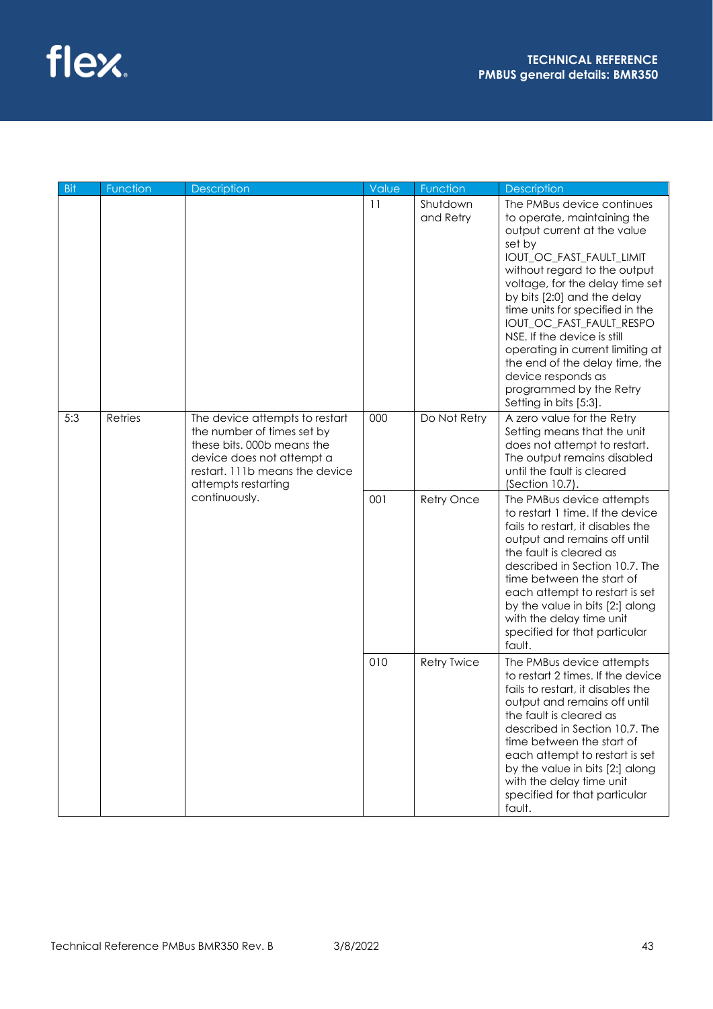

| <b>Bit</b> | Function                                                                                                                                                                                                     | <b>Description</b> | Value                      | Function                                                                                                                                                                                                                                                                                                | <b>Description</b>                                                                                                                                                                                                                                                                                                                                                                                                                                                              |
|------------|--------------------------------------------------------------------------------------------------------------------------------------------------------------------------------------------------------------|--------------------|----------------------------|---------------------------------------------------------------------------------------------------------------------------------------------------------------------------------------------------------------------------------------------------------------------------------------------------------|---------------------------------------------------------------------------------------------------------------------------------------------------------------------------------------------------------------------------------------------------------------------------------------------------------------------------------------------------------------------------------------------------------------------------------------------------------------------------------|
|            |                                                                                                                                                                                                              |                    | 11                         | Shutdown<br>and Retry                                                                                                                                                                                                                                                                                   | The PMBus device continues<br>to operate, maintaining the<br>output current at the value<br>set by<br>IOUT_OC_FAST_FAULT_LIMIT<br>without regard to the output<br>voltage, for the delay time set<br>by bits [2:0] and the delay<br>time units for specified in the<br>IOUT_OC_FAST_FAULT_RESPO<br>NSE. If the device is still<br>operating in current limiting at<br>the end of the delay time, the<br>device responds as<br>programmed by the Retry<br>Setting in bits [5:3]. |
| 5:3        | Retries<br>The device attempts to restart<br>the number of times set by<br>these bits. 000b means the<br>device does not attempt a<br>restart. 111b means the device<br>attempts restarting<br>continuously. | 000<br>001         | Do Not Retry<br>Retry Once | A zero value for the Retry<br>Setting means that the unit<br>does not attempt to restart.<br>The output remains disabled<br>until the fault is cleared<br>(Section 10.7).<br>The PMBus device attempts<br>to restart 1 time. If the device                                                              |                                                                                                                                                                                                                                                                                                                                                                                                                                                                                 |
|            |                                                                                                                                                                                                              |                    |                            | fails to restart, it disables the<br>output and remains off until<br>the fault is cleared as<br>described in Section 10.7. The<br>time between the start of<br>each attempt to restart is set<br>by the value in bits [2:] along<br>with the delay time unit<br>specified for that particular<br>fault. |                                                                                                                                                                                                                                                                                                                                                                                                                                                                                 |
|            |                                                                                                                                                                                                              |                    | 010                        | <b>Retry Twice</b>                                                                                                                                                                                                                                                                                      | The PMBus device attempts<br>to restart 2 times. If the device<br>fails to restart, it disables the<br>output and remains off until<br>the fault is cleared as<br>described in Section 10.7. The<br>time between the start of<br>each attempt to restart is set<br>by the value in bits [2:] along<br>with the delay time unit<br>specified for that particular<br>fault.                                                                                                       |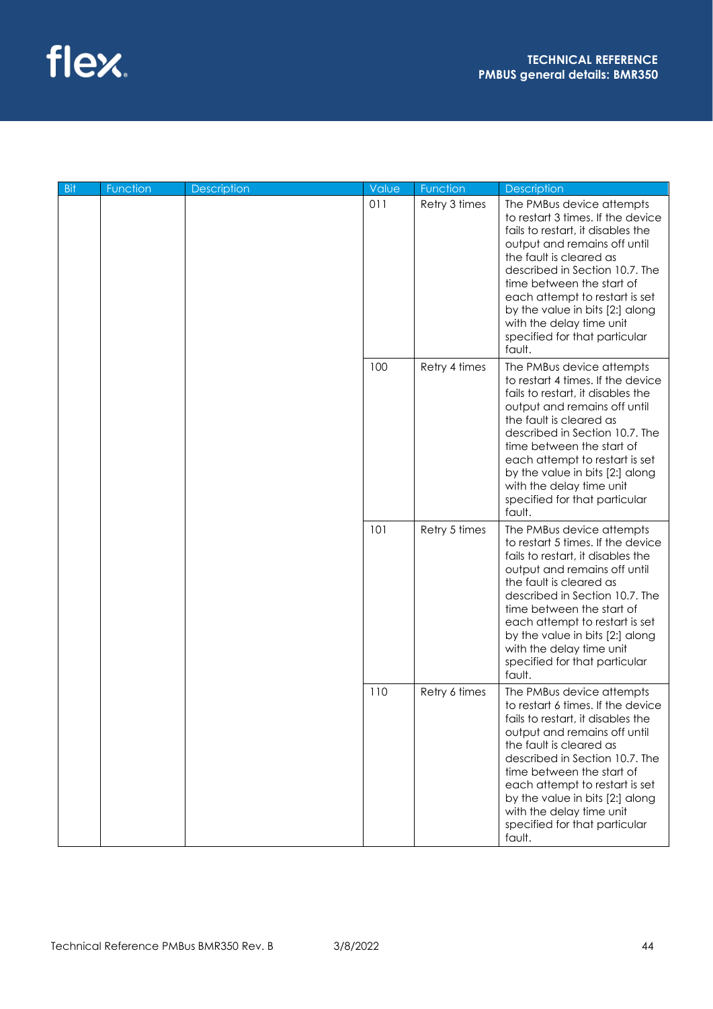

| <b>Bit</b> | Function | Description | Value         | Function                                                                                                                                                                                                                                                                                                                                                                  | <b>Description</b>                                                                                                                                                                                                                                                                                                                                                        |
|------------|----------|-------------|---------------|---------------------------------------------------------------------------------------------------------------------------------------------------------------------------------------------------------------------------------------------------------------------------------------------------------------------------------------------------------------------------|---------------------------------------------------------------------------------------------------------------------------------------------------------------------------------------------------------------------------------------------------------------------------------------------------------------------------------------------------------------------------|
|            |          |             | 011           | Retry 3 times                                                                                                                                                                                                                                                                                                                                                             | The PMBus device attempts<br>to restart 3 times. If the device<br>fails to restart, it disables the<br>output and remains off until<br>the fault is cleared as<br>described in Section 10.7. The<br>time between the start of<br>each attempt to restart is set<br>by the value in bits [2:] along<br>with the delay time unit<br>specified for that particular<br>fault. |
|            |          |             | 100           | Retry 4 times                                                                                                                                                                                                                                                                                                                                                             | The PMBus device attempts<br>to restart 4 times. If the device<br>fails to restart, it disables the<br>output and remains off until<br>the fault is cleared as<br>described in Section 10.7. The<br>time between the start of<br>each attempt to restart is set<br>by the value in bits [2:] along<br>with the delay time unit<br>specified for that particular<br>fault. |
|            |          | 101         | Retry 5 times | The PMBus device attempts<br>to restart 5 times. If the device<br>fails to restart, it disables the<br>output and remains off until<br>the fault is cleared as<br>described in Section 10.7. The<br>time between the start of<br>each attempt to restart is set<br>by the value in bits [2:] along<br>with the delay time unit<br>specified for that particular<br>fault. |                                                                                                                                                                                                                                                                                                                                                                           |
|            |          |             | 110           | Retry 6 times                                                                                                                                                                                                                                                                                                                                                             | The PMBus device attempts<br>to restart 6 times. If the device<br>fails to restart, it disables the<br>output and remains off until<br>the fault is cleared as<br>described in Section 10.7. The<br>time between the start of<br>each attempt to restart is set<br>by the value in bits [2:] along<br>with the delay time unit<br>specified for that particular<br>fault. |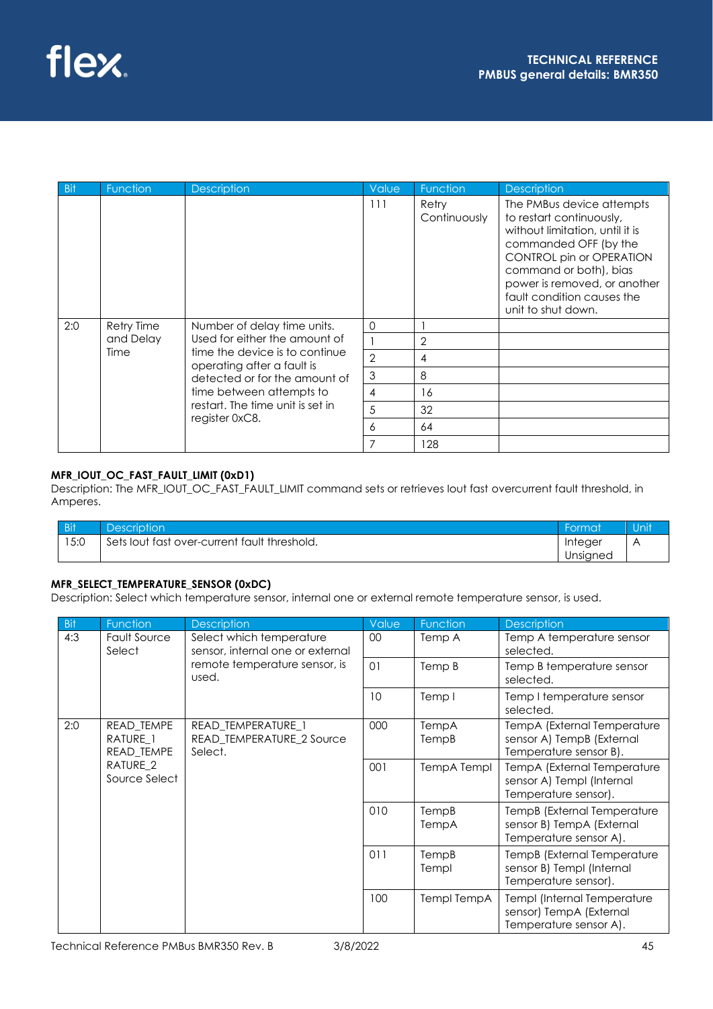| <b>Bit</b> | Function                      | <b>Description</b>                                           | Value          | Function              | <b>Description</b>                                                                                                                                                                                                                                                 |
|------------|-------------------------------|--------------------------------------------------------------|----------------|-----------------------|--------------------------------------------------------------------------------------------------------------------------------------------------------------------------------------------------------------------------------------------------------------------|
|            |                               |                                                              | 111            | Retry<br>Continuously | The PMBus device attempts<br>to restart continuously,<br>without limitation, until it is<br>commanded OFF (by the<br><b>CONTROL pin or OPERATION</b><br>command or both), bias<br>power is removed, or another<br>fault condition causes the<br>unit to shut down. |
| 2:0        | <b>Retry Time</b>             | Number of delay time units.                                  | $\Omega$       |                       |                                                                                                                                                                                                                                                                    |
|            | and Delay                     | Used for either the amount of                                |                | 2                     |                                                                                                                                                                                                                                                                    |
|            | Time                          | time the device is to continue<br>operating after a fault is | $\overline{2}$ | 4                     |                                                                                                                                                                                                                                                                    |
|            | detected or for the amount of | 3                                                            | 8              |                       |                                                                                                                                                                                                                                                                    |
|            |                               | time between attempts to                                     | 4              | 16                    |                                                                                                                                                                                                                                                                    |
|            |                               | restart. The time unit is set in                             | 5              | 32                    |                                                                                                                                                                                                                                                                    |
|            |                               | register 0xC8.                                               | 6              | 64                    |                                                                                                                                                                                                                                                                    |
|            |                               |                                                              | 7              | 128                   |                                                                                                                                                                                                                                                                    |

## **MFR\_IOUT\_OC\_FAST\_FAULT\_LIMIT (0xD1)**

Description: The MFR\_IOUT\_OC\_FAST\_FAULT\_LIMIT command sets or retrieves Iout fast overcurrent fault threshold, in Amperes.

| <b>Bit</b> | <b>Description</b>                           | <sup>'</sup> ormat | Unit |
|------------|----------------------------------------------|--------------------|------|
| 15:0       | Sets lout fast over-current fault threshold. | Integer            |      |
|            |                                              | Unsigned           |      |

## **MFR\_SELECT\_TEMPERATURE\_SENSOR (0xDC)**

Description: Select which temperature sensor, internal one or external remote temperature sensor, is used.

| <b>Bit</b> | Function                                        | <b>Description</b>                                           | Value | Function       | <b>Description</b>                                                                 |
|------------|-------------------------------------------------|--------------------------------------------------------------|-------|----------------|------------------------------------------------------------------------------------|
| 4:3        | <b>Fault Source</b><br>Select                   | Select which temperature<br>sensor, internal one or external | 00    | Temp A         | Temp A temperature sensor<br>selected.                                             |
|            |                                                 | remote temperature sensor, is<br>used.                       | 01    | Temp B         | Temp B temperature sensor<br>selected.                                             |
|            |                                                 |                                                              | 10    | Temp I         | Temp I temperature sensor<br>selected.                                             |
| 2:0        | READ_TEMPE<br>RATURE <sub>1</sub><br>READ_TEMPE | READ TEMPERATURE 1<br>READ TEMPERATURE 2 Source<br>Select.   | 000   | TempA<br>TempB | TempA (External Temperature<br>sensor A) TempB (External<br>Temperature sensor B). |
|            | RATURE <sub>2</sub><br>Source Select            |                                                              | 001   | TempA Templ    | TempA (External Temperature<br>sensor A) Templ (Internal<br>Temperature sensor).   |
|            |                                                 |                                                              | 010   | TempB<br>TempA | TempB (External Temperature<br>sensor B) TempA (External<br>Temperature sensor A). |
|            |                                                 |                                                              | 011   | TempB<br>Templ | TempB (External Temperature<br>sensor B) Templ (Internal<br>Temperature sensor).   |
|            |                                                 |                                                              | 100   | Templ TempA    | Templ (Internal Temperature<br>sensor) TempA (External<br>Temperature sensor A).   |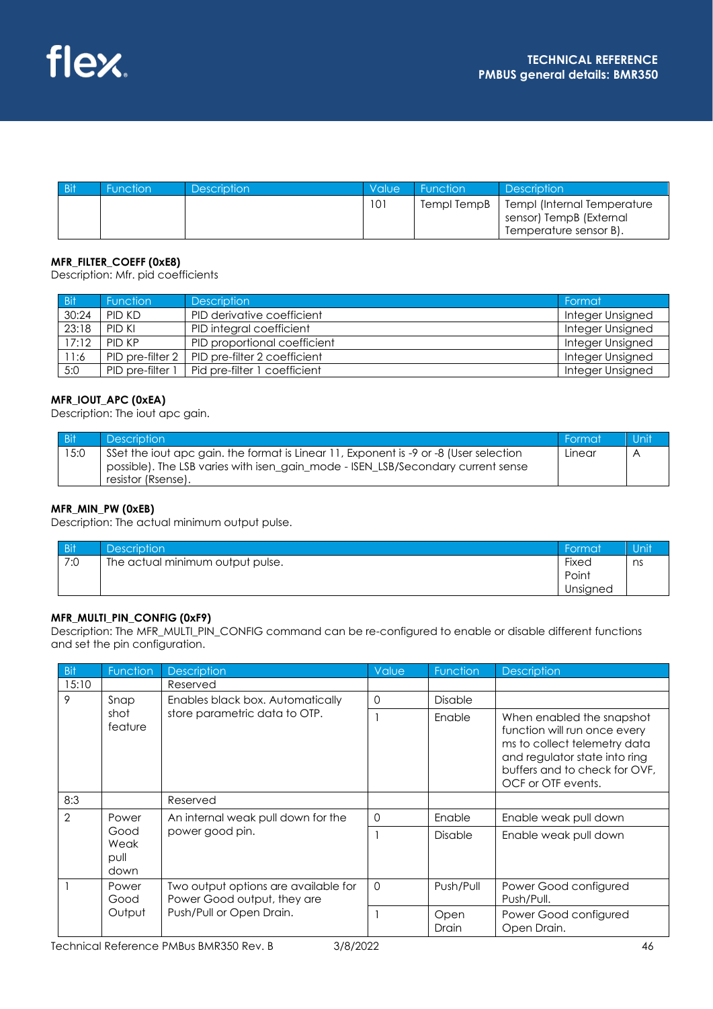| <b>Bit</b> | Function | <b>Description</b> | <b>Value</b> | Function    | <b>Description</b>                                                               |
|------------|----------|--------------------|--------------|-------------|----------------------------------------------------------------------------------|
|            |          |                    | 101          | Templ TempB | Templ (Internal Temperature<br>sensor) TempB (External<br>Temperature sensor B). |

### **MFR\_FILTER\_COEFF (0xE8)**

Description: Mfr. pid coefficients

| Bit/  | <b>Function</b>  | <b>Description</b>           | Format           |
|-------|------------------|------------------------------|------------------|
| 30:24 | PID KD           | PID derivative coefficient   | Integer Unsigned |
| 23:18 | PID KI           | PID integral coefficient     | Integer Unsigned |
| 17:12 | PID KP           | PID proportional coefficient | Integer Unsigned |
| 11:6  | PID pre-filter 2 | PID pre-filter 2 coefficient | Integer Unsigned |
| 5:0   | PID pre-filter 1 | Pid pre-filter 1 coefficient | Integer Unsigned |

#### **MFR\_IOUT\_APC (0xEA)**

Description: The iout apc gain.

| <b>Bit</b> | <b>Description</b>                                                                                                                                                                             | Format | Unit |
|------------|------------------------------------------------------------------------------------------------------------------------------------------------------------------------------------------------|--------|------|
| 15:0       | Set the jout apc gain, the format is Linear 11, Exponent is -9 or -8 (User selection<br>possible). The LSB varies with isen_gain_mode - ISEN_LSB/Secondary current sense<br>resistor (Rsense). | Linear |      |

### **MFR\_MIN\_PW (0xEB)**

Description: The actual minimum output pulse.

| <b>Bit</b> | <b>Description</b>               | Format   | Unit |
|------------|----------------------------------|----------|------|
| 7:0        | The actual minimum output pulse. | Fixed    | ns   |
|            |                                  | Point    |      |
|            |                                  | Unsigned |      |

#### **MFR\_MULTI\_PIN\_CONFIG (0xF9)**

Description: The MFR\_MULTI\_PIN\_CONFIG command can be re-configured to enable or disable different functions and set the pin configuration.

| <b>Bit</b>     | Function                     | <b>Description</b>                                                                              | Value    | Function       | <b>Description</b>                                                                                                                                                                |
|----------------|------------------------------|-------------------------------------------------------------------------------------------------|----------|----------------|-----------------------------------------------------------------------------------------------------------------------------------------------------------------------------------|
| 15:10          |                              | Reserved                                                                                        |          |                |                                                                                                                                                                                   |
| 9              | Snap                         | Enables black box. Automatically                                                                | $\Omega$ | <b>Disable</b> |                                                                                                                                                                                   |
|                | shot<br>feature              | store parametric data to OTP.                                                                   |          | Enable         | When enabled the snapshot<br>function will run once every<br>ms to collect telemetry data<br>and regulator state into ring<br>buffers and to check for OVF,<br>OCF or OTF events. |
| 8:3            |                              | Reserved                                                                                        |          |                |                                                                                                                                                                                   |
| $\overline{2}$ | Power                        | An internal weak pull down for the                                                              | 0        | Enable         | Enable weak pull down                                                                                                                                                             |
|                | Good<br>Weak<br>pull<br>down | power good pin.                                                                                 |          |                | Enable weak pull down                                                                                                                                                             |
|                | Power<br>Good<br>Output      | Two output options are available for<br>Power Good output, they are<br>Push/Pull or Open Drain. | $\Omega$ | Push/Pull      | Power Good configured<br>Push/Pull.                                                                                                                                               |
|                |                              |                                                                                                 |          | Open<br>Drain  | Power Good configured<br>Open Drain.                                                                                                                                              |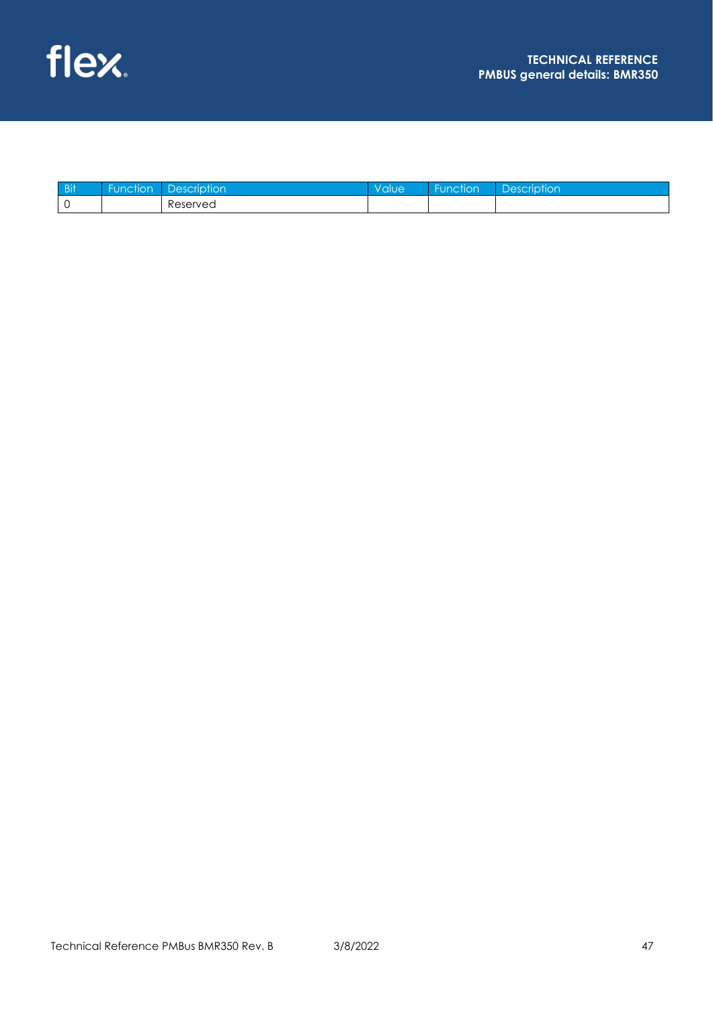| Bit | $\sim$<br>ion<br>$\ln$ | tion     | 906 | $\sim$<br>$\cdots$<br>ction | $\sim$ $\sim$ $\sim$ |
|-----|------------------------|----------|-----|-----------------------------|----------------------|
|     |                        | eserved? |     |                             |                      |